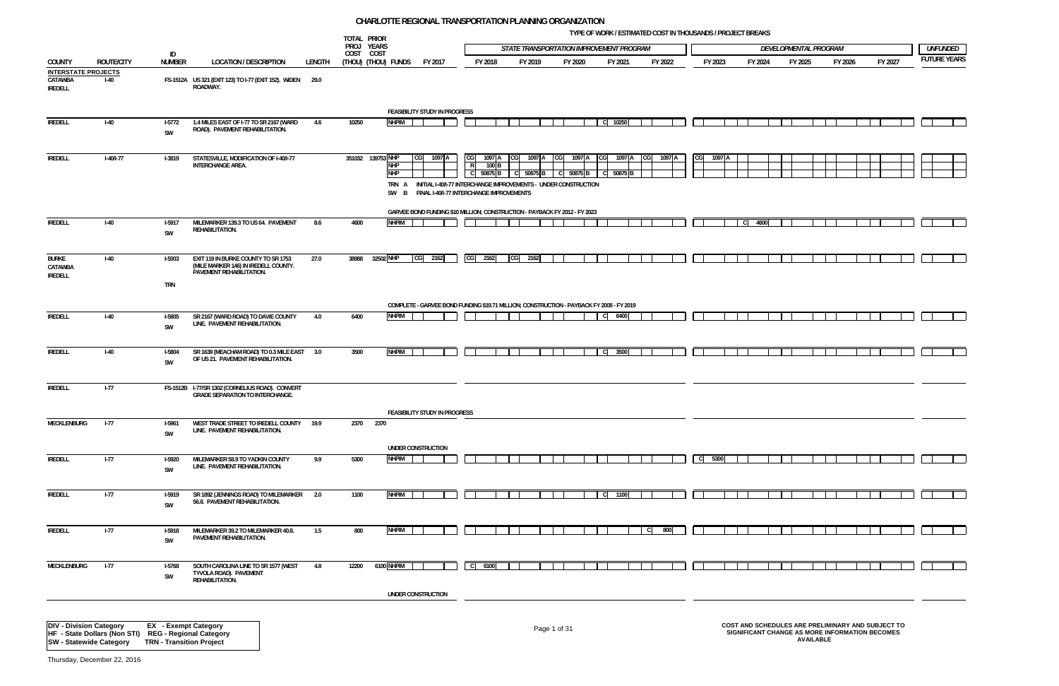**TYPE OF WORK / ESTIMATED COST IN THOUSANDS / PROJECT BREAKS**

| /ELOPMENTAL PROGRAM |         |         | <b>UNFUNDED</b>     |
|---------------------|---------|---------|---------------------|
| FY 2025             | FY 2026 | FY 2027 | <b>FUTURE YEARS</b> |
|                     |         |         |                     |
|                     |         |         |                     |
|                     |         |         |                     |
|                     |         |         |                     |
|                     |         |         |                     |
|                     |         |         |                     |
|                     |         |         |                     |
|                     |         |         |                     |
|                     |         |         |                     |
|                     |         |         |                     |
|                     |         |         |                     |
|                     |         |         |                     |
|                     |         |         |                     |
|                     |         |         |                     |
|                     |         |         |                     |
|                     |         |         |                     |
|                     |         |         |                     |
|                     |         |         |                     |
|                     |         |         |                     |
|                     |         |         |                     |

|                                      |                   |                                                                                     |                                                                                            |        | TOTAL PRIOR<br>PROJ YEARS |                                 |                                                                                                                        |                                         |         |                      |           | STATE TRANSPORTATION IMPROVEMENT PROGRAM |               |          |         |                                                                                                     | DEVELOPMENTAL PROGRAM |                  |         |         | <b>UNFUNDED</b>    |
|--------------------------------------|-------------------|-------------------------------------------------------------------------------------|--------------------------------------------------------------------------------------------|--------|---------------------------|---------------------------------|------------------------------------------------------------------------------------------------------------------------|-----------------------------------------|---------|----------------------|-----------|------------------------------------------|---------------|----------|---------|-----------------------------------------------------------------------------------------------------|-----------------------|------------------|---------|---------|--------------------|
|                                      |                   | ID                                                                                  | <b>LOCATION / DESCRIPTION</b>                                                              |        | COST COST                 |                                 |                                                                                                                        |                                         |         |                      |           |                                          |               |          |         |                                                                                                     |                       |                  |         |         | <b>FUTURE YEAR</b> |
| COUNTY<br><b>INTERSTATE PROJECTS</b> | <b>ROUTE/CITY</b> | <b>NUMBER</b>                                                                       |                                                                                            | LENGTH |                           | (Thou) (Thou) funds             | FY 2017                                                                                                                | FY 2018                                 | FY 2019 |                      | FY 2020   | FY 2021                                  | FY 2022       |          | FY 2023 | FY 2024                                                                                             |                       | FY 2025          | FY 2026 | FY 2027 |                    |
| CATAWBA<br><b>IREDELL</b>            | $I-40$            |                                                                                     | FS-1512A US 321 (EXIT 123) TO I-77 (EXIT 152). WIDEN 29.0<br>ROADWAY.                      |        |                           |                                 |                                                                                                                        |                                         |         |                      |           |                                          |               |          |         |                                                                                                     |                       |                  |         |         |                    |
|                                      |                   |                                                                                     |                                                                                            |        |                           |                                 | FEASIBILITY STUDY IN PROGRESS                                                                                          |                                         |         |                      |           |                                          |               |          |         |                                                                                                     |                       |                  |         |         |                    |
| <b>IREDELL</b>                       | $I-40$            | $1-5772$                                                                            | 1.4 MILES EAST OF I-77 TO SR 2167 (WARD                                                    | 4.6    | 10250                     | <b>NHPIM</b>                    |                                                                                                                        |                                         |         |                      |           | 10250<br>C.                              |               |          |         |                                                                                                     |                       |                  |         |         |                    |
|                                      |                   | SW                                                                                  | ROAD). PAVEMENT REHABILITATION.                                                            |        |                           |                                 |                                                                                                                        |                                         |         |                      |           |                                          |               |          |         |                                                                                                     |                       |                  |         |         |                    |
| <b>IREDELL</b>                       | $I-40/I-77$       | <b>I-3819</b>                                                                       | STATESVILLE, MODIFICATION OF I-40/I-77<br><b>INTERCHANGE AREA.</b>                         |        |                           | 351032 139753 NHP<br><b>NHP</b> | 1097 A<br>CG <sub>l</sub>                                                                                              | CG<br>1097 A<br>$\overline{R}$<br>100 B |         | 1097 A<br><b>CGI</b> | 1097 A CG | 1097 A                                   | CG <br>1097 A |          | 1097 A  |                                                                                                     |                       |                  |         |         |                    |
|                                      |                   |                                                                                     |                                                                                            |        |                           | <b>NHP</b>                      |                                                                                                                        | 50875 B                                 |         | 50875 <sub>B</sub>   | 50875 B   | 50875<br>-CI<br>B                        |               |          |         |                                                                                                     |                       |                  |         |         |                    |
|                                      |                   |                                                                                     |                                                                                            |        |                           |                                 | TRN A INITIAL I-40/I-77 INTERCHANGE IMPROVEMENTS - UNDER CONSTRUCTION<br>SW B FINAL I-40/I-77 INTERCHANGE IMPROVEMENTS |                                         |         |                      |           |                                          |               |          |         |                                                                                                     |                       |                  |         |         |                    |
|                                      |                   |                                                                                     |                                                                                            |        |                           |                                 | GARVEE BOND FUNDING \$10 MILLION; CONSTRUCTION - PAYBACK FY 2012 - FY 2023                                             |                                         |         |                      |           |                                          |               |          |         |                                                                                                     |                       |                  |         |         |                    |
| <b>IREDELL</b>                       | $I-40$            | $1-5917$                                                                            | MILEMARKER 139.3 TO US 64. PAVEMENT<br>REHABILITATION.                                     | 8.6    | 4600                      | <b>NHPIM</b>                    |                                                                                                                        |                                         |         |                      |           |                                          |               |          |         | 4600<br>C.                                                                                          |                       |                  |         |         |                    |
|                                      |                   | SW                                                                                  |                                                                                            |        |                           |                                 |                                                                                                                        |                                         |         |                      |           |                                          |               |          |         |                                                                                                     |                       |                  |         |         |                    |
| Burke<br>CATAWBA                     | $I-40$            | <b>I-5003</b>                                                                       | EXIT 119 IN BURKE COUNTY TO SR 1753<br>(MILE MARKER 146) IN IREDELL COUNTY.                | 27.0   | 38988                     | 32502 NHP                       | CG<br>2162                                                                                                             | CG 2162                                 | 2162    |                      |           |                                          |               |          |         |                                                                                                     |                       |                  |         |         |                    |
| <b>IREDELL</b>                       |                   | <b>TRN</b>                                                                          | PAVEMENT REHABILITATION.                                                                   |        |                           |                                 |                                                                                                                        |                                         |         |                      |           |                                          |               |          |         |                                                                                                     |                       |                  |         |         |                    |
|                                      |                   |                                                                                     |                                                                                            |        |                           |                                 |                                                                                                                        |                                         |         |                      |           |                                          |               |          |         |                                                                                                     |                       |                  |         |         |                    |
|                                      |                   |                                                                                     |                                                                                            | 4.0    |                           | <b>NHPIM</b>                    | COMPLETE - GARVEE BOND FUNDING \$19.71 MILLION; CONSTRUCTION - PAYBACK FY 2008 - FY 2019                               |                                         |         |                      |           | - CI                                     |               |          |         |                                                                                                     |                       |                  |         |         |                    |
| <b>IREDELL</b>                       | $I-40$            | <b>I-5805</b><br>SW                                                                 | SR 2167 (WARD ROAD) TO DAVIE COUNTY<br>LINE. PAVEMENT REHABILITATION.                      |        | 6400                      |                                 |                                                                                                                        |                                         |         |                      |           | 6400                                     |               |          |         |                                                                                                     |                       |                  |         |         |                    |
| <b>IREDELL</b>                       | $I-40$            | <b>I-5804</b>                                                                       | SR 1639 (MEACHAM ROAD) TO 0.3 MILE EAST 3.0                                                |        | 3500                      | <b>NHPIM</b>                    |                                                                                                                        |                                         |         |                      |           | C <sub>1</sub><br>3500                   |               |          |         |                                                                                                     |                       |                  |         |         |                    |
|                                      |                   | SW                                                                                  | OF US 21. PAVEMENT REHABILITATION.                                                         |        |                           |                                 |                                                                                                                        |                                         |         |                      |           |                                          |               |          |         |                                                                                                     |                       |                  |         |         |                    |
| <b>IREDELL</b>                       | $I-77$            |                                                                                     | FS-1512B I-77/SR 1302 (CORNELIUS ROAD). CONVERT<br><b>GRADE SEPARATION TO INTERCHANGE.</b> |        |                           |                                 |                                                                                                                        |                                         |         |                      |           |                                          |               |          |         |                                                                                                     |                       |                  |         |         |                    |
|                                      |                   |                                                                                     |                                                                                            |        |                           |                                 |                                                                                                                        |                                         |         |                      |           |                                          |               |          |         |                                                                                                     |                       |                  |         |         |                    |
| MECKLENBURG                          | $-77$             | $I-5961$                                                                            | WEST TRADE STREET TO IREDELL COUNTY 19.9                                                   |        |                           | 2370 2370                       | FEASIBILITY STUDY IN PROGRESS                                                                                          |                                         |         |                      |           |                                          |               |          |         |                                                                                                     |                       |                  |         |         |                    |
|                                      |                   | SW                                                                                  | LINE. PAVEMENT REHABILITATION.                                                             |        |                           |                                 |                                                                                                                        |                                         |         |                      |           |                                          |               |          |         |                                                                                                     |                       |                  |         |         |                    |
|                                      |                   |                                                                                     |                                                                                            |        |                           | <b>NHPIM</b>                    | UNDER CONSTRUCTION                                                                                                     |                                         |         |                      |           |                                          |               | $C$ 5300 |         |                                                                                                     |                       |                  |         |         |                    |
| <b>IREDELL</b>                       | $I-77$            | I-5920<br>SW                                                                        | MILEMARKER 58.9 TO YADKIN COUNTY<br>LINE. PAVEMENT REHABILITATION.                         | 9.9    | 5300                      |                                 |                                                                                                                        |                                         |         |                      |           |                                          |               |          |         |                                                                                                     |                       |                  |         |         |                    |
| <b>IREDELL</b>                       | $I-77$            | <b>I-5919</b>                                                                       | SR 1892 (JENNINGS ROAD) TO MILEMARKER 2.0                                                  |        | 1100                      | <b>NHPIM</b>                    |                                                                                                                        |                                         |         |                      |           | C.<br>1100                               |               |          |         |                                                                                                     |                       |                  |         |         |                    |
|                                      |                   | SW                                                                                  | 56.8. PAVEMENT REHABILITATION.                                                             |        |                           |                                 |                                                                                                                        |                                         |         |                      |           |                                          |               |          |         |                                                                                                     |                       |                  |         |         |                    |
|                                      |                   |                                                                                     |                                                                                            |        |                           |                                 |                                                                                                                        |                                         |         |                      |           |                                          |               |          |         |                                                                                                     |                       |                  |         |         |                    |
| <b>IREDELL</b>                       | $I-77$            | I-5918<br>SW                                                                        | MILEMARKER 39.2 TO MILEMARKER 40.8.<br>PAVEMENT REHABILITATION.                            | 1.5    | 800                       | <b>NHPIM</b>                    |                                                                                                                        |                                         |         |                      |           |                                          | 800<br>l cl   |          |         |                                                                                                     |                       |                  |         |         |                    |
|                                      |                   |                                                                                     |                                                                                            |        |                           |                                 |                                                                                                                        |                                         |         |                      |           |                                          |               |          |         |                                                                                                     |                       |                  |         |         |                    |
| MECKLENBURG                          | $I-77$            | <b>I-5768</b><br>SW                                                                 | SOUTH CAROLINA LINE TO SR 1577 (WEST<br>TYVOLA ROAD). PAVEMENT<br>REHABILITATION.          | 4.8    | 12200                     | 6100 NHPIM                      |                                                                                                                        | l cl<br>6100                            |         |                      |           |                                          |               |          |         |                                                                                                     |                       |                  |         |         |                    |
|                                      |                   |                                                                                     |                                                                                            |        |                           |                                 | UNDER CONSTRUCTION                                                                                                     |                                         |         |                      |           |                                          |               |          |         |                                                                                                     |                       |                  |         |         |                    |
|                                      |                   |                                                                                     |                                                                                            |        |                           |                                 |                                                                                                                        |                                         |         |                      |           |                                          |               |          |         |                                                                                                     |                       |                  |         |         |                    |
| <b>DIV - Division Category</b>       |                   | <b>EX</b> - Exempt Category<br>HF - State Dollars (Non STI) REG - Regional Category |                                                                                            |        |                           |                                 |                                                                                                                        |                                         |         | Page 1 of 31         |           |                                          |               |          |         | COST AND SCHEDULES ARE PRELIMINARY AND SUBJECT TO<br>SIGNIFICANT CHANGE AS MORE INFORMATION BECOMES |                       |                  |         |         |                    |
| <b>SW - Statewide Category</b>       |                   | <b>TRN - Transition Project</b>                                                     |                                                                                            |        |                           |                                 |                                                                                                                        |                                         |         |                      |           |                                          |               |          |         |                                                                                                     |                       | <b>AVAILABLE</b> |         |         |                    |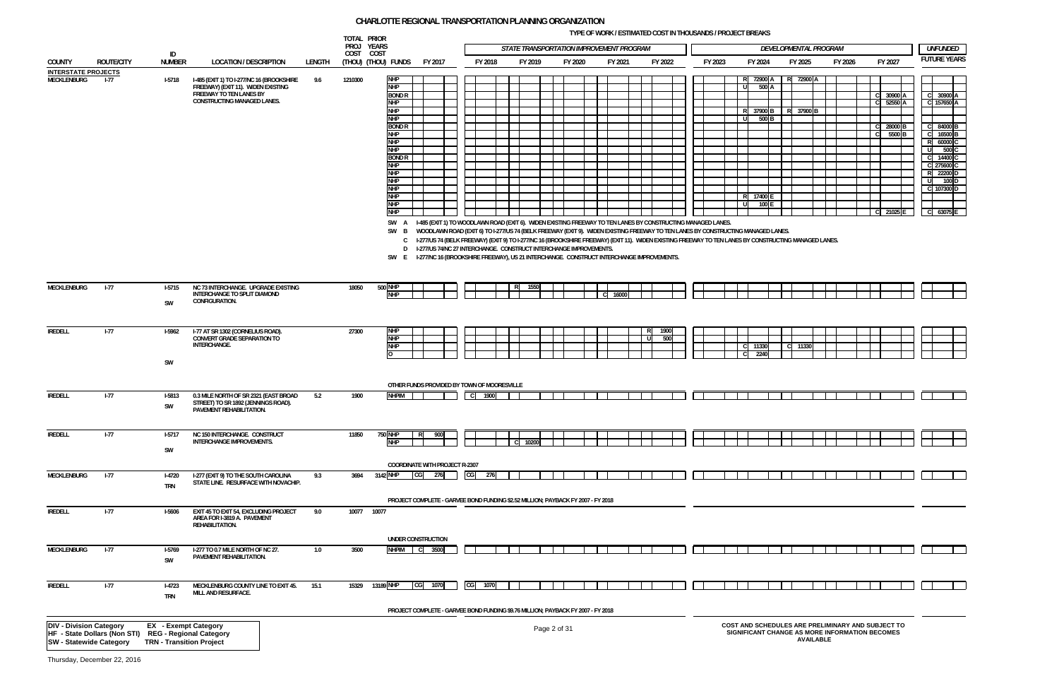**TYPE OF WORK / ESTIMATED COST IN THOUSANDS / PROJECT BREAKS**

| <i>UNFUNDED</i>     |
|---------------------|
| <b>FUTURE YEARS</b> |
|                     |

| С  | 30900 A            |  |
|----|--------------------|--|
| C  | 157650 A           |  |
|    |                    |  |
|    |                    |  |
| Ć  | 84000 B            |  |
| C  | 16500 <sub>B</sub> |  |
| R  | 60000 C            |  |
| Ù  | 500C               |  |
| Ċ  | 14400 C            |  |
| Ċ  | 275600 C           |  |
| R  | 22200 D            |  |
| U  | 100 D              |  |
| C. | 107300 D           |  |
|    |                    |  |
|    |                    |  |
|    | 63075              |  |



|                                           |                                                      |                                 |                                                                              |        | TOTAL PRIOR<br>PROJ YEARS |                             |                                                                                                                                                                                                                                                            |    |         |         |              | STATE TRANSPORTATION IMPROVEMENT PROGRAM |         |           |             |         |                 |       |           |                  | DEVELOPMENTAL PROGRAM                             |              |                              |                         | <b>UNFUNDED</b>    |
|-------------------------------------------|------------------------------------------------------|---------------------------------|------------------------------------------------------------------------------|--------|---------------------------|-----------------------------|------------------------------------------------------------------------------------------------------------------------------------------------------------------------------------------------------------------------------------------------------------|----|---------|---------|--------------|------------------------------------------|---------|-----------|-------------|---------|-----------------|-------|-----------|------------------|---------------------------------------------------|--------------|------------------------------|-------------------------|--------------------|
| COUNTY                                    | <b>ROUTE/CITY</b>                                    | ID<br><b>NUMBER</b>             | <b>LOCATION / DESCRIPTION</b>                                                | LENGTH | COST COST                 | (Thou) (Thou) funds         | FY 2017                                                                                                                                                                                                                                                    |    | FY 2018 | FY 2019 |              | FY 2020                                  | FY 2021 |           | FY 2022     | FY 2023 | FY 2024         |       | FY 2025   |                  | FY 2026                                           | FY 2027      |                              |                         | <b>FUTURE YEAR</b> |
| <b>INTERSTATE PROJECTS</b><br>MECKLENBURG | $1 - 77$                                             | <b>I-5718</b>                   | I-485 (EXIT 1) TO I-277/NC 16 (BROOKSHIRE                                    | 9.6    | 1210300                   | <b>NHP</b>                  |                                                                                                                                                                                                                                                            |    |         |         |              |                                          |         |           |             |         | R 72900 A       |       | R 72900 A |                  |                                                   |              |                              |                         |                    |
|                                           |                                                      |                                 | FREEWAY) (EXIT 11). WIDEN EXISTING<br>FREEWAY TO TEN LANES BY                |        |                           | <b>NHP</b><br><b>BOND R</b> |                                                                                                                                                                                                                                                            |    |         |         |              |                                          |         |           |             |         | U               | 500 A |           |                  |                                                   | C 30900 A    |                              |                         | C 30900 A          |
|                                           |                                                      |                                 | CONSTRUCTING MANAGED LANES.                                                  |        |                           | <b>NHP</b><br><b>NHP</b>    |                                                                                                                                                                                                                                                            |    |         |         |              |                                          |         |           |             |         | R 37900 B       |       | R 37900 B |                  |                                                   | -CI          | 52550 A                      |                         | C 157650 A         |
|                                           |                                                      |                                 |                                                                              |        |                           | <b>NHP</b>                  |                                                                                                                                                                                                                                                            |    |         |         |              |                                          |         |           |             |         | U               | 500 B |           |                  |                                                   |              |                              |                         |                    |
|                                           |                                                      |                                 |                                                                              |        |                           | <b>BOND R</b><br><b>NHP</b> |                                                                                                                                                                                                                                                            |    |         |         |              |                                          |         |           |             |         |                 |       |           |                  |                                                   | -CI<br>- C I | 28000 <sub>B</sub><br>5500 B | C.                      | 84000 B<br>16500 E |
|                                           |                                                      |                                 |                                                                              |        |                           | <b>NHP</b>                  |                                                                                                                                                                                                                                                            |    |         |         |              |                                          |         |           |             |         |                 |       |           |                  |                                                   |              |                              | <b>P</b>                | 60000              |
|                                           |                                                      |                                 |                                                                              |        |                           | <b>NHP</b><br><b>BOND R</b> |                                                                                                                                                                                                                                                            |    |         |         |              |                                          |         |           |             |         |                 |       |           |                  |                                                   |              |                              | $\overline{\mathbf{u}}$ | 500 C<br>14400     |
|                                           |                                                      |                                 |                                                                              |        |                           | <b>NHP</b>                  |                                                                                                                                                                                                                                                            |    |         |         |              |                                          |         |           |             |         |                 |       |           |                  |                                                   |              |                              | C.                      | 275600             |
|                                           |                                                      |                                 |                                                                              |        |                           | <b>NHP</b><br><b>NHP</b>    |                                                                                                                                                                                                                                                            |    |         |         |              |                                          |         |           |             |         |                 |       |           |                  |                                                   |              |                              | R<br>-11                | 22200 D<br>100 D   |
|                                           |                                                      |                                 |                                                                              |        |                           | <b>NHP</b>                  |                                                                                                                                                                                                                                                            |    |         |         |              |                                          |         |           |             |         |                 |       |           |                  |                                                   |              |                              |                         | C 107300 D         |
|                                           |                                                      |                                 |                                                                              |        |                           | <b>NHP</b><br><b>NHP</b>    |                                                                                                                                                                                                                                                            |    |         |         |              |                                          |         |           |             |         | R 17400 E       | 100 E |           |                  |                                                   |              |                              |                         |                    |
|                                           |                                                      |                                 |                                                                              |        |                           | <b>NHP</b>                  |                                                                                                                                                                                                                                                            |    |         |         |              |                                          |         |           |             |         |                 |       |           |                  |                                                   | C 21025      |                              |                         | C 63075 E          |
|                                           |                                                      |                                 |                                                                              |        |                           |                             | SW A I-485 (EXIT 1) TO WOODLAWN ROAD (EXIT 6). WIDEN EXISTING FREEWAY TO TEN LANES BY CONSTRUCTING MANAGED LANES.<br>SW B WOODLAWN ROAD (EXIT 6) TO I-277/US 74 (BELK FREEWAY (EXIT 9). WIDEN EXISTING FREEWAY TO TEN LANES BY CONSTRUCTING MANAGED LANES. |    |         |         |              |                                          |         |           |             |         |                 |       |           |                  |                                                   |              |                              |                         |                    |
|                                           |                                                      |                                 |                                                                              |        |                           |                             | C I-277/US 74 (BELK FREEWAY) (EXIT 9) TO I-277/NC 16 (BROOKSHIRE FREEWAY) (EXIT 11). WIDEN EXISTING FREEWAY TO TEN LANES BY CONSTRUCTING MANAGED LANES.                                                                                                    |    |         |         |              |                                          |         |           |             |         |                 |       |           |                  |                                                   |              |                              |                         |                    |
|                                           |                                                      |                                 |                                                                              |        |                           |                             | D I-277/US 74/NC 27 INTERCHANGE. CONSTRUCT INTERCHANGE IMPROVEMENTS.                                                                                                                                                                                       |    |         |         |              |                                          |         |           |             |         |                 |       |           |                  |                                                   |              |                              |                         |                    |
|                                           |                                                      |                                 |                                                                              |        |                           |                             | SW E I-277/NC 16 (BROOKSHIRE FREEWAY), US 21 INTERCHANGE. CONSTRUCT INTERCHANGE IMPROVEMENTS.                                                                                                                                                              |    |         |         |              |                                          |         |           |             |         |                 |       |           |                  |                                                   |              |                              |                         |                    |
|                                           |                                                      |                                 |                                                                              |        |                           |                             |                                                                                                                                                                                                                                                            |    |         |         |              |                                          |         |           |             |         |                 |       |           |                  |                                                   |              |                              |                         |                    |
| MECKLENBURG                               | $I-77$                                               | $1-5715$                        | NC 73 INTERCHANGE. UPGRADE EXISTING                                          |        | 18050                     | <b>500 NHP</b>              |                                                                                                                                                                                                                                                            |    |         | 1550    |              |                                          |         |           |             |         |                 |       |           |                  |                                                   |              |                              |                         |                    |
|                                           |                                                      | <b>SW</b>                       | INTERCHANGE TO SPLIT DIAMOND<br>CONFIGURATION.                               |        |                           | <b>NHP</b>                  |                                                                                                                                                                                                                                                            |    |         |         |              |                                          | 16000   |           |             |         |                 |       |           |                  |                                                   |              |                              |                         |                    |
|                                           |                                                      |                                 |                                                                              |        |                           |                             |                                                                                                                                                                                                                                                            |    |         |         |              |                                          |         |           |             |         |                 |       |           |                  |                                                   |              |                              |                         |                    |
|                                           |                                                      |                                 |                                                                              |        |                           |                             |                                                                                                                                                                                                                                                            |    |         |         |              |                                          |         |           |             |         |                 |       |           |                  |                                                   |              |                              |                         |                    |
| <b>IREDELL</b>                            | $1 - 77$                                             | <b>I-5962</b>                   | I-77 AT SR 1302 (CORNELIUS ROAD).<br>CONVERT GRADE SEPARATION TO             |        | 27300                     | <b>NHP</b><br><b>NHP</b>    |                                                                                                                                                                                                                                                            |    |         |         |              |                                          |         | R<br>l ul | 1900<br>500 |         |                 |       |           |                  |                                                   |              |                              |                         |                    |
|                                           |                                                      |                                 | INTERCHANGE.                                                                 |        |                           | <b>NHP</b>                  |                                                                                                                                                                                                                                                            |    |         |         |              |                                          |         |           |             |         | C 11330<br>2240 |       | C 11330   |                  |                                                   |              |                              |                         |                    |
|                                           |                                                      | SW                              |                                                                              |        |                           |                             |                                                                                                                                                                                                                                                            |    |         |         |              |                                          |         |           |             |         |                 |       |           |                  |                                                   |              |                              |                         |                    |
|                                           |                                                      |                                 |                                                                              |        |                           |                             |                                                                                                                                                                                                                                                            |    |         |         |              |                                          |         |           |             |         |                 |       |           |                  |                                                   |              |                              |                         |                    |
|                                           |                                                      |                                 |                                                                              |        |                           |                             | OTHER FUNDS PROVIDED BY TOWN OF MOORESVILLE                                                                                                                                                                                                                |    |         |         |              |                                          |         |           |             |         |                 |       |           |                  |                                                   |              |                              |                         |                    |
| <b>IREDELL</b>                            | $1 - 77$                                             | <b>I-5813</b>                   | 0.3 MILE NORTH OF SR 2321 (EAST BROAD<br>STREET) TO SR 1892 (JENNINGS ROAD). | 5.2    | 1900                      | <b>NHPIM</b>                |                                                                                                                                                                                                                                                            |    | C 1900  |         |              |                                          |         |           |             |         |                 |       |           |                  |                                                   |              |                              |                         |                    |
|                                           |                                                      | SW                              | PAVEMENT REHABILITATION.                                                     |        |                           |                             |                                                                                                                                                                                                                                                            |    |         |         |              |                                          |         |           |             |         |                 |       |           |                  |                                                   |              |                              |                         |                    |
|                                           |                                                      |                                 |                                                                              |        |                           |                             |                                                                                                                                                                                                                                                            |    |         |         |              |                                          |         |           |             |         |                 |       |           |                  |                                                   |              |                              |                         |                    |
| <b>IREDELL</b>                            | $I-77$                                               | $1-5717$                        | NC 150 INTERCHANGE. CONSTRUCT                                                |        | 11850                     | 750 NHP                     | 900                                                                                                                                                                                                                                                        |    |         |         |              |                                          |         |           |             |         |                 |       |           |                  |                                                   |              |                              |                         |                    |
|                                           |                                                      | SW                              | <b>INTERCHANGE IMPROVEMENTS.</b>                                             |        |                           | <b>NHP</b>                  |                                                                                                                                                                                                                                                            |    |         | 10200   |              |                                          |         |           |             |         |                 |       |           |                  |                                                   |              |                              |                         |                    |
|                                           |                                                      |                                 |                                                                              |        |                           |                             | <b>COORDINATE WITH PROJECT R-2307</b>                                                                                                                                                                                                                      |    |         |         |              |                                          |         |           |             |         |                 |       |           |                  |                                                   |              |                              |                         |                    |
| MECKLENBURG                               | $1-77$                                               | $I-4720$                        | I-277 (EXIT 9) TO THE SOUTH CAROLINA                                         | 9.3    | 3694                      | 3142 NHP                    | CG<br>276                                                                                                                                                                                                                                                  | CG | 276     |         |              |                                          |         |           |             |         |                 |       |           |                  |                                                   |              |                              |                         |                    |
|                                           |                                                      | <b>TRN</b>                      | STATE LINE. RESURFACE WITH NOVACHIP.                                         |        |                           |                             |                                                                                                                                                                                                                                                            |    |         |         |              |                                          |         |           |             |         |                 |       |           |                  |                                                   |              |                              |                         |                    |
|                                           |                                                      |                                 |                                                                              |        |                           |                             | PROJECT COMPLETE - GARVEE BOND FUNDING \$2.52 MILLION; PAYBACK FY 2007 - FY 2018                                                                                                                                                                           |    |         |         |              |                                          |         |           |             |         |                 |       |           |                  |                                                   |              |                              |                         |                    |
| <b>IREDELL</b>                            | $I-77$                                               | I-5606                          | EXIT 45 TO EXIT 54, EXCLUDING PROJECT                                        | 9.0    | 10077 10077               |                             |                                                                                                                                                                                                                                                            |    |         |         |              |                                          |         |           |             |         |                 |       |           |                  |                                                   |              |                              |                         |                    |
|                                           |                                                      |                                 | AREA FOR I-3819 A. PAVEMENT<br>REHABILITATION.                               |        |                           |                             |                                                                                                                                                                                                                                                            |    |         |         |              |                                          |         |           |             |         |                 |       |           |                  |                                                   |              |                              |                         |                    |
|                                           |                                                      |                                 |                                                                              |        |                           |                             |                                                                                                                                                                                                                                                            |    |         |         |              |                                          |         |           |             |         |                 |       |           |                  |                                                   |              |                              |                         |                    |
| MECKLENBURG                               | $I-77$                                               | $1-5769$                        | I-277 TO 0.7 MILE NORTH OF NC 27.                                            | 1.0    | 3500                      |                             | UNDER CONSTRUCTION<br><b>NHPIM</b> C 3500                                                                                                                                                                                                                  |    |         |         |              |                                          |         |           |             |         |                 |       |           |                  |                                                   |              |                              |                         |                    |
|                                           |                                                      | SW                              | PAVEMENT REHABILITATION.                                                     |        |                           |                             |                                                                                                                                                                                                                                                            |    |         |         |              |                                          |         |           |             |         |                 |       |           |                  |                                                   |              |                              |                         |                    |
|                                           |                                                      |                                 |                                                                              |        |                           |                             |                                                                                                                                                                                                                                                            |    |         |         |              |                                          |         |           |             |         |                 |       |           |                  |                                                   |              |                              |                         |                    |
| <b>IREDELL</b>                            | $I-77$                                               | $I-4723$                        | MECKLENBURG COUNTY LINE TO EXIT 45.                                          | 15.1   | 15329                     | 13189 NHP                   | 1070<br>CG                                                                                                                                                                                                                                                 | CG | 1070    |         |              |                                          |         |           |             |         |                 |       |           |                  |                                                   |              |                              |                         |                    |
|                                           |                                                      | <b>TRN</b>                      | MILL AND RESURFACE.                                                          |        |                           |                             |                                                                                                                                                                                                                                                            |    |         |         |              |                                          |         |           |             |         |                 |       |           |                  |                                                   |              |                              |                         |                    |
|                                           |                                                      |                                 |                                                                              |        |                           |                             | PROJECT COMPLETE - GARVEE BOND FUNDING \$9.76 MILLION; PAYBACK FY 2007 - FY 2018                                                                                                                                                                           |    |         |         |              |                                          |         |           |             |         |                 |       |           |                  |                                                   |              |                              |                         |                    |
| <b>DIV - Division Category</b>            |                                                      | <b>EX</b> - Exempt Category     |                                                                              |        |                           |                             |                                                                                                                                                                                                                                                            |    |         |         |              |                                          |         |           |             |         |                 |       |           |                  | COST AND SCHEDULES ARE PRELIMINARY AND SUBJECT TO |              |                              |                         |                    |
|                                           | HF - State Dollars (Non STI) REG - Regional Category |                                 |                                                                              |        |                           |                             |                                                                                                                                                                                                                                                            |    |         |         | Page 2 of 31 |                                          |         |           |             |         |                 |       |           | <b>AVAILABLE</b> | SIGNIFICANT CHANGE AS MORE INFORMATION BECOMES    |              |                              |                         |                    |
| <b>SW - Statewide Category</b>            |                                                      | <b>TRN - Transition Project</b> |                                                                              |        |                           |                             |                                                                                                                                                                                                                                                            |    |         |         |              |                                          |         |           |             |         |                 |       |           |                  |                                                   |              |                              |                         |                    |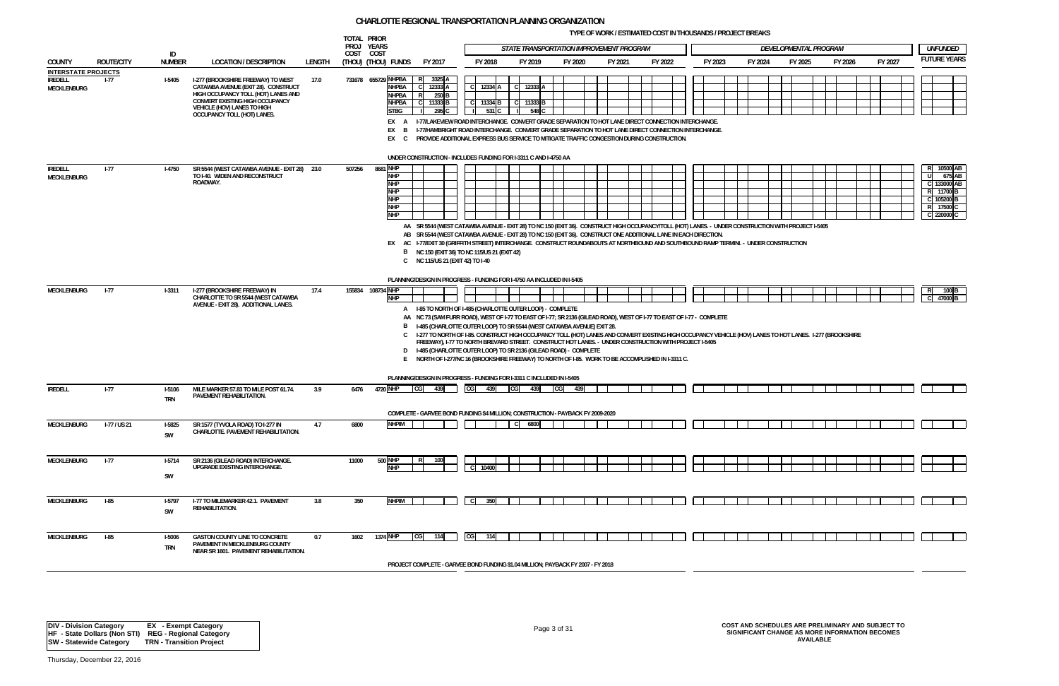**TYPE OF WORK / ESTIMATED COST IN THOUSANDS / PROJECT BREAKS**

|                                                                    |                   |                             |                                                                                                                                                                                                                   |        | TOTAL PRIOR<br>PROJ YEARS |                                                                                        |                                                                                                                                                                                                                                                                                                                                                                                                                                                                                                                                                                                                                                                                                                                      |                               |      |                                 | STATE TRANSPORTATION IMPROVEMENT PROGRAM |         |         |         |         | DEVELOPMENTAL PROGRAM |         |         | <i>UNFUNDED</i>                                                                         |
|--------------------------------------------------------------------|-------------------|-----------------------------|-------------------------------------------------------------------------------------------------------------------------------------------------------------------------------------------------------------------|--------|---------------------------|----------------------------------------------------------------------------------------|----------------------------------------------------------------------------------------------------------------------------------------------------------------------------------------------------------------------------------------------------------------------------------------------------------------------------------------------------------------------------------------------------------------------------------------------------------------------------------------------------------------------------------------------------------------------------------------------------------------------------------------------------------------------------------------------------------------------|-------------------------------|------|---------------------------------|------------------------------------------|---------|---------|---------|---------|-----------------------|---------|---------|-----------------------------------------------------------------------------------------|
| <b>COUNTY</b>                                                      | <b>ROUTE/CITY</b> | ID<br><b>NUMBER</b>         | <b>LOCATION / DESCRIPTION</b>                                                                                                                                                                                     | LENGTH | COST COST                 | (Thou) (Thou) funds                                                                    | FY 2017                                                                                                                                                                                                                                                                                                                                                                                                                                                                                                                                                                                                                                                                                                              | FY 2018                       |      | FY 2019                         | FY 2020                                  | FY 2021 | FY 2022 | FY 2023 | FY 2024 | FY 2025               | FY 2026 | FY 2027 | <b>FUTURE YEARS</b>                                                                     |
| <b>INTERSTATE PROJECTS</b><br><b>IREDELL</b><br><b>MECKLENBURG</b> | I-77              | <b>I-5405</b>               | I-277 (BROOKSHIRE FREEWAY) TO WEST<br>CATAWBA AVENUE (EXIT 28). CONSTRUCT<br>HIGH OCCUPANCY TOLL (HOT) LANES AND<br>CONVERT EXISTING HIGH OCCUPANCY<br>VEHICLE (HOV) LANES TO HIGH<br>OCCUPANCY TOLL (HOT) LANES. | 17.0   |                           | 731678 655729 NHPBA R<br>NHPBA<br>NHPBA<br><b>NHPBA</b><br><b>STBG</b><br>EX B<br>EX C | 3325 A<br>12333 A<br>250 B<br>11333 B<br>295 C<br>EX A I-77/LAKEVIEW ROAD INTERCHANGE. CONVERT GRADE SEPARATION TO HOT LANE DIRECT CONNECTION INTERCHANGE.<br>I-77/HAMBRIGHT ROAD INTERCHANGE. CONVERT GRADE SEPARATION TO HOT LANE DIRECT CONNECTION INTERCHANGE.<br>PROVIDE ADDITIONAL EXPRESS BUS SERVICE TO MITIGATE TRAFFIC CONGESTION DURING CONSTRUCTION.                                                                                                                                                                                                                                                                                                                                                     | 12334 A<br>C 11334 B<br>531 C | - 11 | C 12333 A<br>C 11333 B<br>548 C |                                          |         |         |         |         |                       |         |         |                                                                                         |
|                                                                    |                   |                             |                                                                                                                                                                                                                   |        |                           |                                                                                        | UNDER CONSTRUCTION - INCLUDES FUNDING FOR I-3311 C AND I-4750 AA                                                                                                                                                                                                                                                                                                                                                                                                                                                                                                                                                                                                                                                     |                               |      |                                 |                                          |         |         |         |         |                       |         |         |                                                                                         |
| <b>IREDELL</b><br><b>MECKLENBURG</b>                               | $1 - 77$          | <b>I-4750</b>               | SR 5544 (WEST CATAWBA AVENUE - EXIT 28) 23.0<br>TO I-40. WIDEN AND RECONSTRUCT<br>ROADWAY.                                                                                                                        |        | 507256                    | 8681 NHP<br>NHP<br><b>NHP</b><br><b>NHP</b><br><b>NHP</b><br><b>NHP</b><br><b>NHP</b>  | AA SR 5544 (WEST CATAWBA AVENUE - EXIT 28) TO NC 150 (EXIT 36). CONSTRUCT HIGH OCCUPANCY/TOLL (HOT) LANES. - UNDER CONSTRUCTION WITH PROJECT I-5405<br>AB SR 5544 (WEST CATAWBA AVENUE - EXIT 28) TO NC 150 (EXIT 36). CONSTRUCT ONE ADDITIONAL LANE IN EACH DIRECTION.<br>EX AC I-77/EXIT 30 (GRIFFITH STREET) INTERCHANGE. CONSTRUCT ROUNDABOUTS AT NORTHBOUND AND SOUTHBOUND RAMP TERMINI. - UNDER CONSTRUCTION<br>B NC 150 (EXIT 36) TO NC 115/US 21 (EXIT 42)<br>C NC 115/US 21 (EXIT 42) TO I-40                                                                                                                                                                                                               |                               |      |                                 |                                          |         |         |         |         |                       |         |         | 10500 AB<br>675 AB<br>C 133000 AB<br>R 11700 B<br>C 105200 B<br>R 17500 C<br>C 220000 C |
|                                                                    |                   |                             |                                                                                                                                                                                                                   |        |                           |                                                                                        | PLANNING/DESIGN IN PROGRESS - FUNDING FOR 1-4750 AA INCLUDED IN 1-5405                                                                                                                                                                                                                                                                                                                                                                                                                                                                                                                                                                                                                                               |                               |      |                                 |                                          |         |         |         |         |                       |         |         |                                                                                         |
| <b>MECKLENBURG</b>                                                 | $1-77$            | $1 - 3311$                  | I-277 (BROOKSHIRE FREEWAY) IN<br>CHARLOTTE TO SR 5544 (WEST CATAWBA<br>AVENUE - EXIT 28). ADDITIONAL LANES.                                                                                                       | 17.4   |                           | 155834 108734 NHP<br><b>NHP</b>                                                        | A I-85 TO NORTH OF I-485 (CHARLOTTE OUTER LOOP) - COMPLETE<br>AA NC 73 (SAM FURR ROAD), WEST OF 1-77 TO EAST OF 1-77; SR 2136 (GILEAD ROAD), WEST OF 1-77 TO EAST OF 1-77 - COMPLETE<br>B 1-485 (CHARLOTTE OUTER LOOP) TO SR 5544 (WEST CATAWBA AVENUE) EXIT 28.<br>C 1-277 TO NORTH OF 1-85. CONSTRUCT HIGH OCCUPANCY TOLL (HOT) LANES AND CONVERT EXISTING HIGH OCCUPANCY VEHICLE (HOV) LANES TO HOT LANES. 1-277 (BROOKSHIRE<br>FREEWAY), I-77 TO NORTH BREVARD STREET. CONSTRUCT HOT LANES. - UNDER CONSTRUCTION WITH PROJECT I-5405<br>D I-485 (CHARLOTTE OUTER LOOP) TO SR 2136 (GILEAD ROAD) - COMPLETE<br>E NORTH OF 1-277/NC 16 (BROOKSHIRE FREEWAY) TO NORTH OF 1-85. WORK TO BE ACCOMPLISHED IN 1-3311 C. |                               |      |                                 |                                          |         |         |         |         |                       |         |         | 47000 B                                                                                 |
|                                                                    |                   |                             |                                                                                                                                                                                                                   |        |                           | 4720 NHP                                                                               | PLANNING/DESIGN IN PROGRESS - FUNDING FOR I-3311 C INCLUDED IN I-5405                                                                                                                                                                                                                                                                                                                                                                                                                                                                                                                                                                                                                                                | 439                           | CG   | 439                             | 439                                      |         |         |         |         |                       |         |         |                                                                                         |
| <b>IREDELL</b>                                                     | $I-77$            | <b>I-5106</b><br><b>TRN</b> | MILE MARKER 57.83 TO MILE POST 61.74.<br>PAVEMENT REHABILITATION.                                                                                                                                                 | 3.9    | 6476                      |                                                                                        | <b>CGI</b><br>439                                                                                                                                                                                                                                                                                                                                                                                                                                                                                                                                                                                                                                                                                                    | CG                            |      |                                 | <b>ICG</b>                               |         |         |         |         |                       |         |         |                                                                                         |
| MECKLENBURG                                                        | I-77 / US 21      | SW                          | I-5825 SR 1577 (TYVOLA ROAD) TO I-277 IN<br>CHARLOTTE. PAVEMENT REHABILITATION.                                                                                                                                   | 4.7    | 6800                      | NHPIM <sub>I</sub>                                                                     | COMPLETE - GARVEE BOND FUNDING \$4 MILLION; CONSTRUCTION - PAYBACK FY 2009-2020                                                                                                                                                                                                                                                                                                                                                                                                                                                                                                                                                                                                                                      | T O                           |      |                                 |                                          |         |         |         |         |                       |         |         |                                                                                         |
| MECKLENBURG                                                        | $I-77$            | $1-5714$<br>SW              | SR 2136 (GILEAD ROAD) INTERCHANGE.<br><b>UPGRADE EXISTING INTERCHANGE.</b>                                                                                                                                        |        | 11000                     | <b>500 NHP</b><br><b>NHP</b>                                                           |                                                                                                                                                                                                                                                                                                                                                                                                                                                                                                                                                                                                                                                                                                                      | 10400                         |      |                                 |                                          |         |         |         |         |                       |         |         |                                                                                         |
| MECKLENBURG                                                        | $I-85$            | <b>I-5797</b><br>SW         | <b>I-77 TO MILEMARKER 42.1. PAVEMENT</b><br>REHABILITATION.                                                                                                                                                       | 3.8    | 350                       | <b>NHPIM</b>                                                                           |                                                                                                                                                                                                                                                                                                                                                                                                                                                                                                                                                                                                                                                                                                                      | $\mathbf{C}$<br>350           |      |                                 |                                          |         |         |         |         |                       |         |         |                                                                                         |
| <b>MECKLENBURG</b>                                                 | $I-85$            | <b>I-5006</b><br><b>TRN</b> | <b>GASTON COUNTY LINE TO CONCRETE</b><br>PAVEMENT IN MECKLENBURG COUNTY<br>NEAR SR 1601. PAVEMENT REHABILITATION.                                                                                                 | 0.7    | 1602                      | 1374 NHP                                                                               | CG<br>114                                                                                                                                                                                                                                                                                                                                                                                                                                                                                                                                                                                                                                                                                                            | CG<br>114                     |      |                                 |                                          |         |         |         |         |                       |         |         |                                                                                         |
|                                                                    |                   |                             |                                                                                                                                                                                                                   |        |                           |                                                                                        | PROJECT COMPLETE - GARVEE BOND FUNDING \$1.04 MILLION; PAYBACK FY 2007 - FY 2018                                                                                                                                                                                                                                                                                                                                                                                                                                                                                                                                                                                                                                     |                               |      |                                 |                                          |         |         |         |         |                       |         |         |                                                                                         |

Page 3 of 31 **COST AND SCHEDULES ARE PRELIMINARY AND SUBJECT TO SIGNIFICANT CHANGE AS MORE INFORMATION BECOMES AVAILABLE**



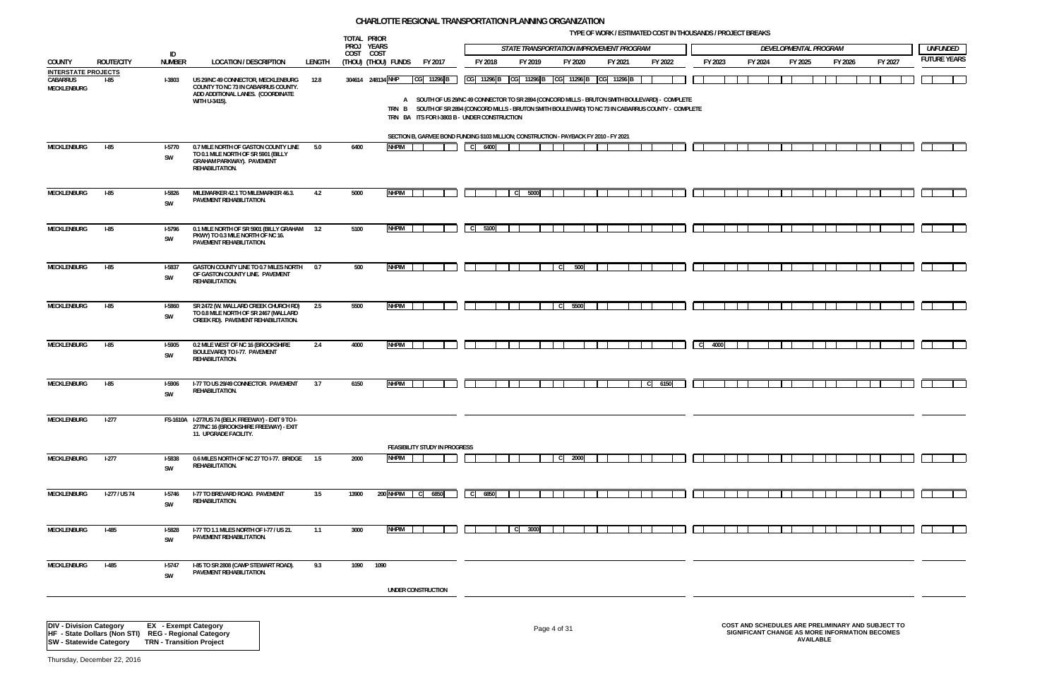**TYPE OF WORK / ESTIMATED COST IN THOUSANDS / PROJECT BREAKS**



|                                                       |                   |                     |                                                                                                                                    |        | TOTAL PRIOR             |                     |                                                                                                                                                                                                                                                                         |                      |      |         |                                             |         |         |                      |         |                       |         |         |                    |
|-------------------------------------------------------|-------------------|---------------------|------------------------------------------------------------------------------------------------------------------------------------|--------|-------------------------|---------------------|-------------------------------------------------------------------------------------------------------------------------------------------------------------------------------------------------------------------------------------------------------------------------|----------------------|------|---------|---------------------------------------------|---------|---------|----------------------|---------|-----------------------|---------|---------|--------------------|
|                                                       |                   | ID                  |                                                                                                                                    |        | PROJ YEARS<br>COST COST |                     |                                                                                                                                                                                                                                                                         |                      |      |         | STATE TRANSPORTATION IMPROVEMENT PROGRAM    |         |         |                      |         | DEVELOPMENTAL PROGRAM |         |         | <b>UNFUNDED</b>    |
| COUNTY                                                | <b>ROUTE/CITY</b> | <b>NUMBER</b>       | <b>LOCATION / DESCRIPTION</b>                                                                                                      | LENGTH |                         | (THOU) (THOU) FUNDS | FY 2017                                                                                                                                                                                                                                                                 | FY 2018              |      | FY 2019 | FY 2020                                     | FY 2021 | FY 2022 | FY 2023              | FY 2024 | FY 2025               | FY 2026 | FY 2027 | <b>FUTURE YEAR</b> |
| <b>INTERSTATE PROJECTS</b><br>CABARRUS<br>MECKLENBURG | $I-85$            | <b>I-3803</b>       | US 29/NC 49 CONNECTOR, MECKLENBURG<br>COUNTY TO NC 73 IN CABARRUS COUNTY.<br>ADD ADDITIONAL LANES. (COORDINATE<br>WITH U-3415).    | 12.8   |                         | 304614 248134 NHP   | CG 11296 B<br>A SOUTH OF US 29/NC 49 CONNECTOR TO SR 2894 (CONCORD MILLS - BRUTON SMITH BOULEVARD) - COMPLETE<br>TRN B SOUTH OF SR 2894 (CONCORD MILLS - BRUTON SMITH BOULEVARD) TO NC 73 IN CABARRUS COUNTY - COMPLETE<br>TRN BA ITS FOR I-3803 B - UNDER CONSTRUCTION |                      |      |         | CG 11296 B CG 11296 B CG 11296 B CG 11296 B |         |         |                      |         |                       |         |         |                    |
|                                                       |                   |                     |                                                                                                                                    |        |                         |                     | SECTION B, GARVEE BOND FUNDING \$103 MILLION; CONSTRUCTION - PAYBACK FY 2010 - FY 2021                                                                                                                                                                                  |                      |      |         |                                             |         |         |                      |         |                       |         |         |                    |
| MECKLENBURG                                           | $I-85$            | <b>I-5770</b><br>SW | 0.7 MILE NORTH OF GASTON COUNTY LINE<br>TO 0.1 MILE NORTH OF SR 5901 (BILLY<br><b>GRAHAM PARKWAY). PAVEMENT</b><br>REHABILITATION. | 5.0    | 6400                    | <b>NHPIM</b>        |                                                                                                                                                                                                                                                                         | $\mathsf{C}$<br>6400 |      |         |                                             |         |         |                      |         |                       |         |         |                    |
| MECKLENBURG                                           | $I-85$            | <b>I-5826</b><br>SW | MILEMARKER 42.1 TO MILEMARKER 46.3.<br>PAVEMENT REHABILITATION.                                                                    | 4.2    | 5000                    | <b>NHPIM</b>        |                                                                                                                                                                                                                                                                         |                      | C    | 5000    |                                             |         |         |                      |         |                       |         |         |                    |
| MECKLENBURG                                           | $I-85$            | I-5796<br>SW        | 0.1 MILE NORTH OF SR 5901 (BILLY GRAHAM 3.2<br>PKWY) TO 0.3 MILE NORTH OF NC 16.<br>PAVEMENT REHABILITATION.                       |        | 5100                    | <b>NHPIM</b>        |                                                                                                                                                                                                                                                                         | 5100<br>$\mathbf{C}$ |      |         |                                             |         |         |                      |         |                       |         |         |                    |
| <b>MECKLENBURG</b>                                    | $I-85$            | <b>I-5837</b><br>SW | GASTON COUNTY LINE TO 0.7 MILES NORTH<br>OF GASTON COUNTY LINE. PAVEMENT<br>REHABILITATION.                                        | 0.7    | 500                     | <b>NHPIM</b>        |                                                                                                                                                                                                                                                                         |                      |      |         | 500<br><sub>c</sub>                         |         |         |                      |         |                       |         |         |                    |
| MECKLENBURG                                           | $I-85$            | <b>I-5860</b><br>SW | SR 2472 (W. MALLARD CREEK CHURCH RD)<br>TO 0.8 MILE NORTH OF SR 2467 (MALLARD<br>CREEK RD). PAVEMENT REHABILITATION.               | 2.5    | 5500                    | <b>NHPIM</b>        |                                                                                                                                                                                                                                                                         |                      |      |         | 5500<br><sub>c</sub>                        |         |         |                      |         |                       |         |         |                    |
| <b>MECKLENBURG</b>                                    | $I-85$            | <b>I-5905</b><br>SW | 0.2 MILE WEST OF NC 16 (BROOKSHIRE<br>BOULEVARD) TO I-77. PAVEMENT<br>REHABILITATION.                                              | 2.4    | 4000                    | <b>NHPIM</b>        |                                                                                                                                                                                                                                                                         |                      |      |         |                                             |         |         | $\mathbf{C}$<br>4000 |         |                       |         |         |                    |
| MECKLENBURG                                           | $I-85$            | <b>I-5906</b><br>SW | I-77 TO US 29/49 CONNECTOR. PAVEMENT<br>REHABILITATION.                                                                            | 3.7    | 6150                    | <b>NHPIM</b>        |                                                                                                                                                                                                                                                                         |                      |      |         |                                             |         | C 6150  |                      |         |                       |         |         |                    |
| MECKLENBURG                                           | $1-277$           |                     | FS-1610A I-277/US 74 (BELK FREEWAY) - EXIT 9 TO I-<br>277/NC 16 (BROOKSHIRE FREEWAY) - EXIT<br>11. UPGRADE FACILITY.               |        |                         |                     |                                                                                                                                                                                                                                                                         |                      |      |         |                                             |         |         |                      |         |                       |         |         |                    |
| MECKLENBURG                                           | $1-277$           | <b>I-5838</b>       | 0.6 MILES NORTH OF NC 27 TO I-77. BRIDGE 1.5                                                                                       |        | 2000                    | <b>NHPIM</b>        | FEASIBILITY STUDY IN PROGRESS                                                                                                                                                                                                                                           |                      |      |         | $C$ 2000                                    |         |         |                      |         |                       |         |         |                    |
|                                                       |                   | SW                  | REHABILITATION.                                                                                                                    |        |                         |                     |                                                                                                                                                                                                                                                                         |                      |      |         |                                             |         |         |                      |         |                       |         |         |                    |
| MECKLENBURG                                           | I-277 / US 74     | <b>I-5746</b><br>SW | I-77 TO BREVARD ROAD. PAVEMENT<br>REHABILITATION.                                                                                  | 3.5    | 13900                   | 200 NHPIM C         | 6850                                                                                                                                                                                                                                                                    | $C$ 6850             |      |         |                                             |         |         |                      |         |                       |         |         |                    |
| MECKLENBURG                                           | $I-485$           | I-5828<br>SW        | I-77 TO 1.1 MILES NORTH OF I-77 / US 21.<br>PAVEMENT REHABILITATION.                                                               | 1.1    | 3000                    | <b>NHPIM</b>        |                                                                                                                                                                                                                                                                         |                      | - CI | 3000    |                                             |         |         |                      |         |                       |         |         |                    |
| MECKLENBURG                                           | $I-485$           | I-5747<br>SW        | I-85 TO SR 2808 (CAMP STEWART ROAD).<br>PAVEMENT REHABILITATION.                                                                   | 9.3    | 1090                    | 1090                |                                                                                                                                                                                                                                                                         |                      |      |         |                                             |         |         |                      |         |                       |         |         |                    |
|                                                       |                   |                     |                                                                                                                                    |        |                         |                     | UNDER CONSTRUCTION                                                                                                                                                                                                                                                      |                      |      |         |                                             |         |         |                      |         |                       |         |         |                    |
|                                                       |                   |                     |                                                                                                                                    |        |                         |                     |                                                                                                                                                                                                                                                                         |                      |      |         |                                             |         |         |                      |         |                       |         |         |                    |

## Page 4 of 31 **COST AND SCHEDULES ARE PRELIMINARY AND SUBJECT TO SIGNIFICANT CHANGE AS MORE INFORMATION BECOMES AVAILABLE**

Thursday, December 22, 2016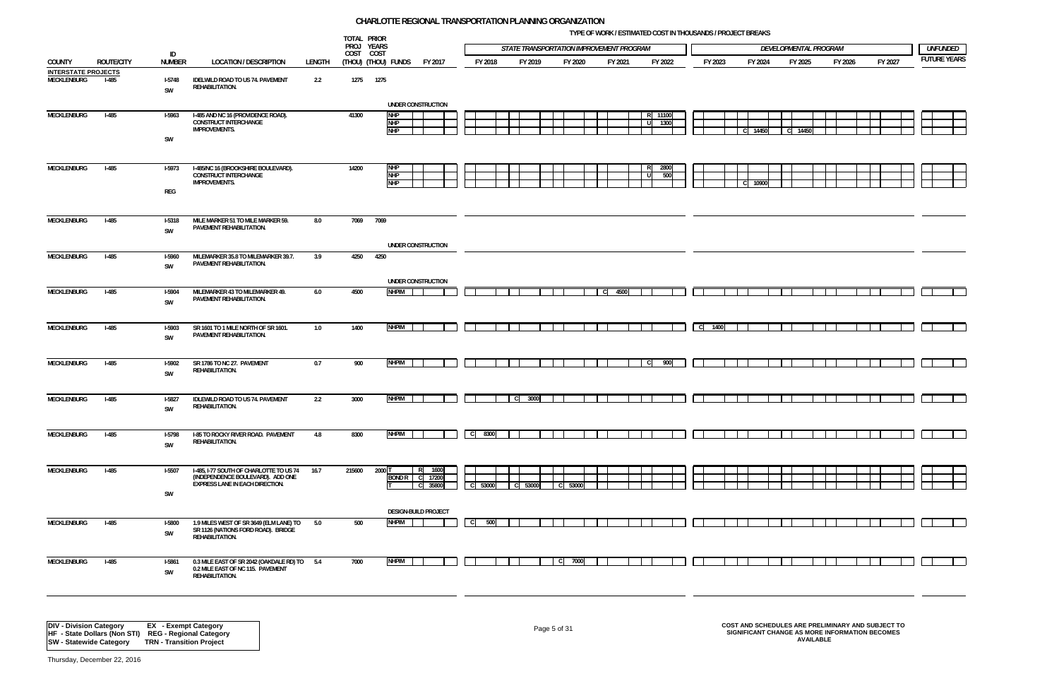**TYPE OF WORK / ESTIMATED COST IN THOUSANDS / PROJECT BREAKS**



|                                           |                   |                                       |                                                                                                                        |        | TOTAL PRIOR             |                                        |                   |                     |             |         |                                          |         |       |               |          | THE OF MORRY EQTIMINATED OOOT IN THOODINNOVIT ROSEDT DRESSING |       |                       |         |         |                    |
|-------------------------------------------|-------------------|---------------------------------------|------------------------------------------------------------------------------------------------------------------------|--------|-------------------------|----------------------------------------|-------------------|---------------------|-------------|---------|------------------------------------------|---------|-------|---------------|----------|---------------------------------------------------------------|-------|-----------------------|---------|---------|--------------------|
|                                           |                   | ID                                    |                                                                                                                        |        | PROJ YEARS<br>COST COST |                                        |                   |                     |             |         | STATE TRANSPORTATION IMPROVEMENT PROGRAM |         |       |               |          |                                                               |       | DEVELOPMENTAL PROGRAM |         |         | <b>UNFUNDED</b>    |
| COUNTY                                    | <b>ROUTE/CITY</b> | <b>NUMBER</b>                         | <b>LOCATION / DESCRIPTION</b>                                                                                          | LENGTH |                         | (Thou) (Thou) funds                    | FY 2017           | FY 2018             |             | FY 2019 | FY 2020                                  | FY 2021 |       | FY 2022       | FY 2023  | FY 2024                                                       |       | FY 2025               | FY 2026 | FY 2027 | <b>FUTURE YEAR</b> |
| <b>INTERSTATE PROJECTS</b><br>MECKLENBURG | $I-485$           | $I-5748$<br>SW                        | IDELWILD ROAD TO US 74. PAVEMENT<br>REHABILITATION.                                                                    | 2.2    | 1275                    | 1275                                   |                   |                     |             |         |                                          |         |       |               |          |                                                               |       |                       |         |         |                    |
|                                           |                   |                                       |                                                                                                                        |        |                         | UNDER CONSTRUCTION                     |                   |                     |             |         |                                          |         |       |               |          |                                                               |       |                       |         |         |                    |
| MECKLENBURG                               | $I-485$           | $I-5963$<br>SW                        | I-485 AND NC 16 (PROVIDENCE ROAD).<br><b>CONSTRUCT INTERCHANGE</b><br><b>IMPROVEMENTS.</b>                             |        | 41300                   | <b>NHP</b><br><b>NHP</b><br><b>NHP</b> |                   |                     |             |         |                                          |         | - 111 | 11100<br>1300 |          |                                                               | 14450 | C 14450               |         |         |                    |
| <b>MECKLENBURG</b>                        | $I-485$           | <b>I-5973</b>                         | I-485/NC 16 (BROOKSHIRE BOULEVARD).                                                                                    |        | 14200                   | <b>NHP</b>                             |                   |                     |             |         |                                          |         | RI    | 2800          |          |                                                               |       |                       |         |         |                    |
|                                           |                   | REG                                   | <b>CONSTRUCT INTERCHANGE</b><br><b>IMPROVEMENTS.</b>                                                                   |        |                         | <b>NHP</b><br><b>NHP</b>               |                   |                     |             |         |                                          |         | l ul  | 500           |          |                                                               | 10900 |                       |         |         |                    |
|                                           |                   |                                       |                                                                                                                        |        |                         |                                        |                   |                     |             |         |                                          |         |       |               |          |                                                               |       |                       |         |         |                    |
| MECKLENBURG                               | $I-485$           | <b>I-5318</b><br>$\textsf{SW}\xspace$ | MILE MARKER 51 TO MILE MARKER 59.<br>PAVEMENT REHABILITATION.                                                          | 8.0    | 7069                    | 7069                                   |                   |                     |             |         |                                          |         |       |               |          |                                                               |       |                       |         |         |                    |
|                                           |                   |                                       |                                                                                                                        |        |                         | UNDER CONSTRUCTION                     |                   |                     |             |         |                                          |         |       |               |          |                                                               |       |                       |         |         |                    |
| MECKLENBURG                               | $I-485$           | <b>I-5960</b><br>SW                   | MILEMARKER 35.8 TO MILEMARKER 39.7.<br>PAVEMENT REHABILITATION.                                                        | 3.9    | 4250                    | 4250                                   |                   |                     |             |         |                                          |         |       |               |          |                                                               |       |                       |         |         |                    |
|                                           |                   |                                       |                                                                                                                        |        |                         | UNDER CONSTRUCTION                     |                   |                     |             |         |                                          |         |       |               |          |                                                               |       |                       |         |         |                    |
| MECKLENBURG                               | $I-485$           | <b>I-5904</b><br>$\textsf{SW}\xspace$ | MILEMARKER 43 TO MILEMARKER 49.<br>PAVEMENT REHABILITATION.                                                            | 6.0    | 4500                    | <b>NHPIM</b>                           |                   |                     |             |         |                                          | C 4500  |       |               |          |                                                               |       |                       |         |         |                    |
|                                           |                   |                                       |                                                                                                                        |        |                         |                                        |                   |                     |             |         |                                          |         |       |               |          |                                                               |       |                       |         |         |                    |
| <b>MECKLENBURG</b>                        | $I-485$           | <b>I-5903</b><br>SW                   | SR 1601 TO 1 MILE NORTH OF SR 1601.<br>PAVEMENT REHABILITATION.                                                        | 1.0    | 1400                    | <b>NHPIM</b>                           |                   |                     |             |         |                                          |         |       |               | $C$ 1400 |                                                               |       |                       |         |         |                    |
|                                           |                   |                                       |                                                                                                                        |        |                         |                                        |                   |                     |             |         |                                          |         |       |               |          |                                                               |       |                       |         |         |                    |
| MECKLENBURG                               | $I-485$           | <b>I-5902</b><br>SW                   | SR 1786 TO NC 27. PAVEMENT<br>REHABILITATION.                                                                          | 0.7    | 900                     | <b>NHPIM</b>                           |                   |                     |             |         |                                          |         | - CI  | 900           |          |                                                               |       |                       |         |         |                    |
| MECKLENBURG                               | $I-485$           | <b>I-5827</b>                         | <b>IDLEWILD ROAD TO US 74. PAVEMENT</b><br>REHABILITATION.                                                             | 2.2    | 3000                    | <b>NHPIM</b>                           |                   |                     | $\mathbf C$ | 3000    |                                          |         |       |               |          |                                                               |       |                       |         |         |                    |
|                                           |                   | SW                                    |                                                                                                                        |        |                         |                                        |                   |                     |             |         |                                          |         |       |               |          |                                                               |       |                       |         |         |                    |
| MECKLENBURG                               | $I-485$           | I-5798                                | I-85 TO ROCKY RIVER ROAD. PAVEMENT<br>REHABILITATION.                                                                  | 4.8    | 8300                    | <b>NHPIM</b>                           |                   | 8300<br>- CI        |             |         |                                          |         |       |               |          |                                                               |       |                       |         |         |                    |
|                                           |                   | SW                                    |                                                                                                                        |        |                         |                                        |                   |                     |             |         |                                          |         |       |               |          |                                                               |       |                       |         |         |                    |
| <b>MECKLENBURG</b>                        | $I-485$           | <b>I-5507</b>                         | I-485, I-77 SOUTH OF CHARLOTTE TO US 74<br>(INDEPENDENCE BOULEVARD). ADD ONE<br><b>EXPRESS LANE IN EACH DIRECTION.</b> | 16.7   | 215600                  | $2000$ T<br><b>BOND R</b>              | R 1600<br>C 17200 |                     |             |         |                                          |         |       |               |          |                                                               |       |                       |         |         |                    |
|                                           |                   | SW                                    |                                                                                                                        |        |                         |                                        | C 35800           | C 53000             | C 53000     |         | 53000<br>l cl                            |         |       |               |          |                                                               |       |                       |         |         |                    |
|                                           |                   |                                       |                                                                                                                        |        |                         | <b>DESIGN-BUILD PROJECT</b>            |                   |                     |             |         |                                          |         |       |               |          |                                                               |       |                       |         |         |                    |
| MECKLENBURG                               | $I-485$           | <b>I-5800</b><br>SW                   | 1.9 MILES WEST OF SR 3649 (ELM LANE) TO<br>SR 1126 (NATIONS FORD ROAD). BRIDGE<br>REHABILITATION.                      | 5.0    | 500                     | <b>NHPIM</b>                           |                   | 500<br>$\mathsf{C}$ |             |         |                                          |         |       |               |          |                                                               |       |                       |         |         |                    |
|                                           |                   |                                       |                                                                                                                        |        |                         |                                        |                   |                     |             |         |                                          |         |       |               |          |                                                               |       |                       |         |         |                    |
| MECKLENBURG                               | $I-485$           | $I-5861$<br>SW                        | 0.3 MILE EAST OF SR 2042 (OAKDALE RD) TO 5.4<br>0.2 MILE EAST OF NC 115. PAVEMENT<br>REHABILITATION.                   |        | 7000                    | <b>NHPIM</b>                           |                   |                     |             |         | 7000<br>$\mathbf{C}$                     |         |       |               |          |                                                               |       |                       |         |         |                    |
|                                           |                   |                                       |                                                                                                                        |        |                         |                                        |                   |                     |             |         |                                          |         |       |               |          |                                                               |       |                       |         |         |                    |

Page 5 of 31 **COST AND SCHEDULES ARE PRELIMINARY AND SUBJECT TO SIGNIFICANT CHANGE AS MORE INFORMATION BECOMES AVAILABLE**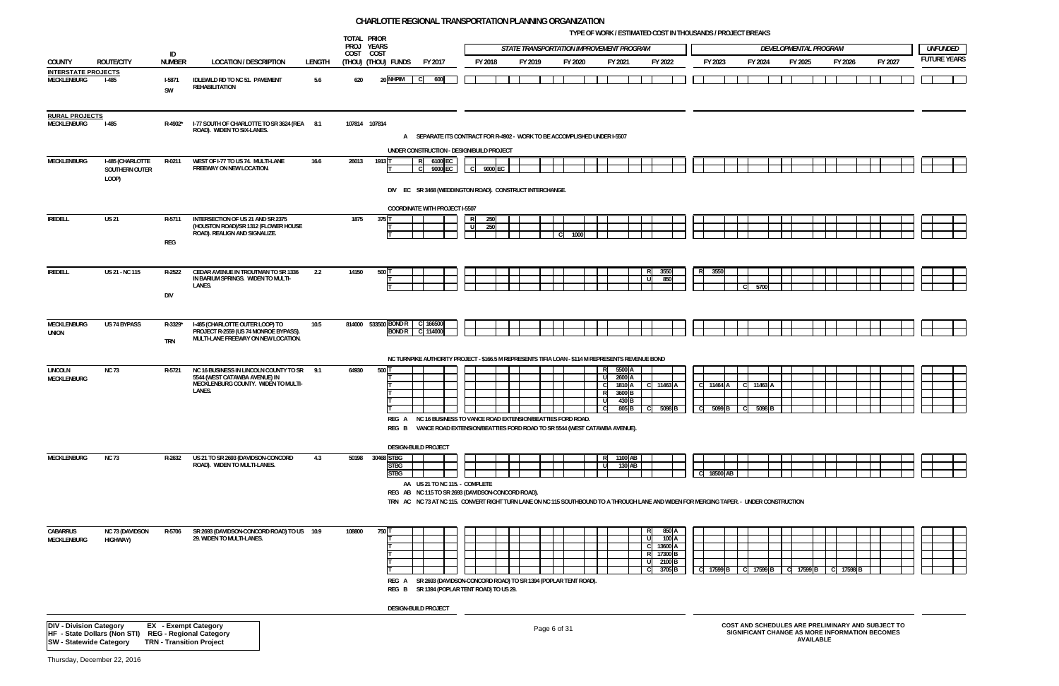**TYPE OF WORK / ESTIMATED COST IN THOUSANDS / PROJECT BREAKS**



|                                                     |                                                      |                                      |                                                                                                                              |               | TOTAL PRIOR<br>PROJ YEARS |                                          |                                                                                                                                                                                                                                                                |      |            |                                          |              |         | <b>IFFE OF WORN / ESTIMATED COST IN THOUSANDS / PROJECT DREANS</b> |                                                                   |                   |                                                                     |              |                                |      |                    |                       |         |                                                                                                     |         |                                       |
|-----------------------------------------------------|------------------------------------------------------|--------------------------------------|------------------------------------------------------------------------------------------------------------------------------|---------------|---------------------------|------------------------------------------|----------------------------------------------------------------------------------------------------------------------------------------------------------------------------------------------------------------------------------------------------------------|------|------------|------------------------------------------|--------------|---------|--------------------------------------------------------------------|-------------------------------------------------------------------|-------------------|---------------------------------------------------------------------|--------------|--------------------------------|------|--------------------|-----------------------|---------|-----------------------------------------------------------------------------------------------------|---------|---------------------------------------|
|                                                     |                                                      | ID                                   |                                                                                                                              |               | COST COST                 |                                          |                                                                                                                                                                                                                                                                |      |            | STATE TRANSPORTATION IMPROVEMENT PROGRAM |              |         |                                                                    |                                                                   |                   |                                                                     |              |                                |      |                    | DEVELOPMENTAL PROGRAM |         |                                                                                                     |         | <b>UNFUNDED</b><br><b>FUTURE YEAR</b> |
| COUNTY<br><b>INTERSTATE PROJECTS</b><br>MECKLENBURG | <b>ROUTE/CITY</b><br><b>I-485</b>                    | <b>NUMBER</b><br><b>I-5871</b><br>SW | <b>LOCATION / DESCRIPTION</b><br>IDLEWILD RD TO NC 51. PAVEMENT<br><b>REHABILITATION</b>                                     | LENGTH<br>5.6 | 620                       | (THOU) (THOU) FUNDS<br>20 NHPIM          | FY 2017<br>600<br>C)                                                                                                                                                                                                                                           |      | FY 2018    | FY 2019                                  |              | FY 2020 | FY 2021                                                            |                                                                   | FY 2022           |                                                                     |              | FY 2023                        |      | FY 2024            | FY 2025               | FY 2026 |                                                                                                     | FY 2027 |                                       |
| <b>RURAL PROJECTS</b><br>MECKLENBURG                | <b>I-485</b>                                         |                                      | R-4902* I-77 SOUTH OF CHARLOTTE TO SR 3624 (REA 8.1<br>ROAD). WIDEN TO SIX-LANES.                                            |               | 107814 107814             |                                          | A SEPARATE ITS CONTRACT FOR R-4902 - WORK TO BE ACCOMPLISHED UNDER I-5507                                                                                                                                                                                      |      |            |                                          |              |         |                                                                    |                                                                   |                   |                                                                     |              |                                |      |                    |                       |         |                                                                                                     |         |                                       |
| MECKLENBURG                                         | I-485 (CHARLOTTE<br>SOUTHERN OUTER<br>LOOP)          | R-0211                               | WEST OF I-77 TO US 74. MULTI-LANE<br>FREEWAY ON NEW LOCATION.                                                                | 16.6          | 26013                     | 1913 T                                   | UNDER CONSTRUCTION - DESIGN/BUILD PROJECT<br>6100 EC<br>R<br>9000 EC<br>DIV EC SR 3468 (WEDDINGTON ROAD). CONSTRUCT INTERCHANGE.                                                                                                                               | l cl | 9000 EC    |                                          |              |         |                                                                    |                                                                   |                   |                                                                     |              |                                |      |                    |                       |         |                                                                                                     |         |                                       |
| <b>IREDELL</b>                                      | <b>US 21</b>                                         | R-5711<br>REG                        | INTERSECTION OF US 21 AND SR 2375<br>(HOUSTON ROAD)/SR 1312 (FLOWER HOUSE<br>ROAD). REALIGN AND SIGNALIZE.                   |               | 1875                      | 375 T                                    | <b>COORDINATE WITH PROJECT I-5507</b>                                                                                                                                                                                                                          |      | 250<br>250 |                                          |              | 1000    |                                                                    |                                                                   |                   |                                                                     |              |                                |      |                    |                       |         |                                                                                                     |         |                                       |
| <b>IREDELL</b>                                      | US 21 - NC 115                                       | R-2522<br>DIV                        | CEDAR AVENUE IN TROUTMAN TO SR 1336<br>IN BARIUM SPRINGS. WIDEN TO MULTI-<br>LANES.                                          | 2.2           | 14150                     | 500 T                                    |                                                                                                                                                                                                                                                                |      |            |                                          |              |         |                                                                    |                                                                   |                   | 3550<br>850                                                         | R.           | 3550                           |      | 5700               |                       |         |                                                                                                     |         |                                       |
| MECKLENBURG<br><b>UNION</b>                         | US 74 BYPASS                                         | R-3329*<br><b>TRN</b>                | I-485 (CHARLOTTE OUTER LOOP) TO<br>PROJECT R-2559 (US 74 MONROE BYPASS).<br>MULTI-LANE FREEWAY ON NEW LOCATION.              | 10.5          |                           | 814000 533500 BOND R<br><b>BONDR</b>     | 166500<br>-C<br>C 114000                                                                                                                                                                                                                                       |      |            |                                          |              |         |                                                                    |                                                                   |                   |                                                                     |              |                                |      |                    |                       |         |                                                                                                     |         |                                       |
| <b>LINCOLN</b><br>MECKLENBURG                       | <b>NC 73</b>                                         | R-5721                               | NC 16 BUSINESS IN LINCOLN COUNTY TO SR 9.1<br>5544 (WEST CATAWBA AVENUE) IN<br>MECKLENBURG COUNTY. WIDEN TO MULTI-<br>LANES. |               | 64930                     | 500 T                                    | NC TURNPIKE AUTHORITY PROJECT - \$166.5 M REPRESENTS TIFIA LOAN - \$114 M REPRESENTS REVENUE BOND<br>REG A NC 16 BUSINESS TO VANCE ROAD EXTENSION/BEATTIES FORD ROAD.<br>REG B VANCE ROAD EXTENSION/BEATTIES FORD ROAD TO SR 5544 (WEST CATAWBA AVENUE).       |      |            |                                          |              |         | RI<br>R                                                            | 5500 A<br>2600 A<br>1810 A<br>3600 <sub>B</sub><br>430 B<br>805 B | C 11463 A<br>- CI | 5098 <sub>B</sub>                                                   | $\mathsf{C}$ | C 11464 A<br>5099 <sub>B</sub> |      | C 11463<br>5098    |                       |         |                                                                                                     |         |                                       |
| <b>MECKLENBURG</b>                                  | <b>NC 73</b>                                         | R-2632                               | US 21 TO SR 2693 (DAVIDSON-CONCORD<br>ROAD). WIDEN TO MULTI-LANES.                                                           | 4.3           | 50198                     | 30468 STBG<br><b>STBG</b><br><b>STBG</b> | <b>DESIGN-BUILD PROJECT</b><br>AA US 21 TO NC 115. - COMPLETE<br>REG AB NC 115 TO SR 2693 (DAVIDSON-CONCORD ROAD).<br>TRN AC NC 73 AT NC 115. CONVERT RIGHT TURN LANE ON NC 115 SOUTHBOUND TO A THROUGH LANE AND WIDEN FOR MERGING TAPER. - UNDER CONSTRUCTION |      |            |                                          |              |         |                                                                    | 1100 AB<br>$130$ AB                                               |                   |                                                                     |              | C 18500 AB                     |      |                    |                       |         |                                                                                                     |         |                                       |
| <b>CABARRUS</b><br>MECKLENBURG                      | <b>NC 73 (DAVIDSON</b><br>HIGHWAY)                   | R-5706                               | SR 2693 (DAVIDSON-CONCORD ROAD) TO US 10.9<br>29. WIDEN TO MULTI-LANES.                                                      |               | 108800                    | 750 T<br>REG B                           | REG A SR 2693 (DAVIDSON-CONCORD ROAD) TO SR 1394 (POPLAR TENT ROAD).<br>SR 1394 (POPLAR TENT ROAD) TO US 29.                                                                                                                                                   |      |            |                                          |              |         |                                                                    |                                                                   |                   | 850 A<br>100 A<br>13600 A<br>17300 B<br>2100 B<br>3705 <sub>B</sub> |              | C 17599 B                      | -C I | 17599 <sub>B</sub> | C 17599 B             | 17598   |                                                                                                     |         |                                       |
|                                                     |                                                      |                                      |                                                                                                                              |               |                           |                                          | <b>DESIGN-BUILD PROJECT</b>                                                                                                                                                                                                                                    |      |            |                                          |              |         |                                                                    |                                                                   |                   |                                                                     |              |                                |      |                    |                       |         |                                                                                                     |         |                                       |
| <b>DIV - Division Category</b>                      | HF - State Dollars (Non STI) REG - Regional Category |                                      | <b>EX</b> - Exempt Category                                                                                                  |               |                           |                                          |                                                                                                                                                                                                                                                                |      |            |                                          | Page 6 of 31 |         |                                                                    |                                                                   |                   |                                                                     |              |                                |      |                    |                       |         | COST AND SCHEDULES ARE PRELIMINARY AND SUBJECT TO<br>SIGNIFICANT CHANGE AS MORE INFORMATION BECOMES |         |                                       |

Page 6 of 31 **COST AND SCHEDULES ARE PRELIMINARY AND SUBJECT TO SIGNIFICANT CHANGE AS MORE INFORMATION BECOMES AVAILABLE**

**SW - Statewide Category TRN - Transition Project**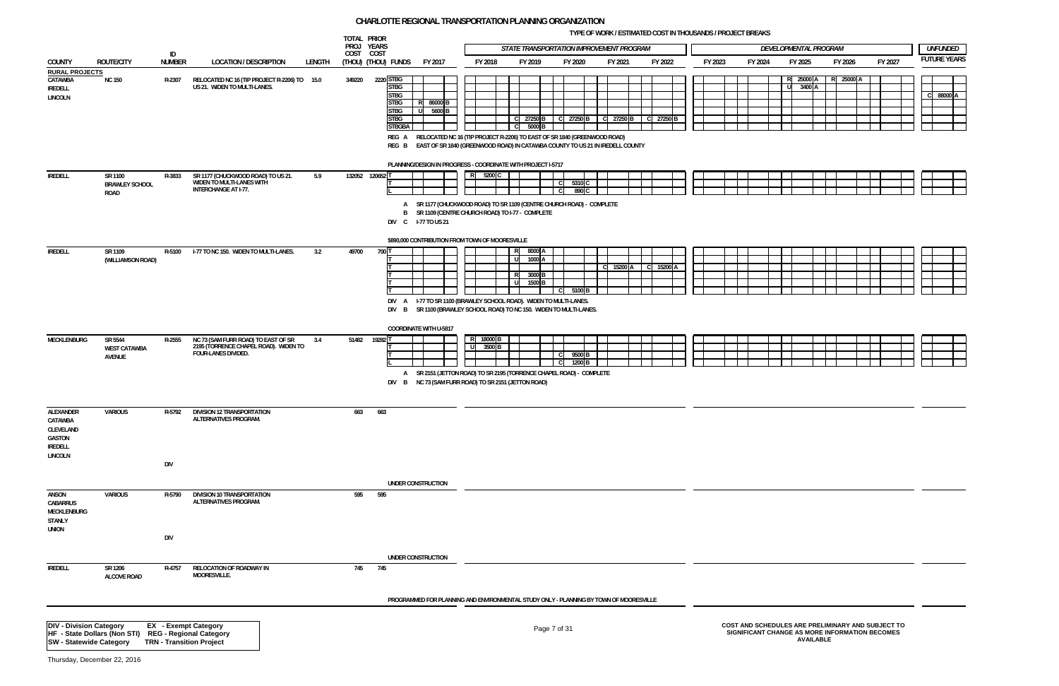**TYPE OF WORK / ESTIMATED COST IN THOUSANDS / PROJECT BREAKS**

| c | 88000 A |  |
|---|---------|--|
|   |         |  |
|   |         |  |
|   |         |  |
|   |         |  |

|                                                                          |                                                      |                     |                                                                                                                   | TOTAL PRIOR<br>PROJ YEARS |                                                                                                                                                                                                                                       |         |                   |                                                   | STATE TRANSPORTATION IMPROVEMENT PROGRAM |             |           |  |         |         |      | DEVELOPMENTAL PROGRAM                                                                                                   |         |         |  | <b>UNFUNDED</b>     |
|--------------------------------------------------------------------------|------------------------------------------------------|---------------------|-------------------------------------------------------------------------------------------------------------------|---------------------------|---------------------------------------------------------------------------------------------------------------------------------------------------------------------------------------------------------------------------------------|---------|-------------------|---------------------------------------------------|------------------------------------------|-------------|-----------|--|---------|---------|------|-------------------------------------------------------------------------------------------------------------------------|---------|---------|--|---------------------|
| <b>COUNTY</b>                                                            | <b>ROUTE/CITY</b>                                    | ID<br><b>NUMBER</b> | <b>LOCATION / DESCRIPTION</b><br>LENGTH                                                                           | COST COST                 | FY 2017<br>(Thou) (Thou) funds                                                                                                                                                                                                        | FY 2018 |                   | FY 2019                                           | FY 2020                                  | FY 2021     | FY 2022   |  | FY 2023 | FY 2024 |      | FY 2025                                                                                                                 | FY 2026 | FY 2027 |  | <b>FUTURE YEARS</b> |
| <b>RURAL PROJECTS</b><br>CATAWBA<br><b>IREDELL</b><br><b>LINCOLN</b>     | <b>NC 150</b>                                        | R-2307              | RELOCATED NC 16 (TIP PROJECT R-2206) TO 15.0<br>US 21. WIDEN TO MULTI-LANES.                                      | 349220                    | 2220 STBG<br><b>STBG</b><br><b>STBG</b><br><b>STBG</b><br>R 86000 B<br><b>STBG</b><br>5600 B<br>- UL<br><b>STBG</b><br><b>STBGBA</b>                                                                                                  |         | C.                | C 27250 B<br>5000 B                               | C 27250 B                                | $C$ 27250 B | C 27250 B |  |         |         | l ul | R 25000 A R 25000 A<br>3400 A                                                                                           |         |         |  | C 88000 A           |
| <b>IREDELL</b>                                                           | SR 1100<br><b>BRAWLEY SCHOOL</b>                     | R-3833              | SR 1177 (CHUCKWOOD ROAD) TO US 21.<br>5.9<br>WIDEN TO MULTI-LANES WITH                                            | 132052 120652 T           | REG A RELOCATED NC 16 (TIP PROJECT R-2206) TO EAST OF SR 1840 (GREENWOOD ROAD)<br>REG B EAST OF SR 1840 (GREENWOOD ROAD) IN CATAWBA COUNTY TO US 21 IN IREDELL COUNTY<br>PLANNING/DESIGN IN PROGRESS - COORDINATE WITH PROJECT I-5717 | R       | 5200 C            |                                                   | 5310 C<br>$\mathsf{C}$                   |             |           |  |         |         |      |                                                                                                                         |         |         |  |                     |
|                                                                          | ROAD                                                 |                     | <b>INTERCHANGE AT I-77.</b>                                                                                       |                           | A SR 1177 (CHUCKWOOD ROAD) TO SR 1109 (CENTRE CHURCH ROAD) - COMPLETE<br>B SR 1109 (CENTRE CHURCH ROAD) TO I-77 - COMPLETE<br>DIV C 1-77 TO US 21<br>\$890,000 CONTRIBUTION FROM TOWN OF MOORESVILLE                                  |         |                   |                                                   | 890 C<br>C.                              |             |           |  |         |         |      |                                                                                                                         |         |         |  |                     |
| <b>IREDELL</b>                                                           | SR 1109<br>(WILLIAMSON ROAD)                         | R-5100              | I-77 TO NC 150. WIDEN TO MULTI-LANES.<br>3.2                                                                      | 49700                     | 700 T<br>DIV A I-77 TO SR 1100 (BRAWLEY SCHOOL ROAD). WIDEN TO MULTI-LANES.<br>DIV B SR 1100 (BRAWLEY SCHOOL ROAD) TO NC 150. WIDEN TO MULTI-LANES.                                                                                   |         | R<br>- UL<br>- UL | 8000 A<br>1000 A<br>R 3000 B<br>1500 <sub>B</sub> | 5100 <sub>B</sub><br><sub>c</sub>        | 15200 A     | 15200 A   |  |         |         |      |                                                                                                                         |         |         |  |                     |
| <b>MECKLENBURG</b>                                                       | SR 5544<br><b>WEST CATAWBA</b><br>AVENUE             | R-2555              | NC 73 (SAM FURR ROAD) TO EAST OF SR<br>3.4<br>2195 (TORRENCE CHAPEL ROAD). WIDEN TO<br><b>FOUR-LANES DIVIDED.</b> | 51482 19282 <sup>T</sup>  | <b>COORDINATE WITH U-5817</b><br>A SR 2151 (JETTON ROAD) TO SR 2195 (TORRENCE CHAPEL ROAD) - COMPLETE<br>DIV B NC 73 (SAM FURR ROAD) TO SR 2151 (JETTON ROAD)                                                                         | R.      | 18000 B<br>3500 B |                                                   | 9500 <sub>B</sub><br>C.<br>1200 B<br>- C |             |           |  |         |         |      |                                                                                                                         |         |         |  |                     |
| ALEXANDER<br>CATAWBA<br>CLEVELAND<br>GASTON<br>IREDELL<br><b>LINCOLN</b> | <b>VARIOUS</b>                                       | R-5792<br>DIV       | DIVISION 12 TRANSPORTATION<br>ALTERNATIVES PROGRAM.                                                               | 663                       | 663                                                                                                                                                                                                                                   |         |                   |                                                   |                                          |             |           |  |         |         |      |                                                                                                                         |         |         |  |                     |
|                                                                          |                                                      |                     |                                                                                                                   |                           | UNDER CONSTRUCTION                                                                                                                                                                                                                    |         |                   |                                                   |                                          |             |           |  |         |         |      |                                                                                                                         |         |         |  |                     |
| ANSON<br>CABARRUS<br><b>MECKLENBURG</b><br><b>STANLY</b><br><b>UNION</b> | <b>VARIOUS</b>                                       | R-5790              | DIVISION 10 TRANSPORTATION<br>ALTERNATIVES PROGRAM.                                                               | 595                       | 595                                                                                                                                                                                                                                   |         |                   |                                                   |                                          |             |           |  |         |         |      |                                                                                                                         |         |         |  |                     |
|                                                                          |                                                      | DIV                 |                                                                                                                   |                           |                                                                                                                                                                                                                                       |         |                   |                                                   |                                          |             |           |  |         |         |      |                                                                                                                         |         |         |  |                     |
| <b>IREDELL</b>                                                           | SR 1206<br>ALCOVE ROAD                               | R-4757              | RELOCATION OF ROADWAY IN<br>MOORESVILLE.                                                                          |                           | UNDER CONSTRUCTION<br>745 745                                                                                                                                                                                                         |         |                   |                                                   |                                          |             |           |  |         |         |      |                                                                                                                         |         |         |  |                     |
|                                                                          |                                                      |                     |                                                                                                                   |                           | PROGRAMMED FOR PLANNING AND ENVIRONMENTAL STUDY ONLY - PLANNING BY TOWN OF MOORESVILLE                                                                                                                                                |         |                   |                                                   |                                          |             |           |  |         |         |      |                                                                                                                         |         |         |  |                     |
| <b>DIV - Division Category</b><br><b>SW - Statewide Category</b>         | HF - State Dollars (Non STI) REG - Regional Category |                     | <b>EX</b> - Exempt Category<br><b>TRN - Transition Project</b>                                                    |                           |                                                                                                                                                                                                                                       |         |                   |                                                   | Page 7 of 31                             |             |           |  |         |         |      | COST AND SCHEDULES ARE PRELIMINARY AND SUBJECT TO<br>SIGNIFICANT CHANGE AS MORE INFORMATION BECOMES<br><b>AVAILABLE</b> |         |         |  |                     |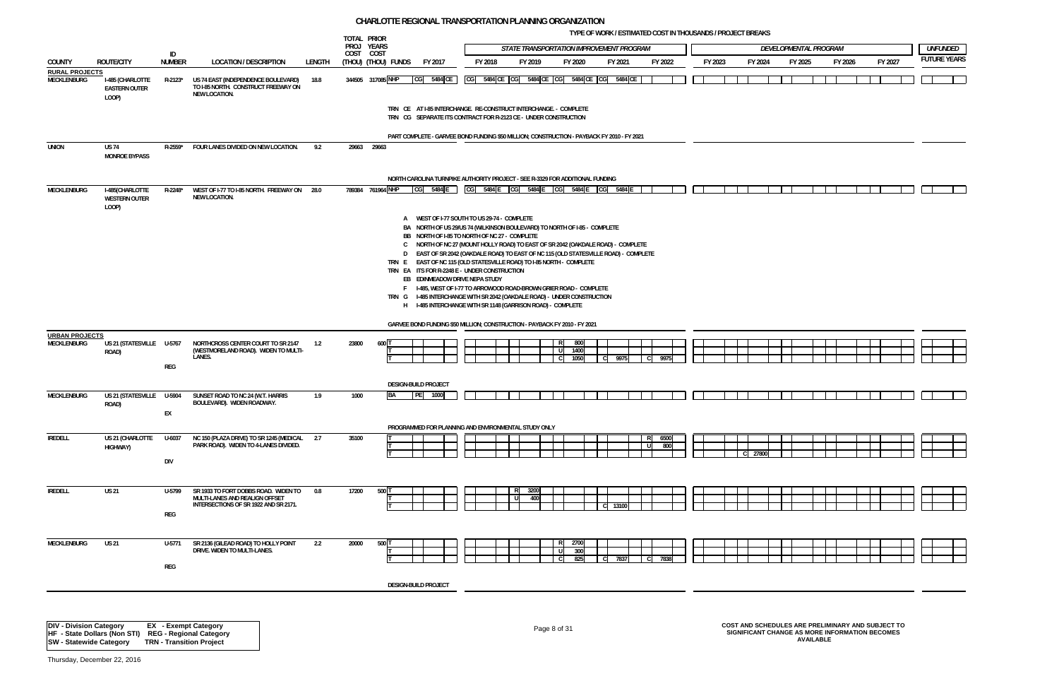**TYPE OF WORK / ESTIMATED COST IN THOUSANDS / PROJECT BREAKS**



|                                      |                                                   |               |                                                                                                    |         | TOTAL PRIOR             |                     |                                                                                                                                                              |                                             |      |             |                                          |              |         |    |             |         |         |       |                       |         |         |                    |
|--------------------------------------|---------------------------------------------------|---------------|----------------------------------------------------------------------------------------------------|---------|-------------------------|---------------------|--------------------------------------------------------------------------------------------------------------------------------------------------------------|---------------------------------------------|------|-------------|------------------------------------------|--------------|---------|----|-------------|---------|---------|-------|-----------------------|---------|---------|--------------------|
|                                      |                                                   | ID            |                                                                                                    |         | PROJ YEARS<br>COST COST |                     |                                                                                                                                                              |                                             |      |             | STATE TRANSPORTATION IMPROVEMENT PROGRAM |              |         |    |             |         |         |       | DEVELOPMENTAL PROGRAM |         |         | <b>UNFUNDED</b>    |
| <b>COUNTY</b>                        | <b>ROUTE/CITY</b>                                 | <b>NUMBER</b> | <b>LOCATION / DESCRIPTION</b>                                                                      | LENGTH  |                         | (Thou) (Thou) funds | FY 2017                                                                                                                                                      | FY 2018                                     |      | FY 2019     | FY 2020                                  |              | FY 2021 |    | FY 2022     | FY 2023 | FY 2024 |       | FY 2025               | FY 2026 | FY 2027 | <b>FUTURE YEAR</b> |
| <b>RURAL PROJECTS</b><br>MECKLENBURG | I-485 (CHARLOTTE<br><b>EASTERN OUTER</b><br>LOOP) | R-2123*       | US 74 EAST (INDEPENDENCE BOULEVARD)<br>TO I-85 NORTH. CONSTRUCT FREEWAY ON<br><b>NEW LOCATION.</b> | 18.8    |                         | 344505 317085 NHP   | CG 5484 CE                                                                                                                                                   | CG 5484 CE CG 5484 CE CG 5484 CE CG 5484 CE |      |             |                                          |              |         |    |             |         |         |       |                       |         |         |                    |
|                                      |                                                   |               |                                                                                                    |         |                         |                     | TRN CE AT I-85 INTERCHANGE. RE-CONSTRUCT INTERCHANGE. - COMPLETE<br>TRN CG SEPARATE ITS CONTRACT FOR R-2123 CE - UNDER CONSTRUCTION                          |                                             |      |             |                                          |              |         |    |             |         |         |       |                       |         |         |                    |
|                                      |                                                   |               |                                                                                                    |         |                         |                     | PART COMPLETE - GARVEE BOND FUNDING \$50 MILLION; CONSTRUCTION - PAYBACK FY 2010 - FY 2021                                                                   |                                             |      |             |                                          |              |         |    |             |         |         |       |                       |         |         |                    |
| <b>UNION</b>                         | US 74<br><b>MONROE BYPASS</b>                     | R-2559*       | FOUR LANES DIVIDED ON NEW LOCATION.                                                                | 9.2     | 29663 29663             |                     |                                                                                                                                                              |                                             |      |             |                                          |              |         |    |             |         |         |       |                       |         |         |                    |
|                                      |                                                   |               |                                                                                                    |         |                         |                     | NORTH CAROLINA TURNPIKE AUTHORITY PROJECT - SEE R-3329 FOR ADDITIONAL FUNDING                                                                                |                                             |      |             |                                          |              |         |    |             |         |         |       |                       |         |         |                    |
| <b>MECKLENBURG</b>                   | I-485(CHARLOTTE<br><b>WESTERN OUTER</b><br>LOOP)  | R-2248*       | WEST OF I-77 TO I-85 NORTH. FREEWAY ON 28.0<br><b>NEW LOCATION.</b>                                |         |                         | 789384 761964 NHP   | CG<br>5484 E                                                                                                                                                 | CG 5484 E CG 5484 E CG 5484 E CG 5484 E     |      |             |                                          |              |         |    |             |         |         |       |                       |         |         |                    |
|                                      |                                                   |               |                                                                                                    |         |                         |                     | A WEST OF 1-77 SOUTH TO US 29-74 - COMPLETE                                                                                                                  |                                             |      |             |                                          |              |         |    |             |         |         |       |                       |         |         |                    |
|                                      |                                                   |               |                                                                                                    |         |                         |                     | BA NORTH OF US 29/US 74 (WILKINSON BOULEVARD) TO NORTH OF I-85 - COMPLETE<br>BB NORTH OF 1-85 TO NORTH OF NC 27 - COMPLETE                                   |                                             |      |             |                                          |              |         |    |             |         |         |       |                       |         |         |                    |
|                                      |                                                   |               |                                                                                                    |         |                         |                     | C NORTH OF NC 27 (MOUNT HOLLY ROAD) TO EAST OF SR 2042 (OAKDALE ROAD) - COMPLETE                                                                             |                                             |      |             |                                          |              |         |    |             |         |         |       |                       |         |         |                    |
|                                      |                                                   |               |                                                                                                    |         |                         |                     | D EAST OF SR 2042 (OAKDALE ROAD) TO EAST OF NC 115 (OLD STATESVILLE ROAD) - COMPLETE<br>TRN E EAST OF NC 115 (OLD STATESVILLE ROAD) TO I-85 NORTH - COMPLETE |                                             |      |             |                                          |              |         |    |             |         |         |       |                       |         |         |                    |
|                                      |                                                   |               |                                                                                                    |         |                         |                     | TRN EA ITS FOR R-2248 E - UNDER CONSTRUCTION<br>EB EDINMEADOW DRIVE NEPA STUDY                                                                               |                                             |      |             |                                          |              |         |    |             |         |         |       |                       |         |         |                    |
|                                      |                                                   |               |                                                                                                    |         |                         |                     | F I-485, WEST OF I-77 TO ARROWOOD ROAD-BROWN GRIER ROAD - COMPLETE                                                                                           |                                             |      |             |                                          |              |         |    |             |         |         |       |                       |         |         |                    |
|                                      |                                                   |               |                                                                                                    |         |                         |                     | TRN G I-485 INTERCHANGE WITH SR 2042 (OAKDALE ROAD) - UNDER CONSTRUCTION<br>H I-485 INTERCHANGE WITH SR 1148 (GARRISON ROAD) - COMPLETE                      |                                             |      |             |                                          |              |         |    |             |         |         |       |                       |         |         |                    |
|                                      |                                                   |               |                                                                                                    |         |                         |                     |                                                                                                                                                              |                                             |      |             |                                          |              |         |    |             |         |         |       |                       |         |         |                    |
|                                      |                                                   |               |                                                                                                    |         |                         |                     | GARVEE BOND FUNDING \$50 MILLION; CONSTRUCTION - PAYBACK FY 2010 - FY 2021                                                                                   |                                             |      |             |                                          |              |         |    |             |         |         |       |                       |         |         |                    |
| <b>URBAN PROJECTS</b><br>MECKLENBURG | US 21 (STATESVILLE U-5767                         |               | NORTHCROSS CENTER COURT TO SR 2147                                                                 | 1.2     | 23800                   | 600 <sup>1</sup>    |                                                                                                                                                              |                                             |      |             | 800<br>-R.                               |              |         |    |             |         |         |       |                       |         |         |                    |
|                                      | ROAD)                                             |               | (WESTMORELAND ROAD). WIDEN TO MULTI-<br>LANES.                                                     |         |                         |                     |                                                                                                                                                              |                                             |      |             | 1400<br>-UI<br>1050<br>-CI               | $\mathbf{C}$ | 9975    |    | 9975        |         |         |       |                       |         |         |                    |
|                                      |                                                   | REG           |                                                                                                    |         |                         |                     |                                                                                                                                                              |                                             |      |             |                                          |              |         |    |             |         |         |       |                       |         |         |                    |
|                                      |                                                   |               |                                                                                                    |         |                         |                     | <b>DESIGN-BUILD PROJECT</b>                                                                                                                                  |                                             |      |             |                                          |              |         |    |             |         |         |       |                       |         |         |                    |
| MECKLENBURG                          | US 21 (STATESVILLE U-5904<br>ROAD)                |               | SUNSET ROAD TO NC 24 (W.T. HARRIS<br>BOULEVARD). WIDEN ROADWAY.                                    | 1.9     | 1000                    | <b>BA</b>           | PE <br>1000                                                                                                                                                  |                                             |      |             |                                          |              |         |    |             |         |         |       |                       |         |         |                    |
|                                      |                                                   | EX            |                                                                                                    |         |                         |                     |                                                                                                                                                              |                                             |      |             |                                          |              |         |    |             |         |         |       |                       |         |         |                    |
|                                      |                                                   |               |                                                                                                    |         |                         |                     | PROGRAMMED FOR PLANNING AND ENVIRONMENTAL STUDY ONLY                                                                                                         |                                             |      |             |                                          |              |         |    |             |         |         |       |                       |         |         |                    |
| <b>IREDELL</b>                       | US 21 (CHARLOTTE<br>HIGHWAY)                      | U-6037        | NC 150 (PLAZA DRIVE) TO SR 1245 (MEDICAL 2.7<br>PARK ROAD). WIDEN TO 4-LANES DIVIDED.              |         | 35100                   |                     |                                                                                                                                                              |                                             |      |             |                                          |              |         |    | 6500<br>800 |         |         |       |                       |         |         |                    |
|                                      |                                                   |               |                                                                                                    |         |                         |                     |                                                                                                                                                              |                                             |      |             |                                          |              |         |    |             |         |         | 27800 |                       |         |         |                    |
|                                      |                                                   | DIV           |                                                                                                    |         |                         |                     |                                                                                                                                                              |                                             |      |             |                                          |              |         |    |             |         |         |       |                       |         |         |                    |
|                                      |                                                   |               |                                                                                                    |         |                         |                     |                                                                                                                                                              |                                             |      |             |                                          |              |         |    |             |         |         |       |                       |         |         |                    |
| <b>IREDELL</b>                       | <b>US 21</b>                                      | U-5799        | SR 1933 TO FORT DOBBS ROAD. WIDEN TO<br>MULTI-LANES AND REALIGN OFFSET                             | $0.8\,$ | 17200                   | 500 T               |                                                                                                                                                              |                                             | - UL | 3200<br>400 |                                          |              |         |    |             |         |         |       |                       |         |         |                    |
|                                      |                                                   | REG           | INTERSECTIONS OF SR 1922 AND SR 2171.                                                              |         |                         |                     |                                                                                                                                                              |                                             |      |             |                                          |              | 13100   |    |             |         |         |       |                       |         |         |                    |
|                                      |                                                   |               |                                                                                                    |         |                         |                     |                                                                                                                                                              |                                             |      |             |                                          |              |         |    |             |         |         |       |                       |         |         |                    |
| <b>MECKLENBURG</b>                   | <b>US 21</b>                                      | U-5771        | SR 2136 (GILEAD ROAD) TO HOLLY POINT                                                               | 2.2     | 20000                   | 500 T               |                                                                                                                                                              |                                             |      |             | 2700<br>-R.                              |              |         |    |             |         |         |       |                       |         |         |                    |
|                                      |                                                   |               | DRIVE. WIDEN TO MULTI-LANES.                                                                       |         |                         |                     |                                                                                                                                                              |                                             |      |             | 300<br>-UI<br>825<br>-C.                 | - CI         | 7837    | C. | 7838        |         |         |       |                       |         |         |                    |
|                                      |                                                   | REG           |                                                                                                    |         |                         |                     |                                                                                                                                                              |                                             |      |             |                                          |              |         |    |             |         |         |       |                       |         |         |                    |
|                                      |                                                   |               |                                                                                                    |         |                         |                     | <b>DESIGN-BUILD PROJECT</b>                                                                                                                                  |                                             |      |             |                                          |              |         |    |             |         |         |       |                       |         |         |                    |
|                                      |                                                   |               |                                                                                                    |         |                         |                     |                                                                                                                                                              |                                             |      |             |                                          |              |         |    |             |         |         |       |                       |         |         |                    |
|                                      |                                                   |               |                                                                                                    |         |                         |                     |                                                                                                                                                              |                                             |      |             |                                          |              |         |    |             |         |         |       |                       |         |         |                    |

# Page 8 of 31 **COST AND SCHEDULES ARE PRELIMINARY AND SUBJECT TO SIGNIFICANT CHANGE AS MORE INFORMATION BECOMES AVAILABLE**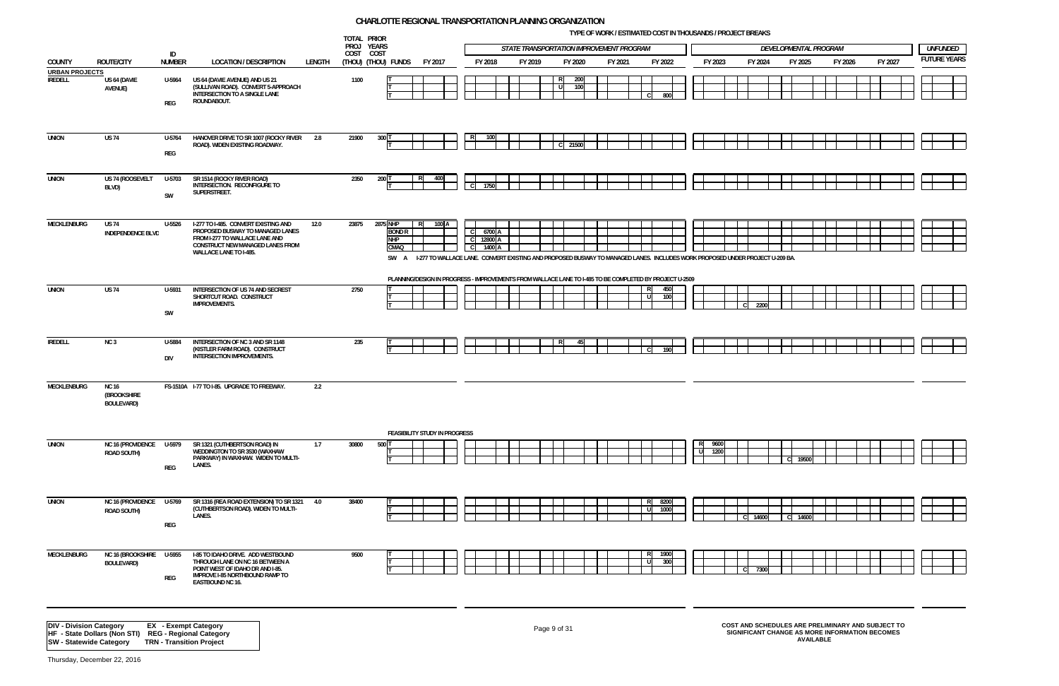**TYPE OF WORK / ESTIMATED COST IN THOUSANDS / PROJECT BREAKS**



|                                                                  |                                                         |                      |                                                                                                                                                                          |        | TOTAL PRIOR<br>PROJ YEARS |                                                                                                                                                                                                    |              |                             | STATE TRANSPORTATION IMPROVEMENT PROGRAM |              |            |         |                    |              |             |              |    |         | DEVELOPMENTAL PROGRAM |                  |         |                                                |                                                   | <b>UNFUNDED</b>    |  |
|------------------------------------------------------------------|---------------------------------------------------------|----------------------|--------------------------------------------------------------------------------------------------------------------------------------------------------------------------|--------|---------------------------|----------------------------------------------------------------------------------------------------------------------------------------------------------------------------------------------------|--------------|-----------------------------|------------------------------------------|--------------|------------|---------|--------------------|--------------|-------------|--------------|----|---------|-----------------------|------------------|---------|------------------------------------------------|---------------------------------------------------|--------------------|--|
| COUNTY                                                           | <b>ROUTE/CITY</b>                                       | ID<br><b>NUMBER</b>  | <b>LOCATION / DESCRIPTION</b>                                                                                                                                            | LENGTH | COST COST                 | (Thou) (Thou) funds<br>FY 2017                                                                                                                                                                     |              | FY 2018                     | FY 2019                                  |              | FY 2020    | FY 2021 |                    | FY 2022      |             | FY 2023      |    | FY 2024 | FY 2025               |                  | FY 2026 |                                                | FY 2027                                           | <b>FUTURE YEAR</b> |  |
| <b>URBAN PROJECTS</b><br><b>IREDELL</b>                          | US 64 (DAVIE<br>AVENUE)                                 | U-5964<br>REG        | US 64 (DAVIE AVENUE) AND US 21<br>(SULLIVAN ROAD). CONVERT 5-APPROACH<br>INTERSECTION TO A SINGLE LANE<br>ROUNDABOUT.                                                    |        | 1100                      |                                                                                                                                                                                                    |              |                             |                                          | R<br>U       | 200<br>100 |         | l C                | 800          |             |              |    |         |                       |                  |         |                                                |                                                   |                    |  |
| <b>UNION</b>                                                     | <b>US 74</b>                                            | U-5764<br>REG        | HANOVER DRIVE TO SR 1007 (ROCKY RIVER 2.8<br>ROAD). WIDEN EXISTING ROADWAY.                                                                                              |        | 21900                     | 300                                                                                                                                                                                                |              |                             |                                          |              | 21500      |         |                    |              |             |              |    |         |                       |                  |         |                                                |                                                   |                    |  |
| <b>UNION</b>                                                     | US 74 (ROOSEVELT<br>BLVD)                               | U-5703<br>SW         | SR 1514 (ROCKY RIVER ROAD)<br>INTERSECTION. RECONFIGURE TO<br>SUPERSTREET.                                                                                               |        | 2350                      | 200 T<br>400<br>R.                                                                                                                                                                                 | $\mathsf{C}$ | 1750                        |                                          |              |            |         |                    |              |             |              |    |         |                       |                  |         |                                                |                                                   |                    |  |
| MECKLENBURG                                                      | US 74<br><b>INDEPENDENCE BLVD</b>                       | U-5526               | I-277 TO I-485. CONVERT EXISTING AND<br>PROPOSED BUSWAY TO MANAGED LANES<br>FROM I-277 TO WALLACE LANE AND<br>CONSTRUCT NEW MANAGED LANES FROM<br>WALLACE LANE TO I-485. | 12.0   | 23875                     | 2875 NHP<br>100 A<br>R<br><b>BOND R</b><br><b>NHP</b><br>CMAQ<br>SW A 1-277 TO WALLACE LANE. CONVERT EXISTING AND PROPOSED BUSWAY TO MANAGED LANES. INCLUDES WORK PROPOSED UNDER PROJECT U-209 BA. | <sub>c</sub> | 6700 A<br>12800 A<br>1400 A |                                          |              |            |         |                    |              |             |              |    |         |                       |                  |         |                                                |                                                   |                    |  |
|                                                                  |                                                         |                      |                                                                                                                                                                          |        |                           | PLANNING/DESIGN IN PROGRESS - IMPROVEMENTS FROM WALLACE LANE TO I-485 TO BE COMPLETED BY PROJECT U-2509                                                                                            |              |                             |                                          |              |            |         |                    |              |             |              |    |         |                       |                  |         |                                                |                                                   |                    |  |
| UNION                                                            | US 74                                                   | U-5931<br>SW         | INTERSECTION OF US 74 AND SECREST<br>SHORTCUT ROAD. CONSTRUCT<br><b>IMPROVEMENTS.</b>                                                                                    |        | 2750                      |                                                                                                                                                                                                    |              |                             |                                          |              |            |         | ΙR<br>- 11         | 450<br>100   |             |              | C. | 2200    |                       |                  |         |                                                |                                                   |                    |  |
| <b>IREDELL</b>                                                   | NC <sub>3</sub>                                         | U-5884<br><b>DIV</b> | INTERSECTION OF NC 3 AND SR 1148<br>(KISTLER FARM ROAD). CONSTRUCT<br>INTERSECTION IMPROVEMENTS.                                                                         |        | 235                       |                                                                                                                                                                                                    |              |                             |                                          |              | 45         |         | l c                | 190          |             |              |    |         |                       |                  |         |                                                |                                                   |                    |  |
| MECKLENBURG                                                      | <b>NC 16</b><br><b>(BROOKSHIRE</b><br><b>BOULEVARD)</b> |                      | FS-1510A I-77 TO I-85. UPGRADE TO FREEWAY.                                                                                                                               | 2.2    |                           |                                                                                                                                                                                                    |              |                             |                                          |              |            |         |                    |              |             |              |    |         |                       |                  |         |                                                |                                                   |                    |  |
| <b>UNION</b>                                                     | <b>NC 16 (PROVIDENCE</b><br><b>ROAD SOUTH)</b>          | U-5979<br>REG        | SR 1321 (CUTHBERTSON ROAD) IN<br>WEDDINGTON TO SR 3530 (WAXHAW<br>PARKWAY) IN WAXHAW. WIDEN TO MULTI-<br>LANES.                                                          | 1.7    | 30800                     | <b>FEASIBILITY STUDY IN PROGRESS</b><br>500 1                                                                                                                                                      |              |                             |                                          |              |            |         |                    |              | R<br>-<br>U | 9600<br>1200 |    |         | C 19500               |                  |         |                                                |                                                   |                    |  |
| <b>UNION</b>                                                     | <b>NC 16 (PROVIDENCE</b><br>ROAD SOUTH)                 | U-5769<br>REG        | SR 1316 (REA ROAD EXTENSION) TO SR 1321<br>(CUTHBERTSON ROAD). WIDEN TO MULTI-<br>LANES.                                                                                 | 4.0    | 38400                     |                                                                                                                                                                                                    |              |                             |                                          |              |            |         | R<br>l Ul          | 8200<br>1000 |             |              |    | 14600   | C 14600               |                  |         |                                                |                                                   |                    |  |
| MECKLENBURG                                                      | NC 16 (BROOKSHIRE<br><b>BOULEVARD)</b>                  | U-5955<br>REG        | I-85 TO IDAHO DRIVE. ADD WESTBOUND<br>THROUGH LANE ON NC 16 BETWEEN A<br>POINT WEST OF IDAHO DR AND I-85.<br>IMPROVE I-85 NORTHBOUND RAMP TO<br>EASTBOUND NC 16.         |        | 9500                      |                                                                                                                                                                                                    |              |                             |                                          |              |            |         | $\mathsf{R}$<br>ΙU | 1900<br>300  |             |              | C. | 7300    |                       |                  |         |                                                |                                                   |                    |  |
| <b>DIV - Division Category</b><br><b>SW</b> - Statewide Category | HF - State Dollars (Non STI) REG - Regional Category    |                      | <b>EX</b> - Exempt Category<br><b>TRN - Transition Project</b>                                                                                                           |        |                           |                                                                                                                                                                                                    |              |                             |                                          | Page 9 of 31 |            |         |                    |              |             |              |    |         |                       | <b>AVAILABLE</b> |         | SIGNIFICANT CHANGE AS MORE INFORMATION BECOMES | COST AND SCHEDULES ARE PRELIMINARY AND SUBJECT TO |                    |  |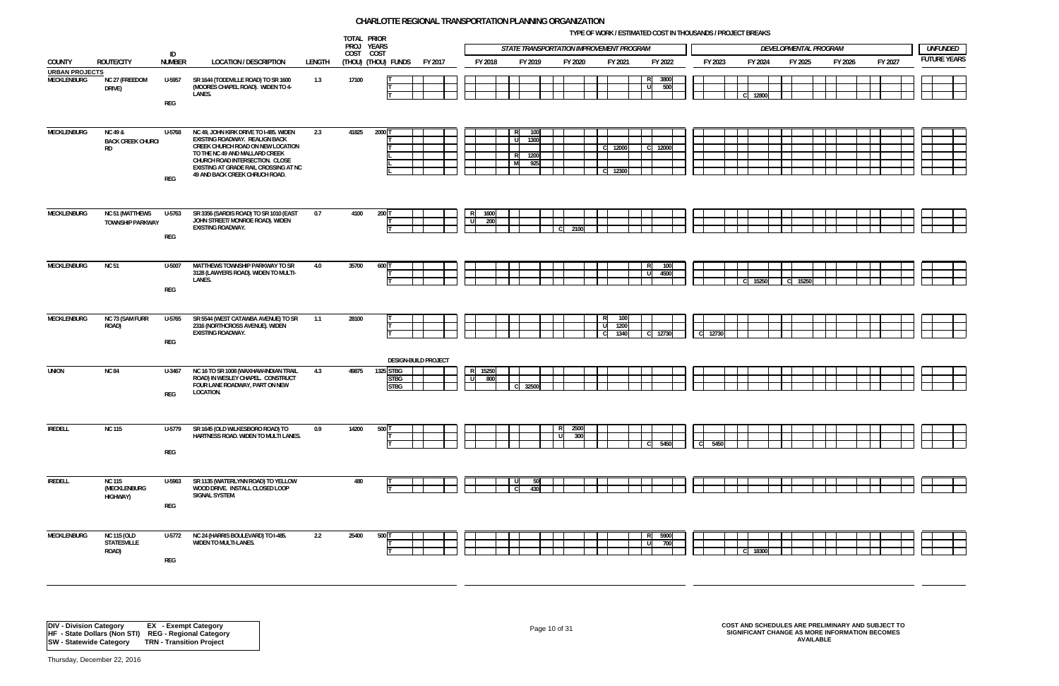**TYPE OF WORK / ESTIMATED COST IN THOUSANDS / PROJECT BREAKS**



|                                 |                                                             |                                 |                                                                                                                                                                                                                                                               |        | PROJ YEARS | TOTAL PRIOR                             |                      |                         |                     | STATE TRANSPORTATION IMPROVEMENT PROGRAM |                      |                            |                |               |         |         | DEVELOPMENTAL PROGRAM |         |         |                    | <b>UNFUNDED</b> |
|---------------------------------|-------------------------------------------------------------|---------------------------------|---------------------------------------------------------------------------------------------------------------------------------------------------------------------------------------------------------------------------------------------------------------|--------|------------|-----------------------------------------|----------------------|-------------------------|---------------------|------------------------------------------|----------------------|----------------------------|----------------|---------------|---------|---------|-----------------------|---------|---------|--------------------|-----------------|
|                                 |                                                             | ID                              |                                                                                                                                                                                                                                                               |        | COST COST  |                                         |                      |                         |                     |                                          |                      |                            |                |               |         |         |                       |         |         | <b>FUTURE YEAR</b> |                 |
| COUNTY<br><b>URBAN PROJECTS</b> | ROUTE/CITY                                                  | <b>NUMBER</b>                   | <b>LOCATION / DESCRIPTION</b>                                                                                                                                                                                                                                 | LENGTH |            | (THOU) (THOU) FUNDS                     | FY 2017              | FY 2018                 |                     | FY 2019                                  | FY 2020              | FY 2021                    |                | FY 2022       | FY 2023 | FY 2024 | FY 2025               | FY 2026 | FY 2027 |                    |                 |
| MECKLENBURG                     | NC 27 (FREEDOM<br>DRIVE)                                    | U-5957<br>$\mathsf{REG}\xspace$ | SR 1644 (TODDVILLE ROAD) TO SR 1600<br>(MOORES CHAPEL ROAD). WIDEN TO 4-<br>LANES.                                                                                                                                                                            | 1.3    | 17100      |                                         |                      |                         |                     |                                          |                      |                            | -R.<br>l ul    | 3800<br>500   |         | 12800   |                       |         |         |                    |                 |
| <b>MECKLENBURG</b>              | <b>NC 49 &amp;</b><br><b>BACK CREEK CHURCH</b><br><b>RD</b> | U-5768<br>REG                   | NC 49, JOHN KIRK DRIVE TO I-485. WIDEN<br>EXISTING ROADWAY. REALIGN BACK<br>CREEK CHURCH ROAD ON NEW LOCATION<br>TO THE NC 49 AND MALLARD CREEK<br>CHURCH ROAD INTERSECTION. CLOSE<br>EXISTING AT GRADE RAIL CROSSING AT NC<br>49 AND BACK CREEK CHRUCH ROAD. | 2.3    | 41825      | $2000$ T                                |                      |                         | R<br>- ul<br>R<br>M | 100<br>1300<br>1200<br>925               |                      | 12000<br>12300             | ⊟ CI           | 12000         |         |         |                       |         |         |                    |                 |
| <b>MECKLENBURG</b>              | <b>NC 51 (MATTHEWS</b><br><b>TOWNSHIP PARKWAY</b>           | U-5763<br>$\mathsf{REG}\xspace$ | SR 3356 (SARDIS ROAD) TO SR 1010 (EAST<br>JOHN STREET/ MONROE ROAD). WIDEN<br><b>EXISTING ROADWAY.</b>                                                                                                                                                        | 0.7    | 4100       | $200$ T                                 |                      | 1600<br>R.<br>்ப<br>200 |                     |                                          | 2100<br>$\mathsf{C}$ |                            |                |               |         |         |                       |         |         |                    |                 |
| MECKLENBURG                     | <b>NC 51</b>                                                | U-5007<br>REG                   | MATTHEWS TOWNSHIP PARKWAY TO SR<br>3128 (LAWYERS ROAD). WIDEN TO MULTI-<br>LANES.                                                                                                                                                                             | 4.0    | 35700      | 600 T                                   |                      |                         |                     |                                          |                      |                            | R<br>l ul      | 100<br>4500   |         | 15250   | C 15250               |         |         |                    |                 |
| MECKLENBURG                     | NC 73 (SAM FURR<br>ROAD)                                    | U-5765<br>REG                   | SR 5544 (WEST CATAWBA AVENUE) TO SR<br>2316 (NORTHCROSS AVENUE). WIDEN<br>EXISTING ROADWAY.                                                                                                                                                                   | 1.1    | 28100      |                                         |                      |                         |                     |                                          |                      | 100<br>1200<br>- U<br>1340 |                | C 12730       | C 12730 |         |                       |         |         |                    |                 |
| <b>UNION</b>                    | <b>NC 84</b>                                                | U-3467<br>REG                   | NC 16 TO SR 1008 (WAXHAW-INDIAN TRAIL<br>ROAD) IN WESLEY CHAPEL. CONSTRUCT<br>FOUR LANE ROADWAY, PART ON NEW<br>LOCATION.                                                                                                                                     | 4.3    | 49875      | 1325 STBG<br><b>STBG</b><br><b>STBG</b> | DESIGN-BUILD PROJECT | 15250<br>- 01<br>800    |                     | 32500                                    |                      |                            |                |               |         |         |                       |         |         |                    |                 |
| IREDELL                         | <b>NC 115</b>                                               | U-5779<br>$\mathsf{REG}\xspace$ | SR 1645 (OLD WILKESBORO ROAD) TO<br>HARTNESS ROAD. WIDEN TO MULTI LANES.                                                                                                                                                                                      | 0.9    | 14200      | 500 T                                   |                      |                         |                     |                                          | 2500<br>300<br>U     |                            | $\overline{c}$ | 5450          | C 5450  |         |                       |         |         |                    |                 |
| <b>IREDELL</b>                  | <b>NC 115</b><br>(MECKLENBURG<br><b>HIGHWAY)</b>            | U-5963<br>$\mathsf{REG}\xspace$ | SR 1135 (WATERLYNN ROAD) TO YELLOW<br>WOOD DRIVE. INSTALL CLOSED LOOP<br>SIGNAL SYSTEM.                                                                                                                                                                       |        | 480        |                                         |                      |                         | C.                  | 50<br>430                                |                      |                            |                |               |         |         |                       |         |         |                    |                 |
| MECKLENBURG                     | NC 115 (OLD<br><b>STATESVILLE</b><br>ROAD)                  | U-5772<br>$\mathsf{REG}\xspace$ | NC 24 (HARRIS BOULEVARD) TO I-485.<br><b>WIDEN TO MULTI-LANES.</b>                                                                                                                                                                                            | 2.2    | 25400      | 500 T                                   |                      |                         |                     |                                          |                      |                            | l ul           | R 5900<br>700 |         | 18300   |                       |         |         |                    |                 |

## Page 10 of 31 **COST AND SCHEDULES ARE PRELIMINARY AND SUBJECT TO SIGNIFICANT CHANGE AS MORE INFORMATION BECOMES AVAILABLE**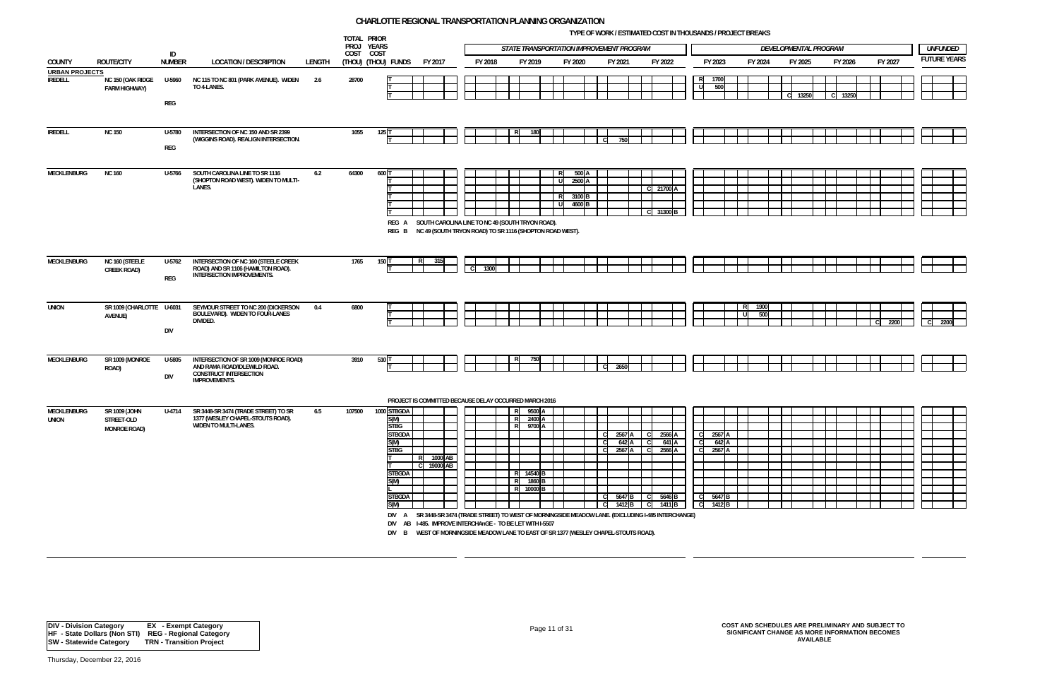**TYPE OF WORK / ESTIMATED COST IN THOUSANDS / PROJECT BREAKS**



|                                         |                                                    |                      |                                                                                                                                |        | TOTAL PRIOR             |                                                                                                                              |                                            |             |                                                                                                                             |                                                                                                                                                                                                                                |                                               |                                                  | THE OF NORMY LOTING HED OOOT IN THOUGH INDUTTINGS LOT DIVERNO     |                           |                                                                                                   |        |             |                       |               |              |         |                    |                 |
|-----------------------------------------|----------------------------------------------------|----------------------|--------------------------------------------------------------------------------------------------------------------------------|--------|-------------------------|------------------------------------------------------------------------------------------------------------------------------|--------------------------------------------|-------------|-----------------------------------------------------------------------------------------------------------------------------|--------------------------------------------------------------------------------------------------------------------------------------------------------------------------------------------------------------------------------|-----------------------------------------------|--------------------------------------------------|-------------------------------------------------------------------|---------------------------|---------------------------------------------------------------------------------------------------|--------|-------------|-----------------------|---------------|--------------|---------|--------------------|-----------------|
|                                         |                                                    | ID                   |                                                                                                                                |        | PROJ YEARS<br>COST COST |                                                                                                                              |                                            |             |                                                                                                                             | STATE TRANSPORTATION IMPROVEMENT PROGRAM                                                                                                                                                                                       |                                               |                                                  |                                                                   |                           |                                                                                                   |        |             | DEVELOPMENTAL PROGRAM |               |              |         |                    | <b>UNFUNDED</b> |
| <b>COUNTY</b>                           | <b>ROUTE/CITY</b>                                  | <b>NUMBER</b>        | <b>LOCATION / DESCRIPTION</b>                                                                                                  | LENGTH |                         | (THOU) (THOU) FUNDS                                                                                                          | FY 2017                                    | FY 2018     | FY 2019                                                                                                                     | FY 2020                                                                                                                                                                                                                        |                                               | FY 2021                                          | FY 2022                                                           |                           | FY 2023                                                                                           |        | FY 2024     | FY 2025               | FY 2026       |              | FY 2027 | <b>FUTURE YEAR</b> |                 |
| <b>URBAN PROJECTS</b><br><b>IREDELL</b> | NC 150 (OAK RIDGE<br><b>FARM HIGHWAY)</b>          | U-5960<br>REG        | NC 115 TO NC 801 (PARK AVENUE). WIDEN<br>TO 4-LANES.                                                                           | 2.6    | 28700                   |                                                                                                                              |                                            |             |                                                                                                                             |                                                                                                                                                                                                                                |                                               |                                                  |                                                                   |                           | R<br>1700<br>d<br>500                                                                             |        |             | C 13250               | 13250<br>∣ CI |              |         |                    |                 |
| <b>IREDELL</b>                          | <b>NC 150</b>                                      | U-5780<br>REG        | INTERSECTION OF NC 150 AND SR 2399<br>(WIGGINS ROAD). REALIGN INTERSECTION.                                                    |        | 1055                    | 125                                                                                                                          |                                            |             |                                                                                                                             |                                                                                                                                                                                                                                |                                               | 750                                              |                                                                   |                           |                                                                                                   |        |             |                       |               |              |         |                    |                 |
| MECKLENBURG                             | <b>NC 160</b>                                      | U-5766               | SOUTH CAROLINA LINE TO SR 1116<br>(SHOPTON ROAD WEST). WIDEN TO MULTI-<br>LANES.                                               | 6.2    | 64300                   | $600$ <sup>]</sup>                                                                                                           |                                            |             | REG A SOUTH CAROLINA LINE TO NC 49 (SOUTH TRYON ROAD).                                                                      | - Ul<br>R<br>-11<br>REG B NC 49 (SOUTH TRYON ROAD) TO SR 1116 (SHOPTON ROAD WEST).                                                                                                                                             | 500A<br>2500 A<br>3100 <sub>B</sub><br>4600 B |                                                  | $C$ 21700 A<br>C 31300 B                                          |                           |                                                                                                   |        |             |                       |               |              |         |                    |                 |
| MECKLENBURG                             | NC 160 (STEELE<br>CREEK ROAD)                      | U-5762<br>REG        | INTERSECTION OF NC 160 (STEELE CREEK<br>ROAD) AND SR 1106 (HAMILTON ROAD).<br><b>INTERSECTION IMPROVEMENTS.</b>                |        | 1765                    | 150                                                                                                                          | 31!                                        | l C<br>1300 |                                                                                                                             |                                                                                                                                                                                                                                |                                               |                                                  |                                                                   |                           |                                                                                                   |        |             |                       |               |              |         |                    |                 |
| <b>UNION</b>                            | SR 1009 (CHARLOTTE U-6031<br>AVENUE)               | <b>DIV</b>           | SEYMOUR STREET TO NC 200 (DICKERSON<br>BOULEVARD). WIDEN TO FOUR-LANES<br>DIVIDED.                                             | 0.4    | 6800                    |                                                                                                                              |                                            |             |                                                                                                                             |                                                                                                                                                                                                                                |                                               |                                                  |                                                                   |                           |                                                                                                   |        | 1900<br>500 |                       |               | $\mathsf{C}$ | 2200    | C 2200             |                 |
| MECKLENBURG                             | SR 1009 (MONROE<br>ROAD)                           | U-5805<br><b>DIV</b> | INTERSECTION OF SR 1009 (MONROE ROAD)<br>AND RAMA ROAD/IDLEWILD ROAD.<br><b>CONSTRUCT INTERSECTION</b><br><b>IMPROVEMENTS.</b> |        | 3910                    | 510                                                                                                                          |                                            |             | 750<br>PROJECT IS COMMITTED BECAUSE DELAY OCCURRED MARCH 2016                                                               |                                                                                                                                                                                                                                | - C                                           | 2650                                             |                                                                   |                           |                                                                                                   |        |             |                       |               |              |         |                    |                 |
| MECKLENBURG<br><b>UNION</b>             | SR 1009 (JOHN<br>STREET-OLD<br><b>MONROE ROAD)</b> | U-4714               | SR 3448-SR 3474 (TRADE STREET) TO SR<br>1377 (WESLEY CHAPEL-STOUTS ROAD).<br>WIDEN TO MULTI-LANES.                             | 6.5    | 107500                  | 1000 STBGDA<br>S(M)<br><b>STBG</b><br><b>STBGDA</b><br>S(M)<br><b>STBG</b><br><b>STBGDA</b><br>S(M)<br><b>STBGDA</b><br>S(M) | 1000 AB<br>-R.<br>19000 AB<br>$\mathsf{C}$ |             | RI<br>2400 A<br>R.<br>R 9700 A<br>R 14540 B<br>R.<br>R 10000 B<br>DIV AB I-485. IMPROVE INTERCHAnGE - TO BE LET WITH I-5507 | 9500 A<br>1860 <sub>B</sub><br>DIV A SR 3448-SR 3474 (TRADE STREET) TO WEST OF MORNINGSIDE MEADOW LANE. (EXCLUDING I-485 INTERCHANGE)<br>DIV B WEST OF MORNINGSIDE MEADOW LANE TO EAST OF SR 1377 (WESLEY CHAPEL-STOUTS ROAD). |                                               | 2567 A<br>642A<br>$2567$ A<br>5647 B<br>C.<br>-C | $\mathsf{C}$<br>C.<br>$\mathsf{C}$<br>C 5646 B<br>1412 B C 1411 B | 2566 A<br>641 A<br>2566 A | 2567 A<br>$\mathsf{C}$<br>642 A<br>$\mathsf{C}$<br>2567 A<br>-c I<br><sub>c</sub><br>$C = 1412 B$ | 5647 B |             |                       |               |              |         |                    |                 |

Page 11 of 31 **COST AND SCHEDULES ARE PRELIMINARY AND SUBJECT TO SIGNIFICANT CHANGE AS MORE INFORMATION BECOMES AVAILABLE**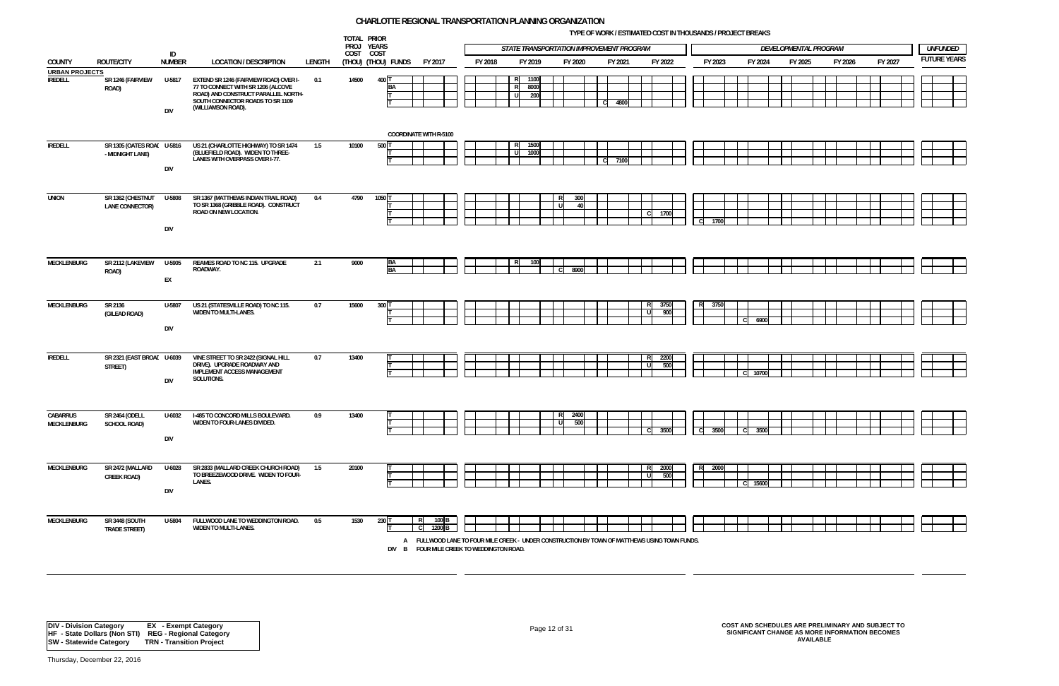**TYPE OF WORK / ESTIMATED COST IN THOUSANDS / PROJECT BREAKS**



| TOTAL PRIOR<br>PROJ YEARS<br>STATE TRANSPORTATION IMPROVEMENT PROGRAM<br>DEVELOPMENTAL PROGRAM<br>ID<br>COST COST |                                                |                      |                                                                                                                                                                               |        |                     |                 |                                                                                                                                                                                 |         |               |                     |                              | <b>UNFUNDED</b> |                     |              |             |              |              |         |         |         |         |                    |  |
|-------------------------------------------------------------------------------------------------------------------|------------------------------------------------|----------------------|-------------------------------------------------------------------------------------------------------------------------------------------------------------------------------|--------|---------------------|-----------------|---------------------------------------------------------------------------------------------------------------------------------------------------------------------------------|---------|---------------|---------------------|------------------------------|-----------------|---------------------|--------------|-------------|--------------|--------------|---------|---------|---------|---------|--------------------|--|
| COUNTY                                                                                                            | <b>ROUTE/CITY</b>                              | <b>NUMBER</b>        | <b>LOCATION / DESCRIPTION</b>                                                                                                                                                 | LENGTH | (THOU) (THOU) FUNDS |                 | FY 2017                                                                                                                                                                         | FY 2018 |               | FY 2019             | FY 2020                      |                 | FY 2021             | FY 2022      |             | FY 2023      |              | FY 2024 | FY 2025 | FY 2026 | FY 2027 | <b>FUTURE YEAR</b> |  |
| <b>URBAN PROJECTS</b>                                                                                             |                                                |                      |                                                                                                                                                                               |        |                     |                 |                                                                                                                                                                                 |         |               |                     |                              |                 |                     |              |             |              |              |         |         |         |         |                    |  |
| <b>IREDELL</b>                                                                                                    | SR 1246 (FAIRVIEW<br>ROAD)                     | U-5817<br><b>DIV</b> | EXTEND SR 1246 (FAIRVIEW ROAD) OVER I-<br>77 TO CONNECT WITH SR 1206 (ALCOVE<br>ROAD) AND CONSTRUCT PARALLEL NORTH-<br>SOUTH CONNECTOR ROADS TO SR 1109<br>(WILLIAMSON ROAD). | 0.1    | 14500               | 400 T<br>BA     |                                                                                                                                                                                 |         | R.<br>R<br>UI | 1100<br>8000<br>200 |                              |                 | $\mathbf C$<br>4800 |              |             |              |              |         |         |         |         |                    |  |
|                                                                                                                   |                                                |                      |                                                                                                                                                                               |        |                     |                 | <b>COORDINATE WITH R-5100</b>                                                                                                                                                   |         |               |                     |                              |                 |                     |              |             |              |              |         |         |         |         |                    |  |
| <b>IREDELL</b>                                                                                                    | SR 1305 (OATES ROAL U-5816<br>- MIDNIGHT LANE) | DIV                  | US 21 (CHARLOTTE HIGHWAY) TO SR 1474<br>(BLUEFIELD ROAD). WIDEN TO THREE-<br>LANES WITH OVERPASS OVER I-77.                                                                   | 1.5    | 10100               | 500             |                                                                                                                                                                                 |         | IJ            | 1500<br>1000        |                              | C <sub>1</sub>  | 7100                |              |             |              |              |         |         |         |         |                    |  |
| <b>UNION</b>                                                                                                      | SR 1362 (CHESTNUT<br>LANE CONNECTOR)           | U-5808<br>DIV        | SR 1367 (MATTHEWS INDIAN TRAIL ROAD)<br>TO SR 1368 (GRIBBLE ROAD). CONSTRUCT<br>ROAD ON NEW LOCATION.                                                                         | 0.4    | 4790                | 1050 T          |                                                                                                                                                                                 |         |               |                     | 300<br>R<br>U                | 40              |                     | $\mathbf{C}$ | 1700        | - CI<br>1700 |              |         |         |         |         |                    |  |
| MECKLENBURG                                                                                                       | SR 2112 (LAKEVIEW<br>ROAD)                     | U-5905<br>EX         | REAMES ROAD TO NC 115. UPGRADE<br>ROADWAY.                                                                                                                                    | 2.1    | 9000                | BA<br><b>BA</b> |                                                                                                                                                                                 |         |               | 100                 | 8900                         |                 |                     |              |             |              |              |         |         |         |         |                    |  |
| MECKLENBURG                                                                                                       | SR 2136<br>(GILEAD ROAD)                       | U-5807<br><b>DIV</b> | US 21 (STATESVILLE ROAD) TO NC 115.<br><b>WIDEN TO MULTI-LANES.</b>                                                                                                           | 0.7    | 15600               | 300 1           |                                                                                                                                                                                 |         |               |                     |                              |                 |                     | 3750<br>- R  | 900         | 3750<br>RI   |              | 6900    |         |         |         |                    |  |
| <b>IREDELL</b>                                                                                                    | SR 2321 (EAST BROAL U-6039<br>STREET)          | <b>DIV</b>           | VINE STREET TO SR 2422 (SIGNAL HILL<br>DRIVE). UPGRADE ROADWAY AND<br><b>IMPLEMENT ACCESS MANAGEMENT</b><br>SOLUTIONS.                                                        | 0.7    | 13400               |                 |                                                                                                                                                                                 |         |               |                     |                              |                 |                     | R            | 2200<br>500 |              |              | 10700   |         |         |         |                    |  |
| <b>CABARRUS</b><br>MECKLENBURG                                                                                    | <b>SR 2464 (ODELL</b><br>SCHOOL ROAD)          | U-6032<br><b>DIV</b> | I-485 TO CONCORD MILLS BOULEVARD.<br>WIDEN TO FOUR-LANES DIVIDED.                                                                                                             | 0.9    | 13400               |                 |                                                                                                                                                                                 |         |               |                     | 2400<br>R<br><b>U</b><br>500 |                 |                     | - C          | 3500        | $C$ 3500     | $\mathsf{C}$ | 3500    |         |         |         |                    |  |
| MECKLENBURG                                                                                                       | SR 2472 (MALLARD<br>CREEK ROAD)                | U-6028<br>DIV        | SR 2833 (MALLARD CREEK CHURCH ROAD)<br>TO BREEZEWOOD DRIVE. WIDEN TO FOUR-<br>LANES.                                                                                          | 1.5    | 20100               |                 |                                                                                                                                                                                 |         |               |                     |                              |                 |                     | - R          | 2000<br>500 | 2000<br>R.   |              | 15600   |         |         |         |                    |  |
| <b>MECKLENBURG</b>                                                                                                | <b>SR 3448 (SOUTH</b><br>TRADE STREET)         | U-5804               | FULLWOOD LANE TO WEDDINGTON ROAD.<br><b>WIDEN TO MULTI-LANES.</b>                                                                                                             | 0.5    | 1530                | 230 T           | $100$ B<br>R<br>1200 <sub>B</sub><br>A FULLWOOD LANE TO FOUR MILE CREEK - UNDER CONSTRUCTION BY TOWN OF MATTHEWS USING TOWN FUNDS.<br>DIV B FOUR MILE CREEK TO WEDDINGTON ROAD. |         |               |                     |                              |                 |                     |              |             |              |              |         |         |         |         |                    |  |

# Page 12 of 31 **COST AND SCHEDULES ARE PRELIMINARY AND SUBJECT TO SIGNIFICANT CHANGE AS MORE INFORMATION BECOMES AVAILABLE**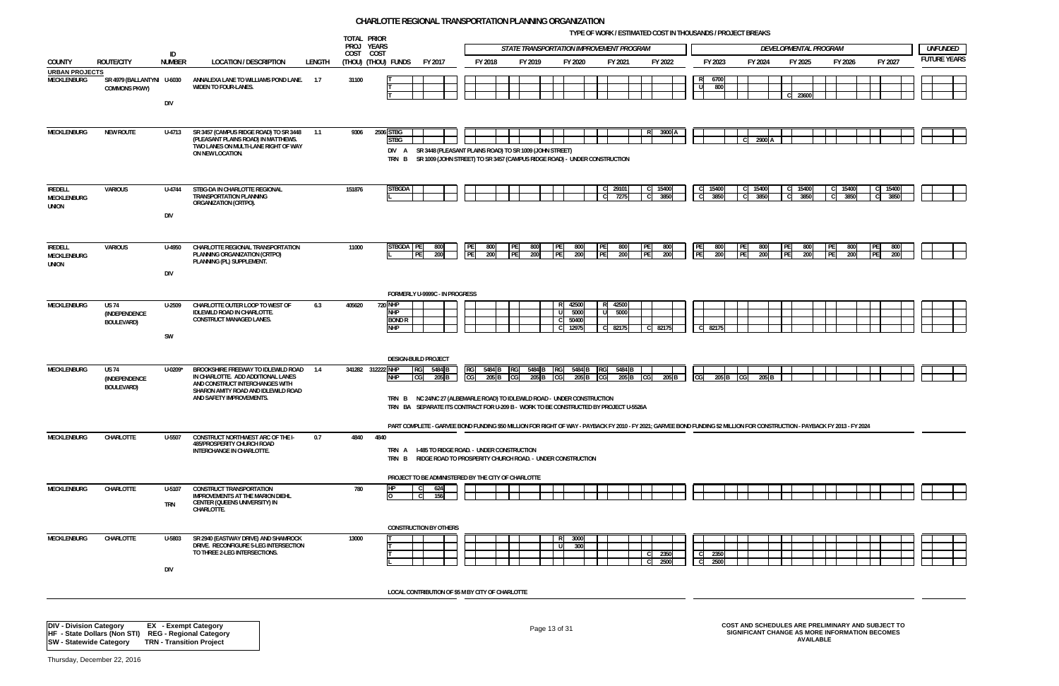**TYPE OF WORK / ESTIMATED COST IN THOUSANDS / PROJECT BREAKS**



|                                                                  |                                                      |                      |                                                                                                                                               |        | TOTAL PRIOR<br>PROJ YEARS |                                                                                                                                                                                               |                 |            |          |            | STATE TRANSPORTATION IMPROVEMENT PROGRAM |              |                            |      |               |                 |              |                               | DEVELOPMENTAL PROGRAM                                                                               |                  |               |               | <b>UNFUNDED</b>    |
|------------------------------------------------------------------|------------------------------------------------------|----------------------|-----------------------------------------------------------------------------------------------------------------------------------------------|--------|---------------------------|-----------------------------------------------------------------------------------------------------------------------------------------------------------------------------------------------|-----------------|------------|----------|------------|------------------------------------------|--------------|----------------------------|------|---------------|-----------------|--------------|-------------------------------|-----------------------------------------------------------------------------------------------------|------------------|---------------|---------------|--------------------|
| COUNTY                                                           | <b>ROUTE/CITY</b>                                    | ID<br><b>NUMBER</b>  | <b>LOCATION / DESCRIPTION</b>                                                                                                                 | LENGTH | COST COST                 | (Thou) (Thou) Funds<br>FY 2017                                                                                                                                                                |                 | FY 2018    |          | FY 2019    | FY 2020                                  |              | FY 2021                    |      | FY 2022       | FY 2023         |              | FY 2024                       | FY 2025                                                                                             |                  | FY 2026       | FY 2027       | <b>FUTURE YEAR</b> |
| <b>URBAN PROJECTS</b><br>MECKLENBURG                             | SR 4979 (BALLANTYNI U-6030<br><b>COMMONS PKWY)</b>   | <b>DIV</b>           | ANNALEXA LANE TO WILLIAMS POND LANE.<br>WIDEN TO FOUR-LANES.                                                                                  | 1.7    | 31100                     |                                                                                                                                                                                               |                 |            |          |            |                                          |              |                            |      |               | RI<br>U         | 6700<br>800  |                               | C 23600                                                                                             |                  |               |               |                    |
| MECKLENBURG                                                      | <b>NEW ROUTE</b>                                     | U-4713               | SR 3457 (CAMPUS RIDGE ROAD) TO SR 3448 1.1<br>(PLEASANT PLAINS ROAD) IN MATTHEWS.<br>TWO LANES ON MULTI-LANE RIGHT OF WAY<br>ON NEW LOCATION. |        | 9306                      | 2506 STBG<br><b>STBG</b><br>SR 3448 (PLEASANT PLAINS ROAD) TO SR 1009 (JOHN STREET)<br>DIV A<br>SR 1009 (JOHN STREET) TO SR 3457 (CAMPUS RIDGE ROAD) - UNDER CONSTRUCTION<br>TRN B            |                 |            |          |            |                                          |              |                            |      | 3900          |                 |              | 2900                          |                                                                                                     |                  |               |               |                    |
| <b>IREDELL</b><br>MECKLENBURG<br>UNION                           | <b>VARIOUS</b>                                       | U-4744<br>DIV        | STBG-DA IN CHARLOTTE REGIONAL<br><b>TRANSPORTATION PLANNING</b><br>ORGANIZATION (CRTPO).                                                      |        | 151876                    | <b>STBGDA</b>                                                                                                                                                                                 |                 |            |          |            |                                          | $\mathbf{C}$ | C 29101<br>7275            |      | 15400<br>3850 | 15400           | 3850         | 15400<br>3850<br>$\mathsf{C}$ | 15400<br>3850                                                                                       |                  | 15400<br>3850 | 15400<br>3850 |                    |
| <b>IREDELL</b><br>MECKLENBURG<br><b>UNION</b>                    | <b>VARIOUS</b>                                       | U-4950<br>DIV        | CHARLOTTE REGIONAL TRANSPORTATION<br>PLANNING ORGANIZATION (CRTPO)<br>PLANNING (PL) SUPPLEMENT.                                               |        | 11000                     | STBGDA PE<br>800<br>PE<br>200                                                                                                                                                                 | PE<br><b>PE</b> | 800<br>200 | PE<br>PF | 800<br>200 | <b>PE</b><br>800<br><b>PF</b><br>200     | PE<br>PE     | 800<br>200                 | I PE | 800<br>200    | <b>PE</b><br>PE | 800<br>200   | 800<br>PE<br>PF<br>200        | <b>IPE</b><br>800<br>PE<br>200                                                                      | <b>IPE</b>       | 800<br>200    | 800<br>200    |                    |
| <b>MECKLENBURG</b>                                               | <b>US 74</b><br>(INDEPENDENCE<br><b>BOULEVARD)</b>   | U-2509<br>SW         | CHARLOTTE OUTER LOOP TO WEST OF<br>IDLEWILD ROAD IN CHARLOTTE.<br><b>CONSTRUCT MANAGED LANES.</b>                                             | 6.3    | 405620                    | FORMERLY U-9999C - IN PROGRESS<br><b>720 NHP</b><br><b>NHP</b><br><b>BOND R</b><br><b>NHP</b>                                                                                                 |                 |            |          |            | 42500<br>5000<br>50400<br>12975          | U            | R 42500<br>5000<br>C 82175 |      | 82175         | 82175           |              |                               |                                                                                                     |                  |               |               |                    |
| MECKLENBURG                                                      | <b>US 74</b>                                         | U-0209*              | BROOKSHIRE FREEWAY TO IDLEWILD ROAD 1.4                                                                                                       |        |                           | <b>DESIGN-BUILD PROJECT</b><br>341282 312222 NHP<br>5484 B<br><b>RG</b>                                                                                                                       |                 | 5484 B     | RG       | 5484 B     | 5484                                     | RGI          | 5484 B                     |      |               |                 |              |                               |                                                                                                     |                  |               |               |                    |
|                                                                  | (INDEPENDENCE<br>BOULEVARD)                          |                      | IN CHARLOTTE. ADD ADDITIONAL LANES<br>AND CONSTRUCT INTERCHANGES WITH<br>SHARON AMITY ROAD AND IDLEWILD ROAD<br>AND SAFETY IMPROVEMENTS.      |        |                           | <b>NHP</b><br>CG<br>205 B<br>TRN B NC 24/NC 27 (ALBEMARLE ROAD) TO IDLEWILD ROAD - UNDER CONSTRUCTION<br>TRN BA SEPARATE ITS CONTRACT FOR U-209 B - WORK TO BE CONSTRUCTED BY PROJECT U-5526A | CG              | 205        |          | 205 E      | 205                                      |              | 205 B                      |      | 205 E         |                 | 205          | 205                           |                                                                                                     |                  |               |               |                    |
|                                                                  |                                                      |                      |                                                                                                                                               |        |                           | PART COMPLETE - GARVEE BOND FUNDING \$50 MILLION FOR RIGHT OF WAY - PAYBACK FY 2010 - FY 2021; GARVEE BOND FUNDING \$2 MILLION FOR CONSTRUCTION - PAYBACK FY 2013 - FY 2024                   |                 |            |          |            |                                          |              |                            |      |               |                 |              |                               |                                                                                                     |                  |               |               |                    |
| MECKLENBURG                                                      | CHARLOTTE                                            | U-5507               | CONSTRUCT NORTHWEST ARC OF THE I-<br>485/PROSPERITY CHURCH ROAD<br>INTERCHANGE IN CHARLOTTE.                                                  | 0.7    | 4840                      | 4840<br>TRN A I-485 TO RIDGE ROAD. - UNDER CONSTRUCTION<br>TRN B RIDGE ROAD TO PROSPERITY CHURCH ROAD. - UNDER CONSTRUCTION<br>PROJECT TO BE ADMINISTERED BY THE CITY OF CHARLOTTE            |                 |            |          |            |                                          |              |                            |      |               |                 |              |                               |                                                                                                     |                  |               |               |                    |
| MECKLENBURG                                                      | CHARLOTTE                                            | U-5107<br><b>TRN</b> | <b>CONSTRUCT TRANSPORTATION</b><br><b>IMPROVEMENTS AT THE MARION DIEHL</b><br>CENTER (QUEENS UNIVERSITY) IN<br>CHARLOTTE.                     |        | 780                       | <b>IHP</b><br>624<br>$\overline{0}$<br>C.<br>156<br><b>CONSTRUCTION BY OTHERS</b>                                                                                                             |                 |            |          |            |                                          |              |                            |      |               |                 |              |                               |                                                                                                     |                  |               |               |                    |
| <b>MECKLENBURG</b>                                               | CHARLOTTE                                            | U-5803<br>DIV        | SR 2940 (EASTWAY DRIVE) AND SHAMROCK<br>DRIVE. RECONFIGURE 5-LEG INTERSECTION<br>TO THREE 2-LEG INTERSECTIONS.                                |        | 13000                     |                                                                                                                                                                                               |                 |            |          |            | 3000<br>R<br>300<br>-11                  |              |                            |      | 2350<br>2500  |                 | 2350<br>2500 |                               |                                                                                                     |                  |               |               |                    |
|                                                                  |                                                      |                      |                                                                                                                                               |        |                           | LOCAL CONTRIBUTION OF \$5 M BY CITY OF CHARLOTTE                                                                                                                                              |                 |            |          |            |                                          |              |                            |      |               |                 |              |                               |                                                                                                     |                  |               |               |                    |
| <b>DIV - Division Category</b><br><b>SW - Statewide Category</b> | HF - State Dollars (Non STI) REG - Regional Category |                      | <b>EX</b> - Exempt Category<br><b>TRN - Transition Project</b>                                                                                |        |                           |                                                                                                                                                                                               |                 |            |          |            | Page 13 of 31                            |              |                            |      |               |                 |              |                               | COST AND SCHEDULES ARE PRELIMINARY AND SUBJECT TO<br>SIGNIFICANT CHANGE AS MORE INFORMATION BECOMES | <b>AVAILABLE</b> |               |               |                    |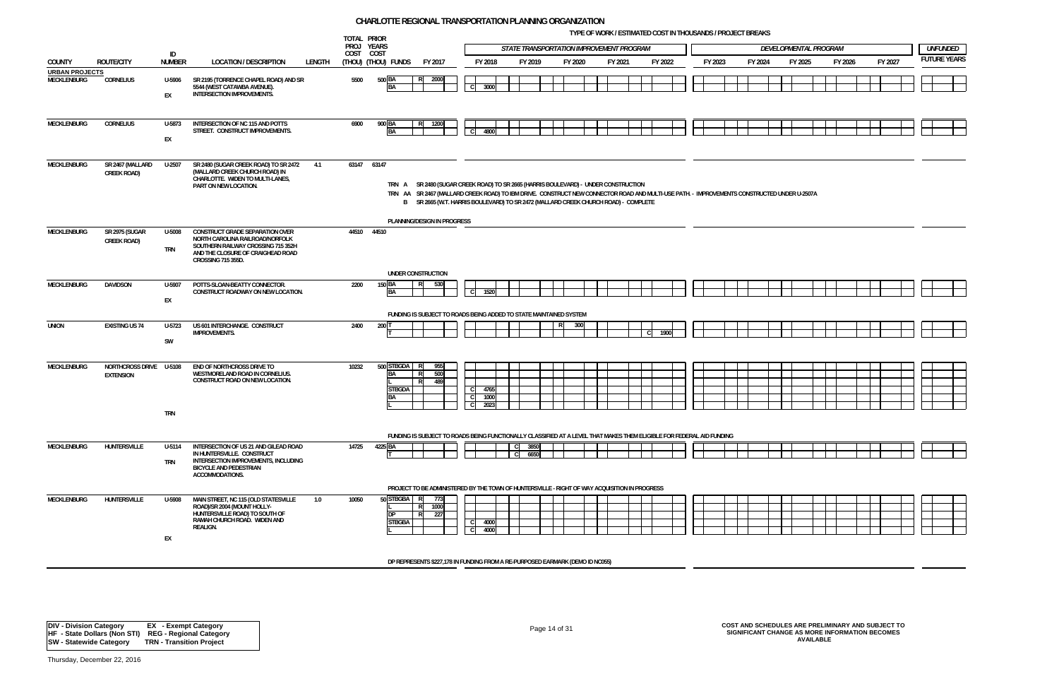**TYPE OF WORK / ESTIMATED COST IN THOUSANDS / PROJECT BREAKS**

|                       |                         |                     |                                                                           |        | TOTAL PRIOR |                     | STATE TRANSPORTATION IMPROVEMENT PROGRAM<br>DEVELOPMENTAL PROGRAM                                                                                                                                                                  |                |      |         |         |     |         |  |         |  |         |  |         |         |         |         |  |                    |
|-----------------------|-------------------------|---------------------|---------------------------------------------------------------------------|--------|-------------|---------------------|------------------------------------------------------------------------------------------------------------------------------------------------------------------------------------------------------------------------------------|----------------|------|---------|---------|-----|---------|--|---------|--|---------|--|---------|---------|---------|---------|--|--------------------|
|                       |                         |                     |                                                                           |        | PROJ YEARS  |                     |                                                                                                                                                                                                                                    |                |      |         |         |     |         |  |         |  |         |  |         |         |         |         |  | <b>UNFUNDED</b>    |
| <b>COUNTY</b>         | <b>ROUTE/CITY</b>       | ID<br><b>NUMBER</b> | <b>LOCATION / DESCRIPTION</b>                                             | LENGTH | COST COST   | (THOU) (THOU) FUNDS | FY 2017                                                                                                                                                                                                                            | FY 2018        |      | FY 2019 | FY 2020 |     | FY 2021 |  | FY 2022 |  | FY 2023 |  | FY 2024 | FY 2025 | FY 2026 | FY 2027 |  | <b>FUTURE YEAR</b> |
| <b>URBAN PROJECTS</b> |                         |                     |                                                                           |        |             |                     |                                                                                                                                                                                                                                    |                |      |         |         |     |         |  |         |  |         |  |         |         |         |         |  |                    |
| MECKLENBURG           | <b>CORNELIUS</b>        | U-5906              | SR 2195 (TORRENCE CHAPEL ROAD) AND SR<br>5544 (WEST CATAWBA AVENUE).      |        | 5500        | 500 BA<br><b>BA</b> | 2000<br>RI                                                                                                                                                                                                                         | $\overline{c}$ | 3000 |         |         |     |         |  |         |  |         |  |         |         |         |         |  |                    |
|                       |                         | EX                  | <b>INTERSECTION IMPROVEMENTS.</b>                                         |        |             |                     |                                                                                                                                                                                                                                    |                |      |         |         |     |         |  |         |  |         |  |         |         |         |         |  |                    |
|                       |                         |                     |                                                                           |        |             |                     |                                                                                                                                                                                                                                    |                |      |         |         |     |         |  |         |  |         |  |         |         |         |         |  |                    |
|                       |                         |                     | <b>INTERSECTION OF NC 115 AND POTTS</b>                                   |        |             |                     |                                                                                                                                                                                                                                    |                |      |         |         |     |         |  |         |  |         |  |         |         |         |         |  |                    |
| MECKLENBURG           | <b>CORNELIUS</b>        | U-5873              | STREET. CONSTRUCT IMPROVEMENTS.                                           |        | 6900        | 900 BA<br><b>BA</b> | 1200<br>R.                                                                                                                                                                                                                         | C.             | 4800 |         |         |     |         |  |         |  |         |  |         |         |         |         |  |                    |
|                       |                         | EX                  |                                                                           |        |             |                     |                                                                                                                                                                                                                                    |                |      |         |         |     |         |  |         |  |         |  |         |         |         |         |  |                    |
|                       |                         |                     |                                                                           |        |             |                     |                                                                                                                                                                                                                                    |                |      |         |         |     |         |  |         |  |         |  |         |         |         |         |  |                    |
| <b>MECKLENBURG</b>    | SR 2467 (MALLARD        | $U-2507$            | SR 2480 (SUGAR CREEK ROAD) TO SR 2472                                     | 4.1    | 63147 63147 |                     |                                                                                                                                                                                                                                    |                |      |         |         |     |         |  |         |  |         |  |         |         |         |         |  |                    |
|                       | <b>CREEK ROAD)</b>      |                     | (MALLARD CREEK CHURCH ROAD) IN<br>CHARLOTTE. WIDEN TO MULTI-LANES,        |        |             |                     |                                                                                                                                                                                                                                    |                |      |         |         |     |         |  |         |  |         |  |         |         |         |         |  |                    |
|                       |                         |                     | PART ON NEW LOCATION.                                                     |        |             |                     | TRN A SR 2480 (SUGAR CREEK ROAD) TO SR 2665 (HARRIS BOULEVARD) - UNDER CONSTRUCTION                                                                                                                                                |                |      |         |         |     |         |  |         |  |         |  |         |         |         |         |  |                    |
|                       |                         |                     |                                                                           |        |             |                     | TRN AA SR 2467 (MALLARD CREEK ROAD) TO IBM DRIVE. CONSTRUCT NEW CONNECTOR ROAD AND MULTI-USE PATH. - IMPROVEMENTS CONSTRUCTED UNDER U-2507A<br>B SR 2665 (W.T. HARRIS BOULEVARD) TO SR 2472 (MALLARD CREEK CHURCH ROAD) - COMPLETE |                |      |         |         |     |         |  |         |  |         |  |         |         |         |         |  |                    |
|                       |                         |                     |                                                                           |        |             |                     |                                                                                                                                                                                                                                    |                |      |         |         |     |         |  |         |  |         |  |         |         |         |         |  |                    |
|                       |                         |                     |                                                                           |        |             |                     | PLANNING/DESIGN IN PROGRESS                                                                                                                                                                                                        |                |      |         |         |     |         |  |         |  |         |  |         |         |         |         |  |                    |
| <b>MECKLENBURG</b>    | SR 2975 (SUGAR          | U-5008              | <b>CONSTRUCT GRADE SEPARATION OVER</b><br>NORTH CAROLINA RAILROAD/NORFOLK |        | 44510 44510 |                     |                                                                                                                                                                                                                                    |                |      |         |         |     |         |  |         |  |         |  |         |         |         |         |  |                    |
|                       | <b>CREEK ROAD)</b>      | TRN                 | SOUTHERN RAILWAY CROSSING 715 352H                                        |        |             |                     |                                                                                                                                                                                                                                    |                |      |         |         |     |         |  |         |  |         |  |         |         |         |         |  |                    |
|                       |                         |                     | AND THE CLOSURE OF CRAIGHEAD ROAD<br><b>CROSSING 715 355D.</b>            |        |             |                     |                                                                                                                                                                                                                                    |                |      |         |         |     |         |  |         |  |         |  |         |         |         |         |  |                    |
|                       |                         |                     |                                                                           |        |             |                     | UNDER CONSTRUCTION                                                                                                                                                                                                                 |                |      |         |         |     |         |  |         |  |         |  |         |         |         |         |  |                    |
| MECKLENBURG           | <b>DAVIDSON</b>         | U-5907              | POTTS-SLOAN-BEATTY CONNECTOR.                                             |        | 2200        | $150$ BA            | 530                                                                                                                                                                                                                                |                |      |         |         |     |         |  |         |  |         |  |         |         |         |         |  |                    |
|                       |                         |                     | CONSTRUCT ROADWAY ON NEW LOCATION.                                        |        |             | <b>BA</b>           |                                                                                                                                                                                                                                    |                | 1520 |         |         |     |         |  |         |  |         |  |         |         |         |         |  |                    |
|                       |                         | EX                  |                                                                           |        |             |                     |                                                                                                                                                                                                                                    |                |      |         |         |     |         |  |         |  |         |  |         |         |         |         |  |                    |
|                       |                         |                     |                                                                           |        |             |                     | FUNDING IS SUBJECT TO ROADS BEING ADDED TO STATE MAINTAINED SYSTEM                                                                                                                                                                 |                |      |         |         |     |         |  |         |  |         |  |         |         |         |         |  |                    |
| <b>UNION</b>          | <b>EXISTING US 74</b>   | U-5723              | US 601 INTERCHANGE. CONSTRUCT                                             |        | 2400        | 200 1               |                                                                                                                                                                                                                                    |                |      |         | -RI     | 300 |         |  |         |  |         |  |         |         |         |         |  |                    |
|                       |                         | SW                  | <b>IMPROVEMENTS.</b>                                                      |        |             |                     |                                                                                                                                                                                                                                    |                |      |         |         |     |         |  | 1900    |  |         |  |         |         |         |         |  |                    |
|                       |                         |                     |                                                                           |        |             |                     |                                                                                                                                                                                                                                    |                |      |         |         |     |         |  |         |  |         |  |         |         |         |         |  |                    |
| <b>MECKLENBURG</b>    | NORTHCROSS DRIVE U-5108 |                     | END OF NORTHCROSS DRIVE TO                                                |        | 10232       | 500 STBGDA          | 955                                                                                                                                                                                                                                |                |      |         |         |     |         |  |         |  |         |  |         |         |         |         |  |                    |
|                       | <b>EXTENSION</b>        |                     | WESTMORELAND ROAD IN CORNELIUS.                                           |        |             | <b>BA</b>           | 500                                                                                                                                                                                                                                |                |      |         |         |     |         |  |         |  |         |  |         |         |         |         |  |                    |
|                       |                         |                     | CONSTRUCT ROAD ON NEW LOCATION.                                           |        |             | <b>STBGDA</b>       | 489                                                                                                                                                                                                                                |                | 4765 |         |         |     |         |  |         |  |         |  |         |         |         |         |  |                    |
|                       |                         |                     |                                                                           |        |             | <b>BA</b>           |                                                                                                                                                                                                                                    |                | 1000 |         |         |     |         |  |         |  |         |  |         |         |         |         |  |                    |
|                       |                         |                     |                                                                           |        |             |                     |                                                                                                                                                                                                                                    |                | 2023 |         |         |     |         |  |         |  |         |  |         |         |         |         |  |                    |
|                       |                         | <b>TRN</b>          |                                                                           |        |             |                     |                                                                                                                                                                                                                                    |                |      |         |         |     |         |  |         |  |         |  |         |         |         |         |  |                    |
|                       |                         |                     |                                                                           |        |             |                     | FUNDING IS SUBJECT TO ROADS BEING FUNCTIONALLY CLASSIFIED AT A LEVEL THAT MAKES THEM ELIGIBLE FOR FEDERAL AID FUNDING                                                                                                              |                |      |         |         |     |         |  |         |  |         |  |         |         |         |         |  |                    |
| <b>MECKLENBURG</b>    | HUNTERSVILLE            | U-5114              | INTERSECTION OF US 21 AND GILEAD ROAD                                     |        | 14725       | 4225 BA             |                                                                                                                                                                                                                                    |                |      | 3850    |         |     |         |  |         |  |         |  |         |         |         |         |  |                    |
|                       |                         |                     | IN HUNTERSVILLE. CONSTRUCT                                                |        |             |                     |                                                                                                                                                                                                                                    |                |      | 6650    |         |     |         |  |         |  |         |  |         |         |         |         |  |                    |
|                       |                         | <b>TRN</b>          | INTERSECTION IMPROVEMENTS, INCLUDING<br><b>BICYCLE AND PEDESTRIAN</b>     |        |             |                     |                                                                                                                                                                                                                                    |                |      |         |         |     |         |  |         |  |         |  |         |         |         |         |  |                    |
|                       |                         |                     | ACCOMMODATIONS.                                                           |        |             |                     |                                                                                                                                                                                                                                    |                |      |         |         |     |         |  |         |  |         |  |         |         |         |         |  |                    |
|                       |                         |                     |                                                                           |        |             |                     | PROJECT TO BE ADMINISTERED BY THE TOWN OF HUNTERSVILLE - RIGHT OF WAY ACQUISITION IN PROGRESS                                                                                                                                      |                |      |         |         |     |         |  |         |  |         |  |         |         |         |         |  |                    |
| MECKLENBURG           | HUNTERSVILLE            | U-5908              | MAIN STREET, NC 115 (OLD STATESVILLE                                      | 1.0    | 10050       | 50 STBGBA R         | 773                                                                                                                                                                                                                                |                |      |         |         |     |         |  |         |  |         |  |         |         |         |         |  |                    |
|                       |                         |                     | ROAD)/SR 2004 (MOUNT HOLLY-<br>HUNTERSVILLE ROAD) TO SOUTH OF             |        |             | <b>IDP</b>          | 1000<br>R<br>227<br>R.                                                                                                                                                                                                             |                |      |         |         |     |         |  |         |  |         |  |         |         |         |         |  |                    |
|                       |                         |                     | RAMAH CHURCH ROAD. WIDEN AND                                              |        |             | <b>STBGBA</b>       |                                                                                                                                                                                                                                    | C.             | 4000 |         |         |     |         |  |         |  |         |  |         |         |         |         |  |                    |
|                       |                         | EX                  | REALIGN.                                                                  |        |             |                     |                                                                                                                                                                                                                                    |                | 4000 |         |         |     |         |  |         |  |         |  |         |         |         |         |  |                    |
|                       |                         |                     |                                                                           |        |             |                     |                                                                                                                                                                                                                                    |                |      |         |         |     |         |  |         |  |         |  |         |         |         |         |  |                    |
|                       |                         |                     |                                                                           |        |             |                     | DP REPRESENTS \$227,178 IN FUNDING FROM A RE-PURPOSED EARMARK (DEMO ID NC055)                                                                                                                                                      |                |      |         |         |     |         |  |         |  |         |  |         |         |         |         |  |                    |
|                       |                         |                     |                                                                           |        |             |                     |                                                                                                                                                                                                                                    |                |      |         |         |     |         |  |         |  |         |  |         |         |         |         |  |                    |

Page 14 of 31 **COST AND SCHEDULES ARE PRELIMINARY AND SUBJECT TO SIGNIFICANT CHANGE AS MORE INFORMATION BECOMES AVAILABLE**

|  | LOPMENTAL PROGRAM |  |         |  |         | <b>UNFUNDED</b>                                                                                               |
|--|-------------------|--|---------|--|---------|---------------------------------------------------------------------------------------------------------------|
|  | FY 2025           |  | FY 2026 |  | FY 2027 | <b>FUTURE YEARS</b>                                                                                           |
|  |                   |  |         |  |         |                                                                                                               |
|  |                   |  |         |  |         |                                                                                                               |
|  | UNDER U-2507A     |  |         |  |         |                                                                                                               |
|  |                   |  |         |  |         |                                                                                                               |
|  |                   |  |         |  |         |                                                                                                               |
|  |                   |  |         |  |         |                                                                                                               |
|  |                   |  |         |  |         |                                                                                                               |
|  |                   |  |         |  |         |                                                                                                               |
|  |                   |  |         |  |         |                                                                                                               |
|  |                   |  |         |  |         |                                                                                                               |
|  |                   |  |         |  |         |                                                                                                               |
|  |                   |  |         |  |         |                                                                                                               |
|  |                   |  |         |  |         | <del>╎┥═╶╿╸╿╶╿═╶╿╌╿┥</del> ╾╾┽═╡┠ <del>┥══┽╼</del> ┥<br>┽┽╾═┽╾┽┽┽═┽┽┽┷═┽╍┥┠┽┿═┽╍┥<br><u>╫╶╫┈┈┼╌┼┈╌╎╴╎╶╎╶╎</u> |
|  |                   |  |         |  |         |                                                                                                               |
|  |                   |  |         |  |         |                                                                                                               |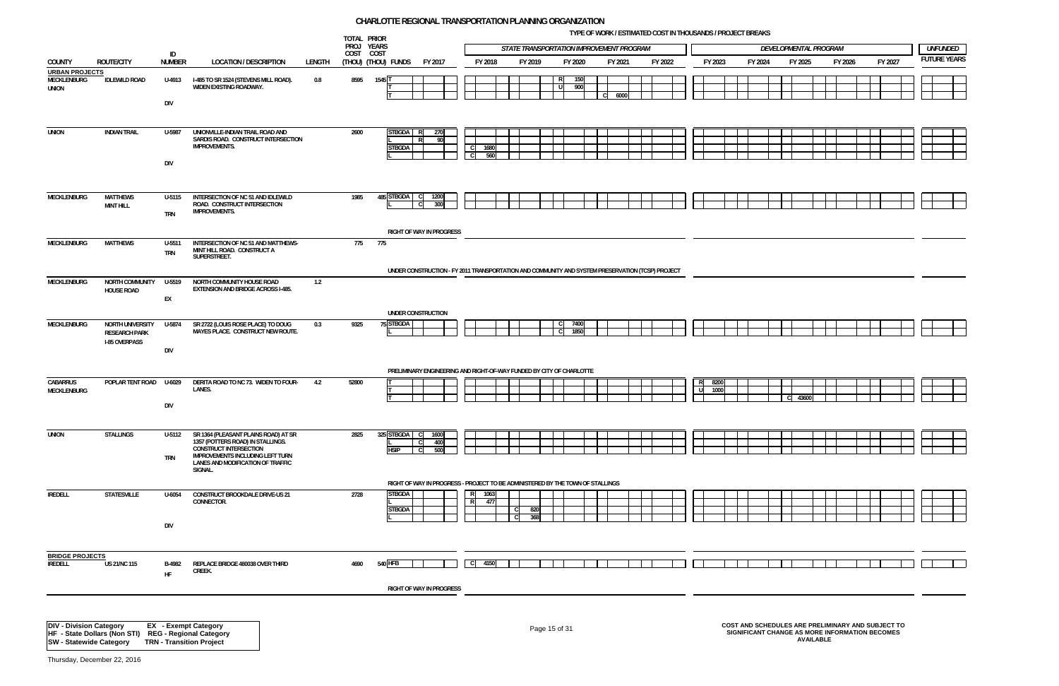**TYPE OF WORK / ESTIMATED COST IN THOUSANDS / PROJECT BREAKS**

|   | LOPMENTAL PROGRAM |  |         |  |         | <b>UNFUNDED</b>                                                      |
|---|-------------------|--|---------|--|---------|----------------------------------------------------------------------|
|   | FY 2025           |  | FY 2026 |  | FY 2027 | <b>FUTURE YEARS</b>                                                  |
|   |                   |  |         |  |         |                                                                      |
|   |                   |  |         |  |         |                                                                      |
|   |                   |  |         |  |         |                                                                      |
|   |                   |  |         |  |         |                                                                      |
|   |                   |  |         |  |         |                                                                      |
|   |                   |  |         |  |         |                                                                      |
|   |                   |  |         |  |         |                                                                      |
|   |                   |  |         |  |         |                                                                      |
|   |                   |  |         |  |         |                                                                      |
|   |                   |  |         |  |         |                                                                      |
|   |                   |  |         |  |         |                                                                      |
|   |                   |  |         |  |         |                                                                      |
|   |                   |  |         |  |         |                                                                      |
| C | 43600             |  |         |  |         |                                                                      |
|   |                   |  |         |  |         |                                                                      |
|   |                   |  |         |  |         |                                                                      |
|   |                   |  |         |  |         |                                                                      |
|   |                   |  |         |  |         |                                                                      |
|   |                   |  |         |  |         | <del>╎╎┈╎╎╎┈╎╎╎┈╎</del><br>┼┼┈┼┼┼┈┼┼┼┈┼┤┝┼┈┼╴<br>┼┼┈┼┼┼┈┼┼┼╌┼╴│├┼┈┼╴ |
|   |                   |  |         |  |         |                                                                      |
|   |                   |  |         |  |         |                                                                      |
|   |                   |  |         |  |         |                                                                      |
|   |                   |  |         |  |         |                                                                      |

|                                                      |                                              |                      |                                                                                                                          |        | TOTAL PRIOR<br>PROJ YEARS |                                |                                                                                                  |      |             | STATE TRANSPORTATION IMPROVEMENT PROGRAM |               |            |                      |         |    |         |         | DEVELOPMENTAL PROGRAM |         |                                                   | <b>UNFUNDED</b>    |  |
|------------------------------------------------------|----------------------------------------------|----------------------|--------------------------------------------------------------------------------------------------------------------------|--------|---------------------------|--------------------------------|--------------------------------------------------------------------------------------------------|------|-------------|------------------------------------------|---------------|------------|----------------------|---------|----|---------|---------|-----------------------|---------|---------------------------------------------------|--------------------|--|
| COUNTY                                               | <b>ROUTE/CITY</b>                            | ID<br><b>NUMBER</b>  | <b>LOCATION / DESCRIPTION</b>                                                                                            | LENGTH | COST COST                 | (THOU) (THOU) FUNDS            | FY 2017                                                                                          |      | FY 2018     | FY 2019                                  |               | FY 2020    | FY 2021              | FY 2022 |    | FY 2023 | FY 2024 | FY 2025               | FY 2026 | FY 2027                                           | <b>FUTURE YEAR</b> |  |
| <b>URBAN PROJECTS</b><br>MECKLENBURG<br><b>UNION</b> | <b>IDLEWILD ROAD</b>                         | U-4913               | I-485 TO SR 1524 (STEVENS MILL ROAD).<br>WIDEN EXISTING ROADWAY.                                                         | 0.8    | 8595                      | 1545 T                         |                                                                                                  |      |             |                                          | R<br>l U      | 150<br>900 | 6000<br>$\mathsf{C}$ |         |    |         |         |                       |         |                                                   |                    |  |
|                                                      |                                              | <b>DIV</b>           |                                                                                                                          |        |                           |                                |                                                                                                  |      |             |                                          |               |            |                      |         |    |         |         |                       |         |                                                   |                    |  |
| <b>UNION</b>                                         | <b>INDIAN TRAIL</b>                          | U-5987               | UNIONVILLE-INDIAN TRAIL ROAD AND<br>SARDIS ROAD. CONSTRUCT INTERSECTION<br><b>IMPROVEMENTS.</b>                          |        | 2600                      | <b>STBGDA</b><br><b>STBGDA</b> | 270<br>-90<br><b>D</b>                                                                           |      | 1680<br>560 |                                          |               |            |                      |         |    |         |         |                       |         |                                                   |                    |  |
|                                                      |                                              | <b>DIV</b>           |                                                                                                                          |        |                           |                                |                                                                                                  |      |             |                                          |               |            |                      |         |    |         |         |                       |         |                                                   |                    |  |
| <b>MECKLENBURG</b>                                   | <b>MATTHEWS</b><br><b>MINT HILL</b>          | U-5115<br><b>TRN</b> | INTERSECTION OF NC 51 AND IDLEWILD<br>ROAD. CONSTRUCT INTERSECTION<br><b>IMPROVEMENTS.</b>                               |        | 1985                      | 485 STBGDA                     | 1200<br>- CI<br>300<br><sub>c</sub>                                                              |      |             |                                          |               |            |                      |         |    |         |         |                       |         |                                                   |                    |  |
|                                                      |                                              |                      |                                                                                                                          |        |                           |                                | RIGHT OF WAY IN PROGRESS                                                                         |      |             |                                          |               |            |                      |         |    |         |         |                       |         |                                                   |                    |  |
| MECKLENBURG                                          | <b>MATTHEWS</b>                              | U-5511<br><b>TRN</b> | INTERSECTION OF NC 51 AND MATTHEWS-<br>MINT HILL ROAD. CONSTRUCT A<br>SUPERSTREET.                                       |        | 775                       | 775                            |                                                                                                  |      |             |                                          |               |            |                      |         |    |         |         |                       |         |                                                   |                    |  |
|                                                      |                                              |                      |                                                                                                                          |        |                           |                                | UNDER CONSTRUCTION - FY 2011 TRANSPORTATION AND COMMUNITY AND SYSTEM PRESERVATION (TCSP) PROJECT |      |             |                                          |               |            |                      |         |    |         |         |                       |         |                                                   |                    |  |
| MECKLENBURG                                          | NORTH COMMUNITY<br>HOUSE ROAD                | U-5519<br>EX         | NORTH COMMUNITY HOUSE ROAD<br><b>EXTENSION AND BRIDGE ACROSS I-485.</b>                                                  | 1.2    |                           |                                |                                                                                                  |      |             |                                          |               |            |                      |         |    |         |         |                       |         |                                                   |                    |  |
| MECKLENBURG                                          | NORTH UNIVERSITY                             | U-5874               | SR 2722 (LOUIS ROSE PLACE) TO DOUG                                                                                       | 0.3    | 9325                      | 75 STBGDA                      | UNDER CONSTRUCTION                                                                               |      |             |                                          |               | 7400       |                      |         |    |         |         |                       |         |                                                   |                    |  |
|                                                      | <b>RESEARCH PARK</b><br><b>I-85 OVERPASS</b> | <b>DIV</b>           | MAYES PLACE. CONSTRUCT NEW ROUTE.                                                                                        |        |                           |                                |                                                                                                  |      |             |                                          |               | 1850       |                      |         |    |         |         |                       |         |                                                   |                    |  |
|                                                      |                                              |                      |                                                                                                                          |        |                           |                                |                                                                                                  |      |             |                                          |               |            |                      |         |    |         |         |                       |         |                                                   |                    |  |
| <b>CABARRUS</b>                                      | POPLAR TENT ROAD U-6029                      |                      | DERITA ROAD TO NC 73. WIDEN TO FOUR-                                                                                     | 4.2    | 52800                     |                                | PRELIMINARY ENGINEERING AND RIGHT-OF-WAY FUNDED BY CITY OF CHARLOTTE                             |      |             |                                          |               |            |                      |         | RI | 8200    |         |                       |         |                                                   |                    |  |
| MECKLENBURG                                          |                                              | <b>DIV</b>           | LANES.                                                                                                                   |        |                           |                                |                                                                                                  |      |             |                                          |               |            |                      |         | ਰ  | 1000    |         | C 43600               |         |                                                   |                    |  |
| <b>UNION</b>                                         | <b>STALLINGS</b>                             | U-5112               | SR 1364 (PLEASANT PLAINS ROAD) AT SR<br>1357 (POTTERS ROAD) IN STALLINGS.                                                |        | 2825                      | 325 STBGDA                     | 1600<br>- C                                                                                      |      |             |                                          |               |            |                      |         |    |         |         |                       |         |                                                   |                    |  |
|                                                      |                                              | <b>TRN</b>           | <b>CONSTRUCT INTERSECTION</b><br><b>IMPROVEMENTS INCLUDING LEFT TURN</b><br>LANES AND MODIFICATION OF TRAFFIC<br>SIGNAL. |        |                           | <b>HSIP</b>                    | 400<br>500<br>- CI                                                                               |      |             |                                          |               |            |                      |         |    |         |         |                       |         |                                                   |                    |  |
|                                                      |                                              |                      |                                                                                                                          |        |                           |                                | RIGHT OF WAY IN PROGRESS - PROJECT TO BE ADMINISTERED BY THE TOWN OF STALLINGS                   |      |             |                                          |               |            |                      |         |    |         |         |                       |         |                                                   |                    |  |
| <b>IREDELL</b>                                       | STATESVILLE                                  | U-6054               | CONSTRUCT BROOKDALE DRIVE-US 21<br>CONNECTOR.                                                                            |        | 2728                      | <b>STBGDA</b><br><b>STBGDA</b> |                                                                                                  | - R  | 1063<br>477 | 820<br>C.<br>368<br><sub>c</sub>         |               |            |                      |         |    |         |         |                       |         |                                                   |                    |  |
|                                                      |                                              | <b>DIV</b>           |                                                                                                                          |        |                           |                                |                                                                                                  |      |             |                                          |               |            |                      |         |    |         |         |                       |         |                                                   |                    |  |
| <b>BRIDGE PROJECTS</b><br>IREDELL                    | <b>US 21/NC 115</b>                          | B-4982<br><b>HF</b>  | REPLACE BRIDGE 480038 OVER THIRD<br>CREEK.                                                                               |        | 4690                      | 540 HFB                        |                                                                                                  | l cl | 4150        |                                          |               |            |                      |         |    |         |         |                       |         |                                                   |                    |  |
|                                                      |                                              |                      |                                                                                                                          |        |                           |                                | <b>RIGHT OF WAY IN PROGRESS</b>                                                                  |      |             |                                          |               |            |                      |         |    |         |         |                       |         |                                                   |                    |  |
| <b>DIV - Division Category</b>                       |                                              |                      | <b>EX</b> - Exempt Category                                                                                              |        |                           |                                |                                                                                                  |      |             |                                          | Page 15 of 31 |            |                      |         |    |         |         |                       |         | COST AND SCHEDULES ARE PRELIMINARY AND SUBJECT TO |                    |  |

Page 15 of 31 **COST AND SCHEDULES ARE PRELIMINARY AND SUBJECT TO SIGNIFICANT CHANGE AS MORE INFORMATION BECOMES AVAILABLE**

**HF - State Dollars (Non STI) REG - Regional Category SW - Statewide Category TRN - Transition Project**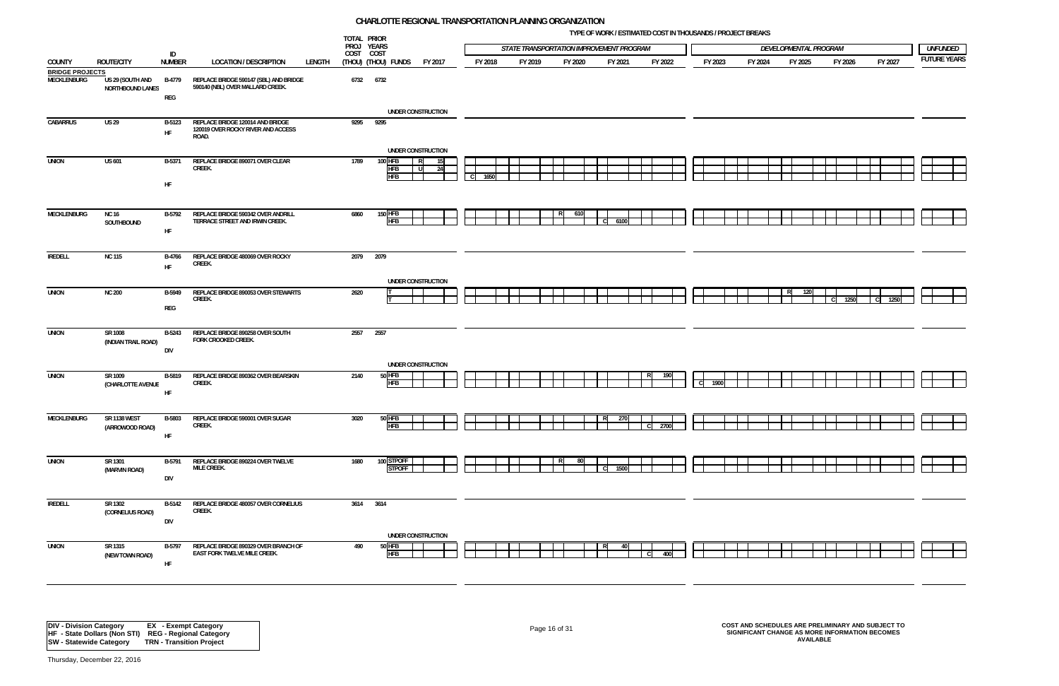**TYPE OF WORK / ESTIMATED COST IN THOUSANDS / PROJECT BREAKS**

| LOPMENTAL PROGRAM |           |           | <i>UNFUNDED</i>            |
|-------------------|-----------|-----------|----------------------------|
| FY 2025           | FY 2026   | FY 2027   | <b>FUTURE YEARS</b>        |
|                   |           |           |                            |
|                   |           |           |                            |
|                   |           |           |                            |
| 120<br>R          | C<br>1250 | C<br>1250 |                            |
|                   |           |           |                            |
|                   |           |           |                            |
|                   |           |           |                            |
|                   |           |           |                            |
|                   |           |           |                            |
|                   |           |           | <u>╁╅╼╅╅╁╼╁╁╁╼╁┥</u> ┠╁═╁┥ |

|                                       |                                        |                                        |                                                                                 |        | TOTAL PRIOR             |                              |                    |                      |         |                                          |   |         |          |                      |         |                       |         |         |                    |
|---------------------------------------|----------------------------------------|----------------------------------------|---------------------------------------------------------------------------------|--------|-------------------------|------------------------------|--------------------|----------------------|---------|------------------------------------------|---|---------|----------|----------------------|---------|-----------------------|---------|---------|--------------------|
|                                       |                                        | ID                                     |                                                                                 |        | PROJ YEARS<br>COST COST |                              |                    |                      |         | STATE TRANSPORTATION IMPROVEMENT PROGRAM |   |         |          |                      |         | DEVELOPMENTAL PROGRAM |         |         | <b>UNFUNDED</b>    |
| COUNTY                                | <b>ROUTE/CITY</b>                      | <b>NUMBER</b>                          | <b>LOCATION / DESCRIPTION</b>                                                   | LENGTH |                         | (THOU) (THOU) FUNDS          | FY 2017            | FY 2018              | FY 2019 | FY 2020                                  |   | FY 2021 | FY 2022  | FY 2023              | FY 2024 | FY 2025               | FY 2026 | FY 2027 | <b>FUTURE YEAR</b> |
| <b>BRIDGE PROJECTS</b><br>MECKLENBURG | US 29 (SOUTH AND<br>NORTHBOUND LANES   | <b>B-4779</b><br>$\mathsf{REG}\xspace$ | REPLACE BRIDGE 590147 (SBL) AND BRIDGE<br>590140 (NBL) OVER MALLARD CREEK.      |        | 6732 6732               |                              |                    |                      |         |                                          |   |         |          |                      |         |                       |         |         |                    |
|                                       |                                        |                                        |                                                                                 |        |                         |                              | UNDER CONSTRUCTION |                      |         |                                          |   |         |          |                      |         |                       |         |         |                    |
| CABARRUS                              | <b>US 29</b>                           | B-5123<br>HF                           | REPLACE BRIDGE 120014 AND BRIDGE<br>120019 OVER ROCKY RIVER AND ACCESS<br>ROAD. |        | 9295                    | 9295                         | UNDER CONSTRUCTION |                      |         |                                          |   |         |          |                      |         |                       |         |         |                    |
| <b>UNION</b>                          | <b>US 601</b>                          | B-5371                                 | REPLACE BRIDGE 890071 OVER CLEAR                                                |        | 1789                    | 100 HFB                      | - 15  <br>R.       |                      |         |                                          |   |         |          |                      |         |                       |         |         |                    |
|                                       |                                        | ${\sf HF}$                             | CREEK.                                                                          |        |                         | <b>HFB</b><br><b>HFB</b>     | - U I<br>- 24      | 1650<br><sub>c</sub> |         |                                          |   |         |          |                      |         |                       |         |         |                    |
|                                       |                                        |                                        |                                                                                 |        |                         |                              |                    |                      |         |                                          |   |         |          |                      |         |                       |         |         |                    |
| MECKLENBURG                           | <b>NC 16</b><br>SOUTHBOUND             | B-5792                                 | REPLACE BRIDGE 590342 OVER ANDRILL<br>TERRACE STREET AND IRWIN CREEK.           |        | 6860                    | <b>150 HFB</b><br><b>HFB</b> |                    |                      |         | 610                                      |   | 6100    |          |                      |         |                       |         |         |                    |
|                                       |                                        | ${\sf HF}$                             |                                                                                 |        |                         |                              |                    |                      |         |                                          |   |         |          |                      |         |                       |         |         |                    |
| <b>IREDELL</b>                        | <b>NC 115</b>                          | <b>B-4766</b><br>HF                    | REPLACE BRIDGE 480069 OVER ROCKY<br>CREEK.                                      |        | 2079 2079               |                              |                    |                      |         |                                          |   |         |          |                      |         |                       |         |         |                    |
|                                       |                                        |                                        |                                                                                 |        |                         |                              | UNDER CONSTRUCTION |                      |         |                                          |   |         |          |                      |         |                       |         |         |                    |
| <b>UNION</b>                          | <b>NC 200</b>                          | B-5949<br>$\mathsf{REG}\xspace$        | REPLACE BRIDGE 890053 OVER STEWARTS<br>CREEK.                                   |        | 2620                    |                              |                    |                      |         |                                          |   |         |          |                      |         |                       | 1250    |         |                    |
| <b>UNION</b>                          | SR 1008<br>(INDIAN TRAIL ROAD)         | B-5243                                 | REPLACE BRIDGE 890258 OVER SOUTH<br>FORK CROOKED CREEK.                         |        |                         | 2557 2557                    |                    |                      |         |                                          |   |         |          |                      |         |                       |         |         |                    |
|                                       |                                        | DIV                                    |                                                                                 |        |                         |                              |                    |                      |         |                                          |   |         |          |                      |         |                       |         |         |                    |
| <b>UNION</b>                          | SR 1009<br>(CHARLOTTE AVENUE           | B-5819                                 | REPLACE BRIDGE 890362 OVER BEARSKIN<br>CREEK.                                   |        | 2140                    | $50$ HFB<br><b>HFB</b>       | UNDER CONSTRUCTION |                      |         |                                          |   |         |          | $\mathsf{C}$<br>1900 |         |                       |         |         |                    |
|                                       |                                        | HF                                     |                                                                                 |        |                         |                              |                    |                      |         |                                          |   |         |          |                      |         |                       |         |         |                    |
| MECKLENBURG                           | <b>SR 1138 WEST</b><br>(ARROWOOD ROAD) | B-5803                                 | REPLACE BRIDGE 590001 OVER SUGAR<br>CREEK.                                      |        | 3020                    | $50$ HFB<br><b>HFB</b>       |                    |                      |         |                                          | R | 270     | $C$ 2700 |                      |         |                       |         |         |                    |
|                                       |                                        | HF                                     |                                                                                 |        |                         |                              |                    |                      |         |                                          |   |         |          |                      |         |                       |         |         |                    |
| <b>UNION</b>                          | SR 1301                                | B-5791                                 | REPLACE BRIDGE 890224 OVER TWELVE                                               |        | 1680                    | 100 STPOFF                   |                    |                      |         | -80                                      |   |         |          |                      |         |                       |         |         |                    |
|                                       | (MARVIN ROAD)                          | DIV                                    | MILE CREEK.                                                                     |        |                         | <b>STPOFF</b>                |                    |                      |         |                                          |   | 1500    |          |                      |         |                       |         |         |                    |
| <b>IREDELL</b>                        | SR 1302<br>(CORNELIUS ROAD)            | B-5142                                 | REPLACE BRIDGE 480057 OVER CORNELIUS<br>CREEK.                                  |        |                         | 3614 3614                    |                    |                      |         |                                          |   |         |          |                      |         |                       |         |         |                    |
|                                       |                                        | DIV                                    |                                                                                 |        |                         |                              | UNDER CONSTRUCTION |                      |         |                                          |   |         |          |                      |         |                       |         |         |                    |
| <b>UNION</b>                          | SR 1315<br>(NEW TOWN ROAD)             | B-5797                                 | REPLACE BRIDGE 890329 OVER BRANCH OF<br>EAST FORK TWELVE MILE CREEK.            |        | 490                     | 50 HFB<br><b>HFB</b>         |                    |                      |         |                                          |   |         | 400      |                      |         |                       |         |         |                    |
|                                       |                                        | HF                                     |                                                                                 |        |                         |                              |                    |                      |         |                                          |   |         |          |                      |         |                       |         |         |                    |

Page 16 of 31 **COST AND SCHEDULES ARE PRELIMINARY AND SUBJECT TO SIGNIFICANT CHANGE AS MORE INFORMATION BECOMES AVAILABLE**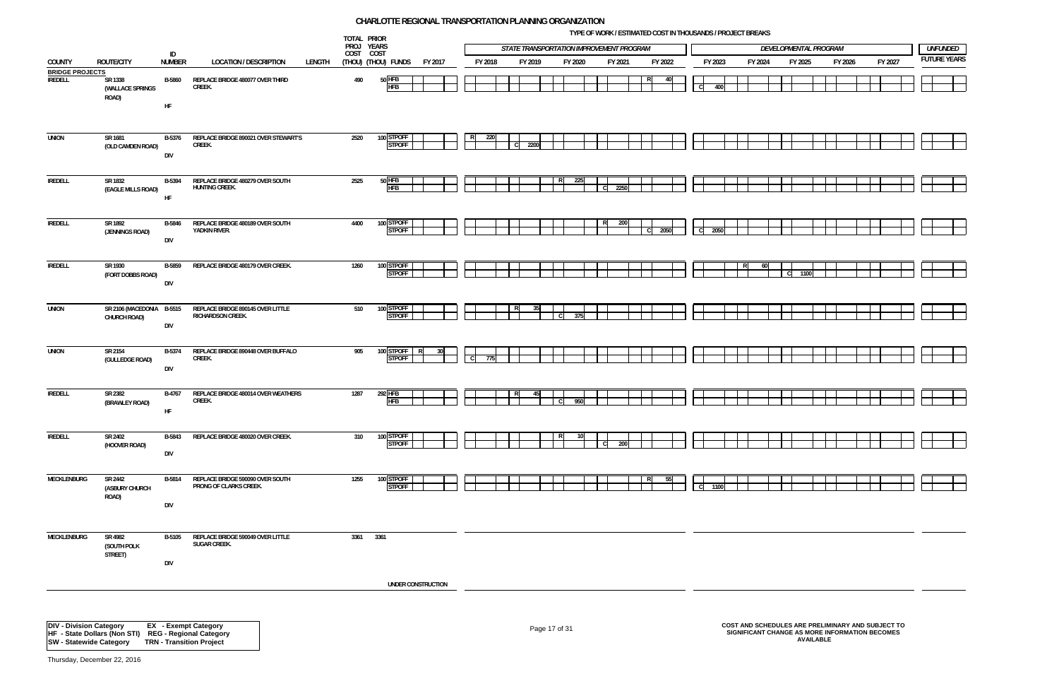**TYPE OF WORK / ESTIMATED COST IN THOUSANDS / PROJECT BREAKS**



|                                          |                                                                                                                 |                             |                                                               | TOTAL PRIOR<br>PROJ YEARS |                                    |         |                     |         |            |               |              | STATE TRANSPORTATION IMPROVEMENT PROGRAM |     |         |         |                |         |         |    | DEVELOPMENTAL PROGRAM |         |                                                                                                     |  | <b>UNFUNDED</b>    |
|------------------------------------------|-----------------------------------------------------------------------------------------------------------------|-----------------------------|---------------------------------------------------------------|---------------------------|------------------------------------|---------|---------------------|---------|------------|---------------|--------------|------------------------------------------|-----|---------|---------|----------------|---------|---------|----|-----------------------|---------|-----------------------------------------------------------------------------------------------------|--|--------------------|
| COUNTY                                   | ROUTE/CITY                                                                                                      | ID<br><b>NUMBER</b>         | <b>LOCATION / DESCRIPTION</b><br>LENGTH                       | COST COST                 | (Thou) (Thou) funds                | FY 2017 |                     | FY 2018 | FY 2019    |               | FY 2020      |                                          |     | FY 2021 | FY 2022 |                | FY 2023 | FY 2024 |    | FY 2025               | FY 2026 | FY 2027                                                                                             |  | <b>FUTURE YEAR</b> |
| <b>BRIDGE PROJECTS</b><br><b>IREDELL</b> | SR 1338<br>(WALLACE SPRINGS<br>ROAD)                                                                            | B-5860                      | REPLACE BRIDGE 480077 OVER THIRD<br>CREEK.                    | 490                       | 50 HFB<br><b>HFB</b>               |         |                     |         |            |               |              |                                          |     |         |         | <sub>c</sub>   | 400     |         |    |                       |         |                                                                                                     |  |                    |
| <b>UNION</b>                             | SR 1681                                                                                                         | HF<br><b>B-5376</b>         | REPLACE BRIDGE 890021 OVER STEWART'S                          | 2520                      | 100 STPOFF                         |         |                     | 220     |            |               |              |                                          |     |         |         |                |         |         |    |                       |         |                                                                                                     |  |                    |
|                                          | (OLD CAMDEN ROAD)                                                                                               | <b>DIV</b>                  | CREEK.                                                        |                           | <b>STPOFF</b>                      |         |                     |         | 2200<br>C. |               |              |                                          |     |         |         |                |         |         |    |                       |         |                                                                                                     |  |                    |
| <b>IREDELL</b>                           | SR 1832<br>(EAGLE MILLS ROAD)                                                                                   | <b>B-5394</b><br>HF         | REPLACE BRIDGE 480279 OVER SOUTH<br>HUNTING CREEK.            | 2525                      | $50$ HFB<br><b>HFB</b>             |         |                     |         |            |               |              | 225                                      | - C | 2250    |         |                |         |         |    |                       |         |                                                                                                     |  |                    |
| <b>IREDELL</b>                           | SR 1892<br>(JENNINGS ROAD)                                                                                      | <b>B-5846</b><br>DIV        | REPLACE BRIDGE 480189 OVER SOUTH<br>YADKIN RIVER.             | 4400                      | 100 STPOFF<br><b>STPOFF</b>        |         |                     |         |            |               |              |                                          | RI  | 200     | 2050    | $\mathbf{C}$   | 2050    |         |    |                       |         |                                                                                                     |  |                    |
| <b>IREDELL</b>                           | SR 1930<br>(FORT DOBBS ROAD)                                                                                    | B-5859<br><b>DIV</b>        | REPLACE BRIDGE 480179 OVER CREEK.                             | 1260                      | 100 STPOFF<br><b>STPOFF</b>        |         |                     |         |            |               |              |                                          |     |         |         |                |         | -60     | C. | 1100                  |         |                                                                                                     |  |                    |
| <b>UNION</b>                             | SR 2106 (MACEDONIA B-5515<br>CHURCH ROAD)                                                                       | <b>DIV</b>                  | REPLACE BRIDGE 890145 OVER LITTLE<br><b>RICHARDSON CREEK.</b> | 510                       | 100 STPOFF<br><b>STPOFF</b>        |         |                     |         | R.         | 35            | $\mathbf{C}$ | 375                                      |     |         |         |                |         |         |    |                       |         |                                                                                                     |  |                    |
| <b>UNION</b>                             | SR 2154<br>(GULLEDGE ROAD)                                                                                      | B-5374<br>DIV               | REPLACE BRIDGE 890448 OVER BUFFALO<br>CREEK.                  | 905                       | 100 STPOFF<br>- R<br><b>STPOFF</b> | -30     | $\lfloor C \rfloor$ | 775     |            |               |              |                                          |     |         |         |                |         |         |    |                       |         |                                                                                                     |  |                    |
| IREDELL                                  | SR 2382<br>(BRAWLEY ROAD)                                                                                       | B-4767<br>HF                | REPLACE BRIDGE 480014 OVER WEATHERS<br>CREEK.                 | 1287                      | 292 HFB<br><b>HFB</b>              |         |                     |         | R          | 45            | - CI         | 950                                      |     |         |         |                |         |         |    |                       |         |                                                                                                     |  |                    |
| <b>IREDELL</b>                           | SR 2402<br>(HOOVER ROAD)                                                                                        | B-5843<br>DIV               | REPLACE BRIDGE 480020 OVER CREEK.                             | 310                       | 100 STPOFF<br><b>STPOFF</b>        |         |                     |         |            |               |              |                                          |     | 200     |         |                |         |         |    |                       |         |                                                                                                     |  |                    |
| MECKLENBURG                              | SR 2442<br>(ASBURY CHURCH<br>ROAD)                                                                              | <b>B-5814</b><br><b>DIV</b> | REPLACE BRIDGE 590090 OVER SOUTH<br>PRONG OF CLARKS CREEK.    | 1255                      | 100 STPOFF<br><b>STPOFF</b>        |         |                     |         |            |               |              |                                          |     |         | 55      | $\overline{c}$ | 1100    |         |    |                       |         |                                                                                                     |  |                    |
| <b>MECKLENBURG</b>                       | SR 4982<br>(SOUTH POLK<br>STREET)                                                                               | <b>B-5105</b><br>DIV        | REPLACE BRIDGE 590049 OVER LITTLE<br>SUGAR CREEK.             | 3361 3361                 |                                    |         |                     |         |            |               |              |                                          |     |         |         |                |         |         |    |                       |         |                                                                                                     |  |                    |
|                                          |                                                                                                                 |                             |                                                               |                           | UNDER CONSTRUCTION                 |         |                     |         |            |               |              |                                          |     |         |         |                |         |         |    |                       |         |                                                                                                     |  |                    |
| <b>DIV - Division Category</b>           | <b>HF - State Dollars (Non STI)</b> REG - Regional Category<br>SW - Statewide Category TRN - Transition Project |                             | <b>EX</b> - Exempt Category                                   |                           |                                    |         |                     |         |            | Page 17 of 31 |              |                                          |     |         |         |                |         |         |    | <b>AVAILABLE</b>      |         | COST AND SCHEDULES ARE PRELIMINARY AND SUBJECT TO<br>SIGNIFICANT CHANGE AS MORE INFORMATION BECOMES |  |                    |

**SW - Statewide Category TRN - Transition Project**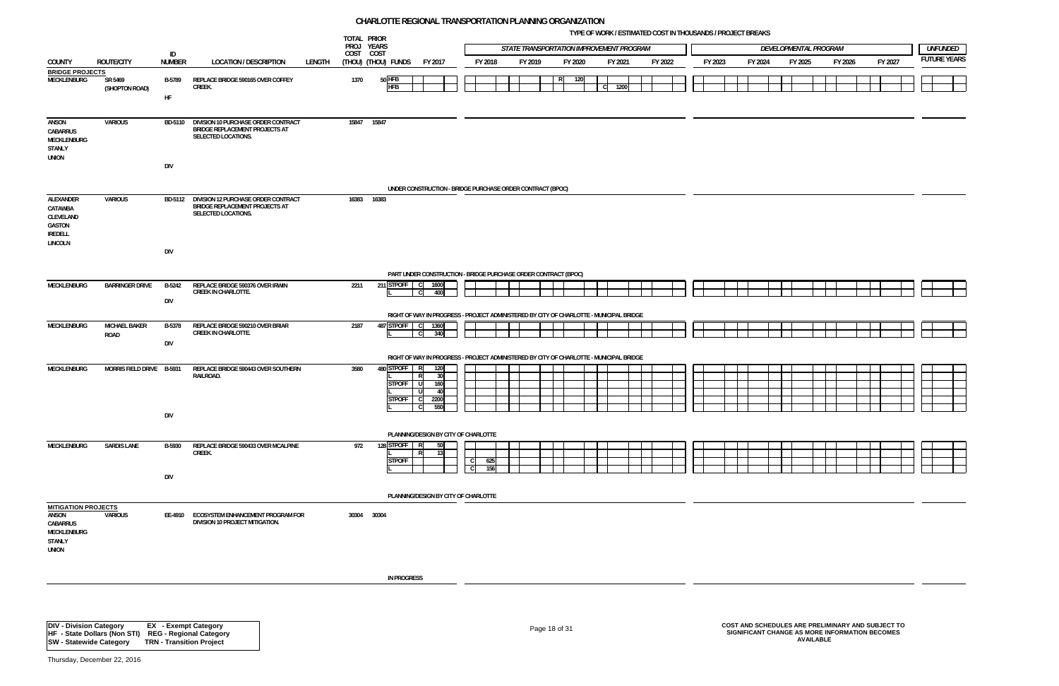**TYPE OF WORK / ESTIMATED COST IN THOUSANDS / PROJECT BREAKS**

|                                                                                                 |                                     |                     |                                                                                                      |        | TOTAL PRIOR<br>PROJ YEARS |                                           |                                                                                         |                             |            |                                          |          |            | <b>IFL OF WORK / ESTIMATED COST IN INOUSANDS / FROJECT DREAKS</b> |         |         |                       |         |         |  |         |                     |
|-------------------------------------------------------------------------------------------------|-------------------------------------|---------------------|------------------------------------------------------------------------------------------------------|--------|---------------------------|-------------------------------------------|-----------------------------------------------------------------------------------------|-----------------------------|------------|------------------------------------------|----------|------------|-------------------------------------------------------------------|---------|---------|-----------------------|---------|---------|--|---------|---------------------|
|                                                                                                 |                                     | ID                  |                                                                                                      |        | COST COST                 |                                           |                                                                                         |                             |            | STATE TRANSPORTATION IMPROVEMENT PROGRAM |          |            |                                                                   |         |         | DEVELOPMENTAL PROGRAM |         |         |  |         | UNFUNDED            |
| COUNTY                                                                                          | <b>ROUTE/CITY</b>                   | <b>NUMBER</b>       | <b>LOCATION / DESCRIPTION</b>                                                                        | LENGTH |                           | (THOU) (THOU) FUNDS                       | FY 2017                                                                                 |                             | FY 2018    | FY 2019                                  | FY 2020  | FY 2021    | FY 2022                                                           | FY 2023 | FY 2024 |                       | FY 2025 | FY 2026 |  | FY 2027 | <b>FUTURE YEARS</b> |
| <b>BRIDGE PROJECTS</b><br>MECKLENBURG                                                           | SR 5469<br>(SHOPTON ROAD)           | B-5789<br><b>HF</b> | REPLACE BRIDGE 590165 OVER COFFEY<br>CREEK.                                                          |        | 1370                      | 50 HFB<br><b>HFB</b>                      |                                                                                         |                             |            |                                          | R<br>120 | 1200<br> C |                                                                   |         |         |                       |         |         |  |         |                     |
| ANSON<br>CABARRUS<br>MECKLENBURG<br><b>STANLY</b><br><b>UNION</b>                               | <b>VARIOUS</b>                      | <b>DIV</b>          | BD-5110 DIVISION 10 PURCHASE ORDER CONTRACT<br>BRIDGE REPLACEMENT PROJECTS AT<br>SELECTED LOCATIONS. |        | 15847 15847               |                                           |                                                                                         |                             |            |                                          |          |            |                                                                   |         |         |                       |         |         |  |         |                     |
|                                                                                                 |                                     |                     |                                                                                                      |        |                           |                                           |                                                                                         |                             |            |                                          |          |            |                                                                   |         |         |                       |         |         |  |         |                     |
|                                                                                                 |                                     |                     |                                                                                                      |        |                           |                                           | UNDER CONSTRUCTION - BRIDGE PURCHASE ORDER CONTRACT (BPOC)                              |                             |            |                                          |          |            |                                                                   |         |         |                       |         |         |  |         |                     |
| ALEXANDER<br>CATAWBA<br>CLEVELAND<br>GASTON<br><b>IREDELL</b><br><b>LINCOLN</b>                 | <b>VARIOUS</b>                      |                     | BD-5112 DIVISION 12 PURCHASE ORDER CONTRACT<br>BRIDGE REPLACEMENT PROJECTS AT<br>SELECTED LOCATIONS. |        | 16383 16383               |                                           |                                                                                         |                             |            |                                          |          |            |                                                                   |         |         |                       |         |         |  |         |                     |
|                                                                                                 |                                     | <b>DIV</b>          |                                                                                                      |        |                           |                                           |                                                                                         |                             |            |                                          |          |            |                                                                   |         |         |                       |         |         |  |         |                     |
|                                                                                                 |                                     |                     |                                                                                                      |        |                           |                                           | PART UNDER CONSTRUCTION - BRIDGE PURCHASE ORDER CONTRACT (BPOC)                         |                             |            |                                          |          |            |                                                                   |         |         |                       |         |         |  |         |                     |
| MECKLENBURG                                                                                     | <b>BARRINGER DRIVE</b>              | <b>B-5242</b>       | REPLACE BRIDGE 590376 OVER IRWIN                                                                     |        | 2211                      | 211 STPOFF C                              | 1600                                                                                    |                             |            |                                          |          |            |                                                                   |         |         |                       |         |         |  |         |                     |
|                                                                                                 |                                     | <b>DIV</b>          | <b>CREEK IN CHARLOTTE.</b>                                                                           |        |                           |                                           | 400<br> C                                                                               |                             |            |                                          |          |            |                                                                   |         |         |                       |         |         |  |         |                     |
|                                                                                                 |                                     |                     |                                                                                                      |        |                           |                                           | RIGHT OF WAY IN PROGRESS - PROJECT ADMINISTERED BY CITY OF CHARLOTTE - MUNICIPAL BRIDGE |                             |            |                                          |          |            |                                                                   |         |         |                       |         |         |  |         |                     |
| MECKLENBURG                                                                                     | <b>MICHAEL BAKER</b><br><b>ROAD</b> | B-5378              | REPLACE BRIDGE 590210 OVER BRIAR<br><b>CREEK IN CHARLOTTE.</b>                                       |        | 2187                      | 487 STPOFF C                              | 1360<br>340<br>l cl                                                                     |                             |            |                                          |          |            |                                                                   |         |         |                       |         |         |  |         |                     |
|                                                                                                 |                                     | <b>DIV</b>          |                                                                                                      |        |                           |                                           |                                                                                         |                             |            |                                          |          |            |                                                                   |         |         |                       |         |         |  |         |                     |
|                                                                                                 |                                     |                     |                                                                                                      |        |                           |                                           | RIGHT OF WAY IN PROGRESS - PROJECT ADMINISTERED BY CITY OF CHARLOTTE - MUNICIPAL BRIDGE |                             |            |                                          |          |            |                                                                   |         |         |                       |         |         |  |         |                     |
| <b>MECKLENBURG</b>                                                                              | MORRIS FIELD DRIVE B-5931           |                     | REPLACE BRIDGE 590443 OVER SOUTHERN<br>RAILROAD.                                                     |        | 3580                      | 480 STPOFF R<br>STPOFF U<br><b>STPOFF</b> | 120<br>30 <sup>1</sup><br>160<br>40<br>2200<br>ாப<br>550                                |                             |            |                                          |          |            |                                                                   |         |         |                       |         |         |  |         |                     |
|                                                                                                 |                                     | DIV                 |                                                                                                      |        |                           |                                           |                                                                                         |                             |            |                                          |          |            |                                                                   |         |         |                       |         |         |  |         |                     |
|                                                                                                 |                                     |                     |                                                                                                      |        |                           |                                           | PLANNING/DESIGN BY CITY OF CHARLOTTE                                                    |                             |            |                                          |          |            |                                                                   |         |         |                       |         |         |  |         |                     |
| MECKLENBURG                                                                                     | <b>SARDIS LANE</b>                  | B-5930              | REPLACE BRIDGE 590433 OVER MCALPINE<br>CREEK.                                                        |        | 972                       | 128 STPOFF R<br><b>STPOFF</b>             | 50<br>13                                                                                | $\mathbf{C}$<br>$\mathbf C$ | 625<br>156 |                                          |          |            |                                                                   |         |         |                       |         |         |  |         |                     |
|                                                                                                 |                                     | <b>DIV</b>          |                                                                                                      |        |                           |                                           |                                                                                         |                             |            |                                          |          |            |                                                                   |         |         |                       |         |         |  |         |                     |
|                                                                                                 |                                     |                     |                                                                                                      |        |                           |                                           | PLANNING/DESIGN BY CITY OF CHARLOTTE                                                    |                             |            |                                          |          |            |                                                                   |         |         |                       |         |         |  |         |                     |
| <b>MITIGATION PROJECTS</b><br>ANSON<br>CABARRUS<br>MECKLENBURG<br><b>STANLY</b><br><b>UNION</b> | <b>VARIOUS</b>                      |                     | EE-4910 ECOSYSTEM ENHANCEMENT PROGRAM FOR<br>DIVISION 10 PROJECT MITIGATION.                         |        | 30304 30304               |                                           |                                                                                         |                             |            |                                          |          |            |                                                                   |         |         |                       |         |         |  |         |                     |
|                                                                                                 |                                     |                     |                                                                                                      |        |                           | <b>IN PROGRESS</b>                        |                                                                                         |                             |            |                                          |          |            |                                                                   |         |         |                       |         |         |  |         |                     |
|                                                                                                 |                                     |                     |                                                                                                      |        |                           |                                           |                                                                                         |                             |            |                                          |          |            |                                                                   |         |         |                       |         |         |  |         |                     |

**DIV - Division Category EX - Exempt Category HF - State Dollars (Non STI) REG - Regional Category SW - Statewide Category TRN - Transition Project**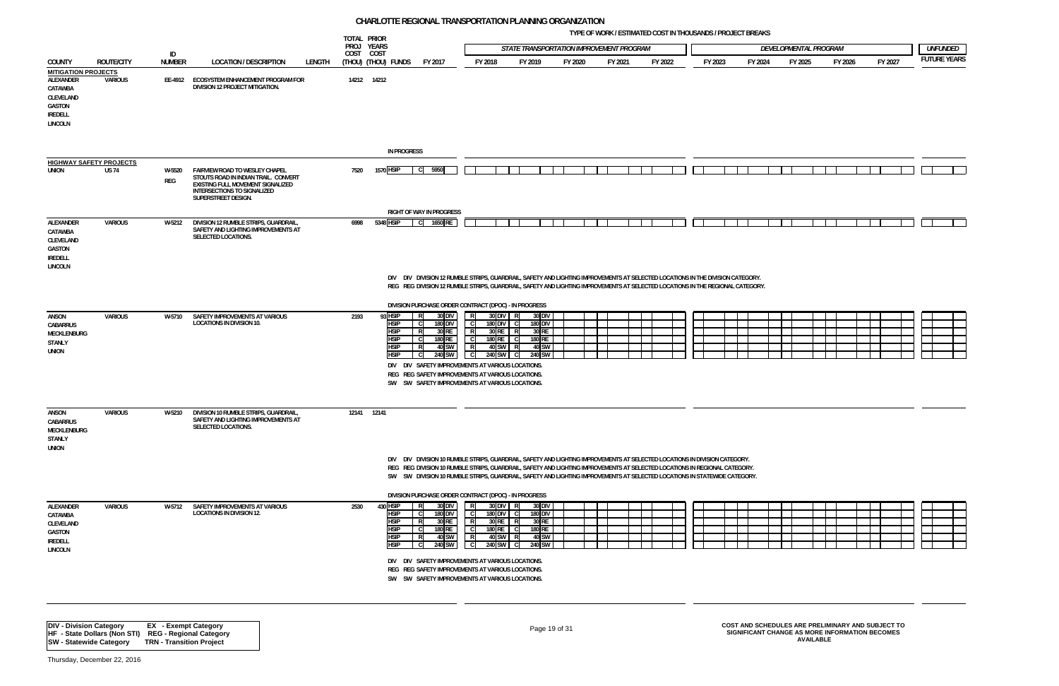**TYPE OF WORK / ESTIMATED COST IN THOUSANDS / PROJECT BREAKS**

|                                                                                                               |                   |                             |                                                                                                                                                                   |        |           | TOTAL PRIOR<br>PROJ YEARS                                                           |                                                                                                                                                                                                                                                                                                                           |                                                                                         | STATE TRANSPORTATION IMPROVEMENT PROGRAM                                                                                |               |         |         |         |         | DEVELOPMENTAL PROGRAM                             |         |         | <b>UNFUNDED</b>     |
|---------------------------------------------------------------------------------------------------------------|-------------------|-----------------------------|-------------------------------------------------------------------------------------------------------------------------------------------------------------------|--------|-----------|-------------------------------------------------------------------------------------|---------------------------------------------------------------------------------------------------------------------------------------------------------------------------------------------------------------------------------------------------------------------------------------------------------------------------|-----------------------------------------------------------------------------------------|-------------------------------------------------------------------------------------------------------------------------|---------------|---------|---------|---------|---------|---------------------------------------------------|---------|---------|---------------------|
| <b>COUNTY</b>                                                                                                 | <b>ROUTE/CITY</b> | ID<br><b>NUMBER</b>         | <b>LOCATION / DESCRIPTION</b>                                                                                                                                     | LENGTH | COST COST | (Thou) (Thou) funds                                                                 | FY 2017                                                                                                                                                                                                                                                                                                                   | FY 2018                                                                                 | FY 2019                                                                                                                 | FY 2020       | FY 2021 | FY 2022 | FY 2023 | FY 2024 | FY 2025                                           | FY 2026 | FY 2027 | <b>FUTURE YEARS</b> |
| <b>MITIGATION PROJECTS</b><br>ALEXANDER<br>CATAWBA<br>CLEVELAND<br>GASTON<br><b>IREDELL</b><br><b>LINCOLN</b> | VARIOUS           |                             | EE-4912 ECOSYSTEM ENHANCEMENT PROGRAM FOR<br>DIVISION 12 PROJECT MITIGATION.                                                                                      |        |           | 14212 14212                                                                         |                                                                                                                                                                                                                                                                                                                           |                                                                                         |                                                                                                                         |               |         |         |         |         |                                                   |         |         |                     |
|                                                                                                               |                   |                             |                                                                                                                                                                   |        |           |                                                                                     | <b>IN PROGRESS</b>                                                                                                                                                                                                                                                                                                        |                                                                                         |                                                                                                                         |               |         |         |         |         |                                                   |         |         |                     |
| <b>HIGHWAY SAFETY PROJECTS</b><br>union                                                                       | <b>US 74</b>      | W-5520<br>REG               | FAIRVIEW ROAD TO WESLEY CHAPEL<br>STOUTS ROAD IN INDIAN TRAIL. CONVERT<br>EXISTING FULL MOVEMENT SIGNALIZED<br>INTERSECTIONS TO SIGNALIZED<br>SUPERSTREET DESIGN. |        | 7520      | 1570 HSIP                                                                           | C 5950                                                                                                                                                                                                                                                                                                                    |                                                                                         |                                                                                                                         |               |         |         |         |         |                                                   |         |         |                     |
| ALEXANDER<br>CATAWBA<br>CLEVELAND<br>GASTON<br><b>IREDELL</b><br><b>LINCOLN</b>                               | VARIOUS           | W-5212                      | DIVISION 12 RUMBLE STRIPS, GUARDRAIL,<br>SAFETY AND LIGHTING IMPROVEMENTS AT<br><b>SELECTED LOCATIONS.</b>                                                        |        | 6998      | 5348 HSIP                                                                           | <b>RIGHT OF WAY IN PROGRESS</b><br>1650 RE<br>- CI                                                                                                                                                                                                                                                                        |                                                                                         |                                                                                                                         |               |         |         |         |         |                                                   |         |         |                     |
|                                                                                                               |                   |                             |                                                                                                                                                                   |        |           |                                                                                     | DIV DIV DIVISION 12 RUMBLE STRIPS, GUARDRAIL, SAFETY AND LIGHTING IMPROVEMENTS AT SELECTED LOCATIONS IN THE DIVISION CATEGORY.<br>REG REG DIVISION 12 RUMBLE STRIPS, GUARDRAIL, SAFETY AND LIGHTING IMPROVEMENTS AT SELECTED LOCATIONS IN THE REGIONAL CATEGORY.<br>DIVISION PURCHASE ORDER CONTRACT (DPOC) - IN PROGRESS |                                                                                         |                                                                                                                         |               |         |         |         |         |                                                   |         |         |                     |
| ANSON<br>CABARRUS<br>MECKLENBURG<br>STANLY<br><b>UNION</b>                                                    | VARIOUS           | W-5710                      | SAFETY IMPROVEMENTS AT VARIOUS<br><b>LOCATIONS IN DIVISION 10.</b>                                                                                                |        | 2193      | 93 HSIP<br><b>HSIP</b><br><b>HSIP</b><br><b>HSIP</b><br>HSIP<br><b>HSIP</b>         | 30 DIV<br><b>180 DIV</b><br>30 RE<br>180 RE<br><b>40 SW</b><br>240 SW<br>DIV DIV SAFETY IMPROVEMENTS AT VARIOUS LOCATIONS.<br>REG REG SAFETY IMPROVEMENTS AT VARIOUS LOCATIONS.<br>SW SW SAFETY IMPROVEMENTS AT VARIOUS LOCATIONS.                                                                                        | R<br>$\mathsf{C}$<br><b>180 DIV</b><br>R<br>$\mathbf C$<br>180 RE<br>R<br> c <br>240 SW | 30 DIV<br>30 DIV<br>-R.<br>180 DIV<br>30 RE<br>30 RE<br>180 RE<br>40 SW<br>40 SW<br>240 SW                              |               |         |         |         |         |                                                   |         |         |                     |
| ANSON<br><b>CABARRUS</b><br>MECKLENBURG<br>STANLY<br><b>UNION</b>                                             | <b>VARIOUS</b>    | W-5210                      | DIVISION 10 RUMBLE STRIPS, GUARDRAIL<br>SAFETY AND LIGHTING IMPROVEMENTS AT<br>SELECTED LOCATIONS.                                                                |        |           | 12141 12141                                                                         | DIV DIV DIVISION 10 RUMBLE STRIPS, GUARDRAIL, SAFETY AND LIGHTING IMPROVEMENTS AT SELECTED LOCATIONS IN DIVISION CATEGORY.<br>REG REG DIVISION 10 RUMBLE STRIPS, GUARDRAIL, SAFETY AND LIGHTING IMPROVEMENTS AT SELECTED LOCATIONS IN REGIONAL CATEGORY.                                                                  |                                                                                         |                                                                                                                         |               |         |         |         |         |                                                   |         |         |                     |
|                                                                                                               |                   |                             |                                                                                                                                                                   |        |           |                                                                                     | SW SW DIVISION 10 RUMBLE STRIPS, GUARDRAIL, SAFETY AND LIGHTING IMPROVEMENTS AT SELECTED LOCATIONS IN STATEWIDE CATEGORY.                                                                                                                                                                                                 |                                                                                         |                                                                                                                         |               |         |         |         |         |                                                   |         |         |                     |
| ALEXANDER<br>CATAWBA<br>CLEVELAND<br>GASTON<br><b>IREDELL</b><br>LINCOLN                                      | VARIOUS           | W-5712                      | SAFETY IMPROVEMENTS AT VARIOUS<br><b>LOCATIONS IN DIVISION 12.</b>                                                                                                |        | 2530      | 430 HSIP<br><b>HSIP</b><br><b>HSIP</b><br><b>HSIP</b><br><b>HSIP</b><br><b>HSIP</b> | DIVISION PURCHASE ORDER CONTRACT (DPOC) - IN PROGRESS<br>30 DIV<br><b>180 DIV</b><br>30 RE<br>180 RE<br>40 SW<br>R<br>240 SW<br>DIV DIV SAFETY IMPROVEMENTS AT VARIOUS LOCATIONS.<br>REG REG SAFETY IMPROVEMENTS AT VARIOUS LOCATIONS.<br>SW SW SAFETY IMPROVEMENTS AT VARIOUS LOCATIONS.                                 | RL<br>$\mathbf{C}$<br>180 DIV<br>RI<br>l cl<br>180 RE<br>l RI<br>l cl<br>240 SW         | 30 DIV R<br><b>30 DIV</b><br><b>180 DIV</b><br>30 RE<br>30 RE<br>RI<br>180 RE<br>-C I<br>40 SW<br>40 SW<br>R.<br>240 SW |               |         |         |         |         |                                                   |         |         |                     |
| <b>DIV - Division Category</b>                                                                                |                   | <b>EX</b> - Exempt Category |                                                                                                                                                                   |        |           |                                                                                     |                                                                                                                                                                                                                                                                                                                           |                                                                                         |                                                                                                                         | Page 10 of 31 |         |         |         |         | COST AND SCHEDULES ARE PRELIMINARY AND SUBJECT TO |         |         |                     |

# Page 19 of 31 **COST AND SCHEDULES ARE PRELIMINARY AND SUBJECT TO SIGNIFICANT CHANGE AS MORE INFORMATION BECOMES AVAILABLE**

**HF - State Dollars (Non STI) REG - Regional Category SW - Statewide Category TRN - Transition Project**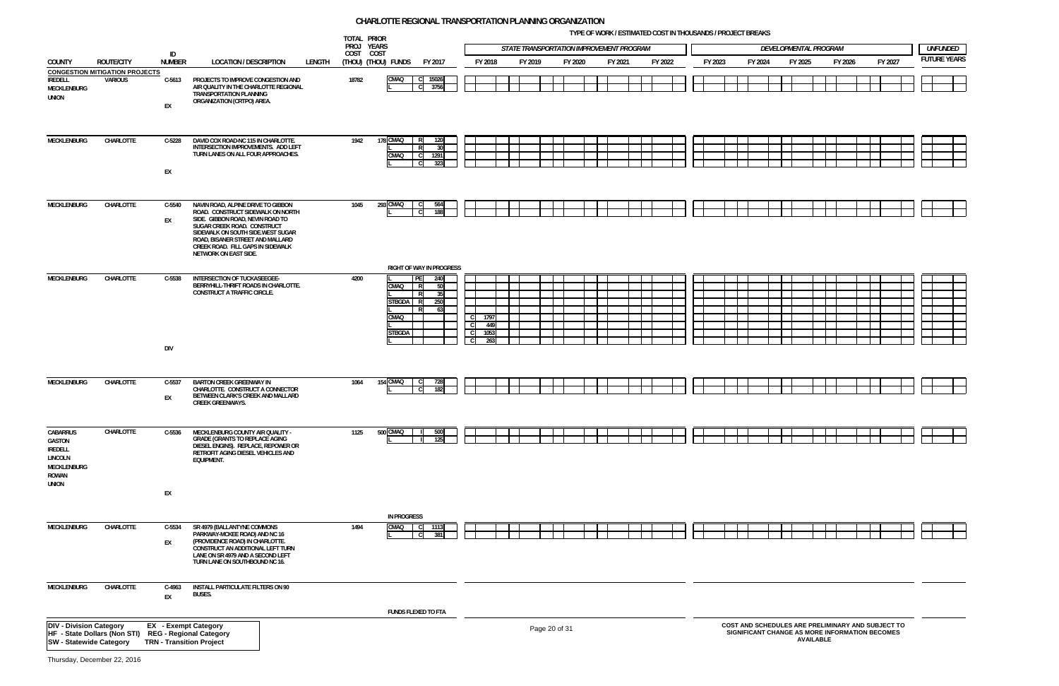**TYPE OF WORK / ESTIMATED COST IN THOUSANDS / PROJECT BREAKS**

















|                                                                                         |                                                      |                                                                |                                                                                                                                                                                                                                                                                   | TOTAL PRIOR<br>PROJ YEARS |                                                                                                                  |                                   |         | STATE TRANSPORTATION IMPROVEMENT PROGRAM |         |         |         |         | DEVELOPMENTAL PROGRAM |         |                  |         |                                                                                                     |         | <b>UNFUNDED</b>    |
|-----------------------------------------------------------------------------------------|------------------------------------------------------|----------------------------------------------------------------|-----------------------------------------------------------------------------------------------------------------------------------------------------------------------------------------------------------------------------------------------------------------------------------|---------------------------|------------------------------------------------------------------------------------------------------------------|-----------------------------------|---------|------------------------------------------|---------|---------|---------|---------|-----------------------|---------|------------------|---------|-----------------------------------------------------------------------------------------------------|---------|--------------------|
| <b>COUNTY</b>                                                                           | <b>ROUTE/CITY</b>                                    | ID<br><b>NUMBER</b>                                            | <b>LOCATION / DESCRIPTION</b><br>LENGTH                                                                                                                                                                                                                                           | COST COST                 | (THOU) (THOU) FUNDS<br>FY 2017                                                                                   | FY 2018                           | FY 2019 | FY 2020                                  | FY 2021 | FY 2022 | FY 2023 | FY 2024 |                       | FY 2025 |                  | FY 2026 |                                                                                                     | FY 2027 | <b>FUTURE YEAR</b> |
|                                                                                         | <b>CONGESTION MITIGATION PROJECTS</b>                |                                                                |                                                                                                                                                                                                                                                                                   |                           |                                                                                                                  |                                   |         |                                          |         |         |         |         |                       |         |                  |         |                                                                                                     |         |                    |
| <b>IREDELL</b><br><b>MECKLENBURG</b><br><b>UNION</b>                                    | VARIOUS                                              | $C-5613$<br>EX                                                 | PROJECTS TO IMPROVE CONGESTION AND<br>AIR QUALITY IN THE CHARLOTTE REGIONAL<br>TRANSPORTATION PLANNING<br>ORGANIZATION (CRTPO) AREA.                                                                                                                                              | 18782                     | CMAQ<br>$\mathsf{C}$<br>15026<br>$\mathbf C$<br>3756                                                             |                                   |         |                                          |         |         |         |         |                       |         |                  |         |                                                                                                     |         |                    |
| MECKLENBURG                                                                             | CHARLOTTE                                            | $C-5228$<br>EX                                                 | DAVID COX ROAD-NC 115 IN CHARLOTTE.<br>INTERSECTION IMPROVEMENTS. ADD LEFT<br>TURN LANES ON ALL FOUR APPROACHES.                                                                                                                                                                  | 1942                      | 178 CMAQ<br>120<br>30<br>CMAQ<br>1291<br>C<br>323                                                                |                                   |         |                                          |         |         |         |         |                       |         |                  |         |                                                                                                     |         |                    |
| <b>MECKLENBURG</b>                                                                      | CHARLOTTE                                            | C-5540<br>EX                                                   | NAVIN ROAD, ALPINE DRIVE TO GIBBON<br>ROAD. CONSTRUCT SIDEWALK ON NORTH<br>SIDE. GIBBON ROAD. NEVIN ROAD TO<br>SUGAR CREEK ROAD. CONSTRUCT<br>SIDEWALK ON SOUTH SIDE.WEST SUGAR<br>ROAD, BISANER STREET AND MALLARD<br>CREEK ROAD. FILL GAPS IN SIDEWALK<br>NETWORK ON EAST SIDE. | 1045                      | 293 CMAQ<br>564<br>188                                                                                           |                                   |         |                                          |         |         |         |         |                       |         |                  |         |                                                                                                     |         |                    |
|                                                                                         |                                                      |                                                                |                                                                                                                                                                                                                                                                                   |                           | <b>RIGHT OF WAY IN PROGRESS</b>                                                                                  |                                   |         |                                          |         |         |         |         |                       |         |                  |         |                                                                                                     |         |                    |
| MECKLENBURG                                                                             | CHARLOTTE                                            | C-5538<br><b>DIV</b>                                           | INTERSECTION OF TUCKASEEGEE-<br>BERRYHILL-THRIFT ROADS IN CHARLOTTE.<br>CONSTRUCT A TRAFFIC CIRCLE.                                                                                                                                                                               | 4200                      | PE<br>240<br>CMAQ<br>$\overline{R}$<br>-50<br>- R<br>- 35<br>STBGDA R<br>250<br>R<br>63<br>CMAQ<br><b>STBGDA</b> | 1797<br>-CI<br>449<br>1053<br>263 |         |                                          |         |         |         |         |                       |         |                  |         |                                                                                                     |         |                    |
|                                                                                         |                                                      |                                                                |                                                                                                                                                                                                                                                                                   |                           |                                                                                                                  |                                   |         |                                          |         |         |         |         |                       |         |                  |         |                                                                                                     |         |                    |
| <b>MECKLENBURG</b>                                                                      | CHARLOTTE                                            | $C-5537$<br>EX                                                 | <b>BARTON CREEK GREENWAY IN</b><br>CHARLOTTE. CONSTRUCT A CONNECTOR<br>BETWEEN CLARK'S CREEK AND MALLARD<br><b>CREEK GREENWAYS.</b>                                                                                                                                               | 1064                      | 154 CMAQ<br>182                                                                                                  |                                   |         |                                          |         |         |         |         |                       |         |                  |         |                                                                                                     |         |                    |
| CABARRUS<br>GASTON<br>IREDELL<br><b>LINCOLN</b><br><b>MECKLENBURG</b><br>ROWAN<br>UNION | CHARLOTTE                                            | $C-5536$                                                       | MECKLENBURG COUNTY AIR QUALITY -<br><b>GRADE (GRANTS TO REPLACE AGING</b><br>DIESEL ENGINS). REPLACE, REPOWER OR<br>RETROFIT AGING DIESEL VEHICLES AND<br>EQUIPMENT.                                                                                                              | 1125                      | 500 CMAQ<br>500<br>125                                                                                           |                                   |         |                                          |         |         |         |         |                       |         |                  |         |                                                                                                     |         |                    |
|                                                                                         |                                                      | EX                                                             |                                                                                                                                                                                                                                                                                   |                           |                                                                                                                  |                                   |         |                                          |         |         |         |         |                       |         |                  |         |                                                                                                     |         |                    |
| MECKLENBURG                                                                             | CHARLOTTE                                            | C-5534<br>EX                                                   | SR 4979 (BALLANTYNE COMMONS<br>PARKWAY-MCKEE ROAD) AND NC 16<br>(PROVIDENCE ROAD) IN CHARLOTTE.<br>CONSTRUCT AN ADDITIONAL LEFT TURN<br>LANE ON SR 4979 AND A SECOND LEFT<br>TURN LANE ON SOUTHBOUND NC 16.                                                                       | 1494                      | <b>IN PROGRESS</b><br>CMAQ<br>111:<br>381                                                                        |                                   |         |                                          |         |         |         |         |                       |         |                  |         |                                                                                                     |         |                    |
| MECKLENBURG                                                                             | CHARLOTTE                                            | C-4963<br>EX                                                   | <b>INSTALL PARTICULATE FILTERS ON 90</b><br><b>BUSES.</b>                                                                                                                                                                                                                         |                           | FUNDS FLEXED TO FTA                                                                                              |                                   |         |                                          |         |         |         |         |                       |         |                  |         |                                                                                                     |         |                    |
| <b>DIV - Division Category</b><br><b>SW - Statewide Category</b>                        | HF - State Dollars (Non STI) REG - Regional Category | <b>EX</b> - Exempt Category<br><b>TRN - Transition Project</b> |                                                                                                                                                                                                                                                                                   |                           |                                                                                                                  |                                   |         | Page 20 of 31                            |         |         |         |         |                       |         | <b>AVAILABLE</b> |         | COST AND SCHEDULES ARE PRELIMINARY AND SUBJECT TO<br>SIGNIFICANT CHANGE AS MORE INFORMATION BECOMES |         |                    |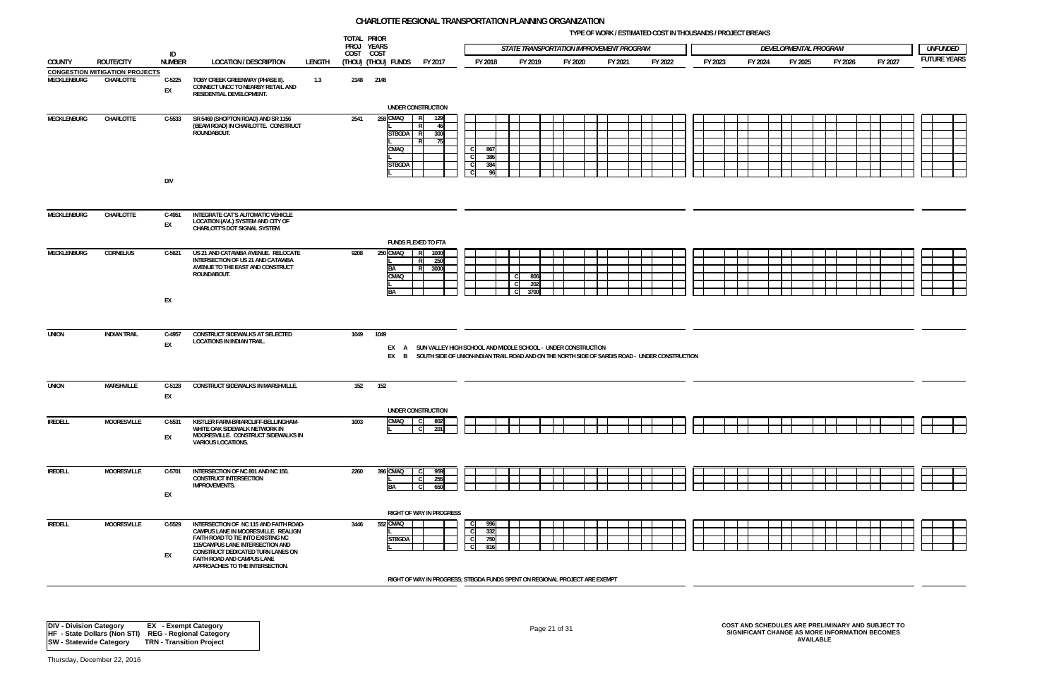**TYPE OF WORK / ESTIMATED COST IN THOUSANDS / PROJECT BREAKS**

|                    |                                                            |                        |                                                                                                                                                                                                                                                               |        | TOTAL PRIOR<br>PROJ YEARS                          |                                                            |                                                                                 |                                                                                                                                                                            |         |         |         |         |         |                       |         |         |                                        |
|--------------------|------------------------------------------------------------|------------------------|---------------------------------------------------------------------------------------------------------------------------------------------------------------------------------------------------------------------------------------------------------------|--------|----------------------------------------------------|------------------------------------------------------------|---------------------------------------------------------------------------------|----------------------------------------------------------------------------------------------------------------------------------------------------------------------------|---------|---------|---------|---------|---------|-----------------------|---------|---------|----------------------------------------|
|                    |                                                            | ID                     |                                                                                                                                                                                                                                                               |        | COST COST                                          |                                                            |                                                                                 | STATE TRANSPORTATION IMPROVEMENT PROGRAM                                                                                                                                   |         |         |         |         |         | DEVELOPMENTAL PROGRAM |         |         | <b>UNFUNDED</b><br><b>FUTURE YEARS</b> |
| <b>COUNTY</b>      | <b>ROUTE/CITY</b><br><b>CONGESTION MITIGATION PROJECTS</b> | <b>NUMBER</b>          | <b>LOCATION / DESCRIPTION</b>                                                                                                                                                                                                                                 | LENGTH | (Thou) (Thou) funds                                | FY 2017                                                    | FY 2018                                                                         | FY 2019                                                                                                                                                                    | FY 2020 | FY 2021 | FY 2022 | FY 2023 | FY 2024 | FY 2025               | FY 2026 | FY 2027 |                                        |
| MECKLENBURG        | CHARLOTTE                                                  | $C-5225$<br>EX         | TOBY CREEK GREENWAY (PHASE II).<br>CONNECT UNCC TO NEARBY RETAIL AND<br>RESIDENTIAL DEVELOPMENT.                                                                                                                                                              | 1.3    | 2148 2148                                          | UNDER CONSTRUCTION                                         |                                                                                 |                                                                                                                                                                            |         |         |         |         |         |                       |         |         |                                        |
| MECKLENBURG        | CHARLOTTE                                                  | $C-5533$<br><b>DIV</b> | SR 5469 (SHOPTON ROAD) AND SR 1156<br>(BEAM ROAD) IN CHARLOTTE. CONSTRUCT<br>ROUNDABOUT.                                                                                                                                                                      |        | 258 CMAQ<br>2541<br>CMAQ                           | R<br>129<br>46<br>STBGDA R<br>300<br>- 75<br><b>STBGDA</b> | $\mathbf C$<br>867<br>$\mathbf{C}$<br>386<br>$\mathbf C$<br>384<br>$\mathbf{C}$ | 96                                                                                                                                                                         |         |         |         |         |         |                       |         |         |                                        |
| MECKLENBURG        | CHARLOTTE                                                  | C-4951<br>EX           | INTEGRATE CAT'S AUTOMATIC VEHICLE<br>LOCATION (AVL) SYSTEM AND CITY OF<br>CHARLOTT'S DOT SIGNAL SYSTEM.                                                                                                                                                       |        |                                                    |                                                            |                                                                                 |                                                                                                                                                                            |         |         |         |         |         |                       |         |         |                                        |
| <b>MECKLENBURG</b> | <b>CORNELIUS</b>                                           | $C-5621$               | US 21 AND CATAWBA AVENUE. RELOCATE<br>INTERSECTION OF US 21 AND CATAWBA<br>AVENUE TO THE EAST AND CONSTRUCT<br>ROUNDABOUT.                                                                                                                                    |        | 250 CMAQ<br>9208<br><b>BA</b><br>CMAQ<br><b>BA</b> | <b>FUNDS FLEXED TO FTA</b><br>1000<br>IR.<br>250<br>3000   |                                                                                 | C.<br>806<br>$\mathsf{C}$<br>202<br>3700<br>C.                                                                                                                             |         |         |         |         |         |                       |         |         |                                        |
|                    |                                                            | EX                     |                                                                                                                                                                                                                                                               |        |                                                    |                                                            |                                                                                 |                                                                                                                                                                            |         |         |         |         |         |                       |         |         |                                        |
| <b>UNION</b>       | <b>INDIAN TRAIL</b>                                        | C-4957<br>EX           | CONSTRUCT SIDEWALKS AT SELECTED<br>LOCATIONS IN INDIAN TRAIL.                                                                                                                                                                                                 |        | 1049 1049                                          |                                                            |                                                                                 | EX A SUN VALLEY HIGH SCHOOL AND MIDDLE SCHOOL - UNDER CONSTRUCTION<br>EX B SOUTH SIDE OF UNION-INDIAN TRAIL ROAD AND ON THE NORTH SIDE OF SARDIS ROAD - UNDER CONSTRUCTION |         |         |         |         |         |                       |         |         |                                        |
| UNION              | <b>MARSHVILLE</b>                                          | C-5128<br>EX           | CONSTRUCT SIDEWALKS IN MARSHVILLE.                                                                                                                                                                                                                            |        | 152<br>152                                         |                                                            |                                                                                 |                                                                                                                                                                            |         |         |         |         |         |                       |         |         |                                        |
| <b>IREDELL</b>     | <b>MOORESVILLE</b>                                         | $C-5531$<br>EX         | KISTLER FARM-BRIARCLIFF-BELLINGHAM-<br>WHITE OAK SIDEWALK NETWORK IN<br>MOORESVILLE. CONSTRUCT SIDEWALKS IN<br><b>VARIOUS LOCATIONS.</b>                                                                                                                      |        | 1003                                               | UNDER CONSTRUCTION<br>CMAQ C<br>802<br> c <br>201          |                                                                                 |                                                                                                                                                                            |         |         |         |         |         |                       |         |         |                                        |
| <b>IREDELL</b>     | <b>MOORESVILLE</b>                                         | C-5701<br>EX           | INTERSECTION OF NC 801 AND NC 150.<br><b>CONSTRUCT INTERSECTION</b><br><b>IMPROVEMENTS.</b>                                                                                                                                                                   |        | 396 CMAQ<br>2260<br>BA                             | 959<br>255<br>650                                          |                                                                                 |                                                                                                                                                                            |         |         |         |         |         |                       |         |         |                                        |
|                    |                                                            |                        |                                                                                                                                                                                                                                                               |        |                                                    | <b>RIGHT OF WAY IN PROGRESS</b>                            |                                                                                 |                                                                                                                                                                            |         |         |         |         |         |                       |         |         |                                        |
| <b>IREDELL</b>     | <b>MOORESVILLE</b>                                         | C-5529<br>EX           | INTERSECTION OF NC 115 AND FAITH ROAD-<br>CAMPUS LANE IN MOORESVILLE. REALIGN<br>FAITH ROAD TO TIE INTO EXISTING NC<br>115/CAMPUS LANE INTERSECTION AND<br>CONSTRUCT DEDICATED TURN LANES ON<br>FAITH ROAD AND CAMPUS LANE<br>APPROACHES TO THE INTERSECTION. |        | 552 CMAQ<br>3446                                   | <b>STBGDA</b>                                              | 996<br>- C<br>$\mathbf{C}$<br>332<br>$\mathbf C$<br>750<br>$\mathbf{C}$<br>816  |                                                                                                                                                                            |         |         |         |         |         |                       |         |         |                                        |
|                    |                                                            |                        |                                                                                                                                                                                                                                                               |        |                                                    |                                                            |                                                                                 | RIGHT OF WAY IN PROGRESS; STBGDA FUNDS SPENT ON REGIONAL PROJECT ARE EXEMPT                                                                                                |         |         |         |         |         |                       |         |         |                                        |







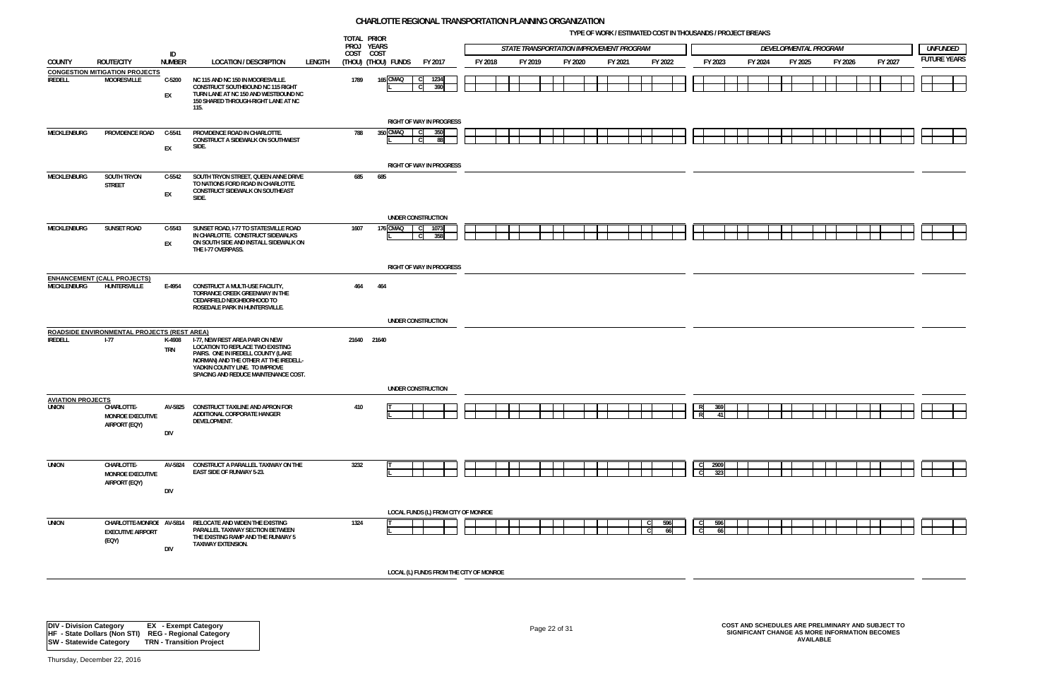**TYPE OF WORK / ESTIMATED COST IN THOUSANDS / PROJECT BREAKS**



|                                          |                                                               |                     |                                                                                                                                                                                                                              |        | TOTAL PRIOR<br>PROJ YEARS |                     |                                               |         | STATE TRANSPORTATION IMPROVEMENT PROGRAM |         |         |           |                                       |         | DEVELOPMENTAL PROGRAM |         |         | <b>UNFUNDED</b>    |
|------------------------------------------|---------------------------------------------------------------|---------------------|------------------------------------------------------------------------------------------------------------------------------------------------------------------------------------------------------------------------------|--------|---------------------------|---------------------|-----------------------------------------------|---------|------------------------------------------|---------|---------|-----------|---------------------------------------|---------|-----------------------|---------|---------|--------------------|
| <b>COUNTY</b>                            | <b>ROUTE/CITY</b>                                             | ID<br><b>NUMBER</b> | <b>LOCATION / DESCRIPTION</b>                                                                                                                                                                                                | LENGTH | COST COST                 | (THOU) (THOU) FUNDS | FY 2017                                       | FY 2018 | FY 2019                                  | FY 2020 | FY 2021 | FY 2022   | FY 2023                               | FY 2024 | FY 2025               | FY 2026 | FY 2027 | <b>FUTURE YEAR</b> |
|                                          | <b>CONGESTION MITIGATION PROJECTS</b>                         |                     |                                                                                                                                                                                                                              |        |                           |                     |                                               |         |                                          |         |         |           |                                       |         |                       |         |         |                    |
| <b>IREDELL</b>                           | <b>MOORESVILLE</b>                                            | C-5200<br>EX        | NC 115 AND NC 150 IN MOORESVILLE.<br>CONSTRUCT SOUTHBOUND NC 115 RIGHT<br>TURN LANE AT NC 150 AND WESTBOUND NC<br>150 SHARED THROUGH-RIGHT LANE AT NC<br>115.                                                                |        | 1789                      | 165 CMAQ            | 1234<br>390                                   |         |                                          |         |         |           |                                       |         |                       |         |         |                    |
| <b>MECKLENBURG</b>                       | PROVIDENCE ROAD                                               | C-5541              | PROVIDENCE ROAD IN CHARLOTTE.                                                                                                                                                                                                |        | 788                       | 350 CMAQ            | <b>RIGHT OF WAY IN PROGRESS</b><br>350<br>C C |         |                                          |         |         |           |                                       |         |                       |         |         |                    |
|                                          |                                                               | EX                  | CONSTRUCT A SIDEWALK ON SOUTHWEST<br>SIDE.                                                                                                                                                                                   |        |                           |                     | 88<br>- C                                     |         |                                          |         |         |           |                                       |         |                       |         |         |                    |
|                                          |                                                               |                     |                                                                                                                                                                                                                              |        |                           |                     | <b>RIGHT OF WAY IN PROGRESS</b>               |         |                                          |         |         |           |                                       |         |                       |         |         |                    |
| MECKLENBURG                              | SOUTH TRYON<br><b>STREET</b>                                  | C-5542<br>EX        | SOUTH TRYON STREET, QUEEN ANNE DRIVE<br>TO NATIONS FORD ROAD IN CHARLOTTE.<br>CONSTRUCT SIDEWALK ON SOUTHEAST<br>SIDE.                                                                                                       |        | 685                       | 685                 |                                               |         |                                          |         |         |           |                                       |         |                       |         |         |                    |
|                                          |                                                               |                     |                                                                                                                                                                                                                              |        |                           |                     | UNDER CONSTRUCTION                            |         |                                          |         |         |           |                                       |         |                       |         |         |                    |
| MECKLENBURG                              | <b>SUNSET ROAD</b>                                            | C-5543<br>EX        | SUNSET ROAD, I-77 TO STATESVILLE ROAD<br>IN CHARLOTTE. CONSTRUCT SIDEWALKS<br>ON SOUTH SIDE AND INSTALL SIDEWALK ON<br>THE I-77 OVERPASS.                                                                                    |        | 1607                      | 176 CMAQ C          | 1073<br>358<br>$\mathbf{C}$                   |         |                                          |         |         |           |                                       |         |                       |         |         |                    |
|                                          |                                                               |                     |                                                                                                                                                                                                                              |        |                           |                     | <b>RIGHT OF WAY IN PROGRESS</b>               |         |                                          |         |         |           |                                       |         |                       |         |         |                    |
| <b>MECKLENBURG</b>                       | <b>ENHANCEMENT (CALL PROJECTS)</b><br>HUNTERSVILLE            | E-4954              | CONSTRUCT A MULTI-USE FACILITY,<br>TORRANCE CREEK GREENWAY IN THE<br>CEDARFIELD NEIGHBORHOOD TO<br>ROSEDALE PARK IN HUNTERSVILLE.                                                                                            |        | 464                       | 464                 |                                               |         |                                          |         |         |           |                                       |         |                       |         |         |                    |
|                                          |                                                               |                     |                                                                                                                                                                                                                              |        |                           |                     | UNDER CONSTRUCTION                            |         |                                          |         |         |           |                                       |         |                       |         |         |                    |
|                                          | <b>ROADSIDE ENVIRONMENTAL PROJECTS (REST AREA)</b>            |                     |                                                                                                                                                                                                                              |        |                           |                     |                                               |         |                                          |         |         |           |                                       |         |                       |         |         |                    |
| <b>IREDELL</b>                           | $1-77$                                                        | K-4908<br>TRN       | I-77, NEW REST AREA PAIR ON NEW<br>LOCATION TO REPLACE TWO EXISTING<br>PAIRS. ONE IN IREDELL COUNTY (LAKE<br>NORMAN) AND THE OTHER AT THE IREDELL-<br>YADKIN COUNTY LINE. TO IMPROVE<br>SPACING AND REDUCE MAINTENANCE COST. |        | 21640                     | 21640               |                                               |         |                                          |         |         |           |                                       |         |                       |         |         |                    |
|                                          |                                                               |                     |                                                                                                                                                                                                                              |        |                           |                     | UNDER CONSTRUCTION                            |         |                                          |         |         |           |                                       |         |                       |         |         |                    |
| <b>AVIATION PROJECTS</b><br><b>UNION</b> | CHARLOTTE-                                                    | AV-5825             | CONSTRUCT TAXILINE AND APRON FOR                                                                                                                                                                                             |        | 410                       |                     |                                               |         |                                          |         |         |           | 369                                   |         |                       |         |         |                    |
|                                          | <b>MONROE EXECUTIVE</b><br>AIRPORT (EQY)                      |                     | ADDITIONAL CORPORATE HANGER<br>DEVELOPMENT.                                                                                                                                                                                  |        |                           |                     |                                               |         |                                          |         |         |           | $\mathbf{R}$<br>$\mathbf{A}^{\prime}$ |         |                       |         |         |                    |
|                                          |                                                               | DIV                 |                                                                                                                                                                                                                              |        |                           |                     |                                               |         |                                          |         |         |           |                                       |         |                       |         |         |                    |
| <b>UNION</b>                             | CHARLOTTE-<br><b>MONROE EXECUTIVE</b>                         | AV-5824             | CONSTRUCT A PARALLEL TAXIWAY ON THE<br>EAST SIDE OF RUNWAY 5-23.                                                                                                                                                             |        | 3232                      |                     |                                               |         |                                          |         |         |           | 2909<br>$\overline{c}$<br>323         |         |                       |         |         |                    |
|                                          | AIRPORT (EQY)                                                 | DIV                 |                                                                                                                                                                                                                              |        |                           |                     |                                               |         |                                          |         |         |           |                                       |         |                       |         |         |                    |
|                                          |                                                               |                     |                                                                                                                                                                                                                              |        |                           |                     | LOCAL FUNDS (L) FROM CITY OF MONROE           |         |                                          |         |         |           |                                       |         |                       |         |         |                    |
| <b>UNION</b>                             | CHARLOTTE-MONROE AV-5814<br><b>EXECUTIVE AIRPORT</b><br>(EQY) | <b>DIV</b>          | RELOCATE AND WIDEN THE EXISTING<br>PARALLEL TAXIWAY SECTION BETWEEN<br>THE EXISTING RAMP AND THE RUNWAY 5<br><b>TAXIWAY EXTENSION.</b>                                                                                       |        | 1324                      |                     |                                               |         |                                          |         |         | 596<br>66 | 596<br>$\mathbf{C}$<br>66             |         |                       |         |         |                    |
|                                          |                                                               |                     |                                                                                                                                                                                                                              |        |                           |                     | LOCAL (L) FUNDS FROM THE CITY OF MONROE       |         |                                          |         |         |           |                                       |         |                       |         |         |                    |
|                                          |                                                               |                     |                                                                                                                                                                                                                              |        |                           |                     |                                               |         |                                          |         |         |           |                                       |         |                       |         |         |                    |

# Page 22 of 31 **COST AND SCHEDULES ARE PRELIMINARY AND SUBJECT TO SIGNIFICANT CHANGE AS MORE INFORMATION BECOMES AVAILABLE**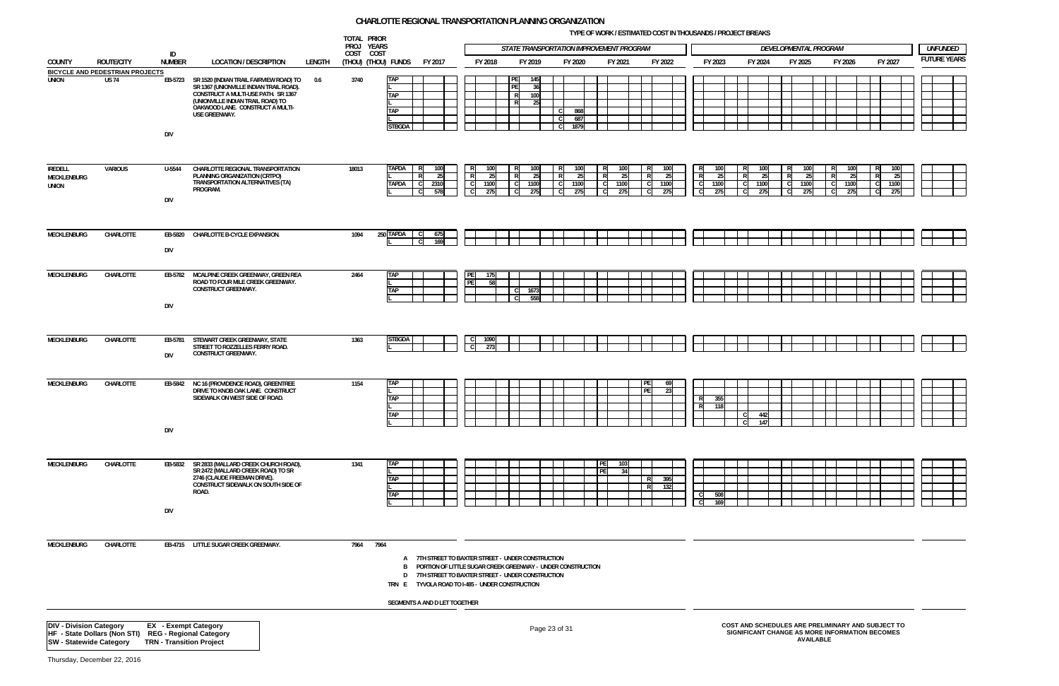**TYPE OF WORK / ESTIMATED COST IN THOUSANDS / PROJECT BREAKS**

|                                                                  |                                                        |                                                                |                                                                                                                                                                                                                             |        | TOTAL PRIOR<br>PROJ YEARS |                                                                                                                                                                                                                                  |              |             | <b>STATE TRANSPORTATION IMPROVEMENT PROGRAM</b>         |                    |                                                |             |                          |                                                            |                                                                                                     | DEVELOPMENTAL PROGRAM |                          |                   |                          | <b>UNFUNDED</b>     |
|------------------------------------------------------------------|--------------------------------------------------------|----------------------------------------------------------------|-----------------------------------------------------------------------------------------------------------------------------------------------------------------------------------------------------------------------------|--------|---------------------------|----------------------------------------------------------------------------------------------------------------------------------------------------------------------------------------------------------------------------------|--------------|-------------|---------------------------------------------------------|--------------------|------------------------------------------------|-------------|--------------------------|------------------------------------------------------------|-----------------------------------------------------------------------------------------------------|-----------------------|--------------------------|-------------------|--------------------------|---------------------|
| <b>COUNTY</b>                                                    | <b>ROUTE/CITY</b>                                      | ID<br><b>NUMBER</b>                                            | <b>LOCATION / DESCRIPTION</b>                                                                                                                                                                                               | LENGTH | COST COST                 | (Thou) (Thou) funds<br>FY 2017                                                                                                                                                                                                   |              | FY 2018     | FY 2019                                                 | FY 2020            |                                                | FY 2021     | FY 2022                  | FY 2023                                                    | FY 2024                                                                                             | FY 2025               |                          | FY 2026           | FY 2027                  | <b>FUTURE YEARS</b> |
| <b>UNION</b>                                                     | <b>BICYCLE AND PEDESTRIAN PROJECTS</b><br><b>US 74</b> | <b>DIV</b>                                                     | EB-5723 SR 1520 (INDIAN TRAIL FAIRVIEW ROAD) TO<br>SR 1367 (UNIONVILLE INDIAN TRAIL ROAD).<br>CONSTRUCT A MULTI-USE PATH. SR 1367<br>(UNIONVILLE INDIAN TRAIL ROAD) TO<br>OAKWOOD LANE. CONSTRUCT A MULTI-<br>USE GREENWAY. | 0.6    | 3740                      | <b>TAP</b><br><b>TAP</b><br><b>TAP</b><br>STBGDA                                                                                                                                                                                 |              |             | 145<br>PF<br>-361<br>R<br>100 <sup>1</sup><br>R<br>-251 | 868<br>687<br>1879 |                                                |             |                          |                                                            |                                                                                                     |                       |                          |                   |                          |                     |
| IREDELL<br>MECKLENBURG<br><b>UNION</b>                           | VARIOUS                                                | U-5544<br><b>DIV</b>                                           | CHARLOTTE REGIONAL TRANSPORTATION<br>PLANNING ORGANIZATION (CRTPO)<br>TRANSPORTATION ALTERNATIVES (TA)<br>PROGRAM.                                                                                                          |        | 18013                     | <b>TAPDA</b><br>100<br>R<br>25<br><b>TAPDA</b><br>C.<br>2310<br>578                                                                                                                                                              | $\mathbf{R}$ | 1100<br>275 | 25<br>1100<br>275                                       | 1100<br>275        | 100<br>R<br>$\overline{R}$<br>25<br>- CI<br>C. | 1100<br>275 | 100<br>25<br>1100<br>275 | 100<br>$\overline{R}$<br>25<br>$\mathbf{C}$<br>1100<br>275 | 100<br>-25<br>1100<br>275                                                                           |                       | 100<br>25<br>1100<br>275 | 25<br>1100<br>275 | 100<br>25<br>1100<br>275 |                     |
| MECKLENBURG                                                      | CHARLOTTE                                              | EB-5820<br><b>DIV</b>                                          | CHARLOTTE B-CYCLE EXPANSION.                                                                                                                                                                                                |        | 1094                      | 250 TAPDA C<br>675<br>C.<br>169                                                                                                                                                                                                  |              |             |                                                         |                    |                                                |             |                          |                                                            |                                                                                                     |                       |                          |                   |                          |                     |
| MECKLENBURG                                                      | CHARLOTTE                                              | EB-5782<br><b>DIV</b>                                          | MCALPINE CREEK GREENWAY, GREEN REA<br>ROAD TO FOUR MILE CREEK GREENWAY.<br><b>CONSTRUCT GREENWAY.</b>                                                                                                                       |        | 2464                      | <b>TAP</b><br><b>TAP</b>                                                                                                                                                                                                         | PE           | 175<br>58   | 1673<br>558                                             |                    |                                                |             |                          |                                                            |                                                                                                     |                       |                          |                   |                          |                     |
| MECKLENBURG                                                      | CHARLOTTE                                              | EB-5781<br><b>DIV</b>                                          | STEWART CREEK GREENWAY, STATE<br>STREET TO ROZZELLES FERRY ROAD.<br><b>CONSTRUCT GREENWAY.</b>                                                                                                                              |        | 1363                      | <b>STBGDA</b>                                                                                                                                                                                                                    |              | 1090<br>273 |                                                         |                    |                                                |             |                          |                                                            |                                                                                                     |                       |                          |                   |                          |                     |
| MECKLENBURG                                                      | CHARLOTTE                                              | EB-5842<br><b>DIV</b>                                          | NC 16 (PROVIDENCE ROAD), GREENTREE<br>DRIVE TO KNOB OAK LANE. CONSTRUCT<br>SIDEWALK ON WEST SIDE OF ROAD.                                                                                                                   |        | 1154                      | <b>TAP</b><br><b>TAP</b><br><b>TAP</b>                                                                                                                                                                                           |              |             |                                                         |                    |                                                |             | 69<br>23                 | R<br>355<br>118<br>R.                                      | 442<br>147<br>- C I                                                                                 |                       |                          |                   |                          |                     |
| MECKLENBURG                                                      | CHARLOTTE                                              | DIV                                                            | EB-5832 SR 2833 (MALLARD CREEK CHURCH ROAD),<br>SR 2472 (MALLARD CREEK ROAD) TO SR<br>2746 (CLAUDE FREEMAN DRIVE).<br>CONSTRUCT SIDEWALK ON SOUTH SIDE OF<br>ROAD.                                                          |        | 1341                      | <b>TAP</b><br><b>TAP</b><br><b>TAP</b>                                                                                                                                                                                           |              |             |                                                         |                    | PE<br>PE                                       | 103<br>34   | 395<br>- R<br>132<br>R   | $\mathbf{C}$<br>508<br>$\mathsf{C}$<br>169                 |                                                                                                     |                       |                          |                   |                          |                     |
| MECKLENBURG                                                      | CHARLOTTE                                              |                                                                | EB-4715 LITTLE SUGAR CREEK GREENWAY.                                                                                                                                                                                        |        | 7964 7964                 | A 7TH STREET TO BAXTER STREET - UNDER CONSTRUCTION<br>PORTION OF LITTLE SUGAR CREEK GREENWAY - UNDER CONSTRUCTION<br>B.<br>D 7TH STREET TO BAXTER STREET - UNDER CONSTRUCTION<br>TRN E TYVOLA ROAD TO I-485 - UNDER CONSTRUCTION |              |             |                                                         |                    |                                                |             |                          |                                                            |                                                                                                     |                       |                          |                   |                          |                     |
| <b>DIV - Division Category</b><br><b>SW</b> - Statewide Category | HF - State Dollars (Non STI) REG - Regional Category   | <b>EX</b> - Exempt Category<br><b>TRN - Transition Project</b> |                                                                                                                                                                                                                             |        |                           | SEGMENTS A AND D LET TOGETHER                                                                                                                                                                                                    |              |             |                                                         | Page 23 of 31      |                                                |             |                          |                                                            | COST AND SCHEDULES ARE PRELIMINARY AND SUBJECT TO<br>SIGNIFICANT CHANGE AS MORE INFORMATION BECOMES |                       | <b>AVAILABLE</b>         |                   |                          |                     |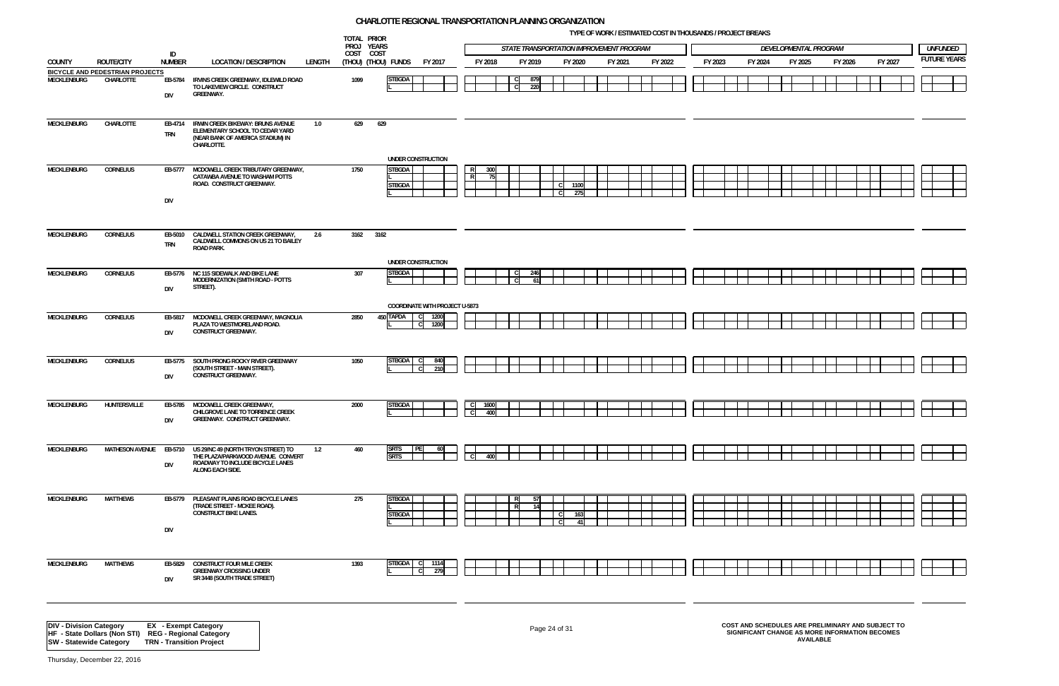**TYPE OF WORK / ESTIMATED COST IN THOUSANDS / PROJECT BREAKS**









|                    |                                                      |                       |                                                                                                                                                  |      | TOTAL PRIOR<br>PROJ YEARS                                                          |              |                          |             |            |                                           |         | THE OF WORK? ESTIMATED OOST IN THOUSAMUS! I ROSEDT DREARS |         |         | DEVELOPMENTAL PROGRAM |  |         |         |  |                                       |
|--------------------|------------------------------------------------------|-----------------------|--------------------------------------------------------------------------------------------------------------------------------------------------|------|------------------------------------------------------------------------------------|--------------|--------------------------|-------------|------------|-------------------------------------------|---------|-----------------------------------------------------------|---------|---------|-----------------------|--|---------|---------|--|---------------------------------------|
|                    |                                                      | ID                    |                                                                                                                                                  |      | COST COST                                                                          |              |                          |             |            | STATE TRANSPORTATION IMPROVEMENT PROGRAM  |         |                                                           |         |         |                       |  |         |         |  | <b>UNFUNDED</b><br><b>FUTURE YEAR</b> |
| <b>COUNTY</b>      | ROUTE/CITY<br><b>BICYCLE AND PEDESTRIAN PROJECTS</b> | <b>NUMBER</b>         | <b>LOCATION / DESCRIPTION</b><br>LENGTH                                                                                                          |      | (THOU) (THOU) FUNDS                                                                | FY 2017      | FY 2018                  |             | FY 2019    | FY 2020                                   | FY 2021 | FY 2022                                                   | FY 2023 | FY 2024 | FY 2025               |  | FY 2026 | FY 2027 |  |                                       |
| MECKLENBURG        | CHARLOTTE                                            | <b>DIV</b>            | EB-5784 IRVINS CREEK GREENWAY, IDLEWILD ROAD<br>TO LAKEVIEW CIRCLE. CONSTRUCT<br><b>GREENWAY.</b>                                                | 1099 | <b>STBGDA</b>                                                                      |              |                          |             | 879<br>220 |                                           |         |                                                           |         |         |                       |  |         |         |  |                                       |
| MECKLENBURG        | CHARLOTTE                                            | <b>TRN</b>            | EB-4714 IRWIN CREEK BIKEWAY: BRUNS AVENUE<br>1.0<br>ELEMENTARY SCHOOL TO CEDAR YARD<br>(NEAR BANK OF AMERICA STADIUM) IN<br>CHARLOTTE.           | 629  | 629<br>UNDER CONSTRUCTION                                                          |              |                          |             |            |                                           |         |                                                           |         |         |                       |  |         |         |  |                                       |
| MECKLENBURG        | <b>CORNELIUS</b>                                     |                       | EB-5777 MCDOWELL CREEK TRIBUTARY GREENWAY,<br>CATAWBA AVENUE TO WASHAM POTTS<br>ROAD. CONSTRUCT GREENWAY.                                        | 1750 | <b>STBGDA</b><br><b>STBGDA</b>                                                     |              | $\overline{R}$           | 300<br>- 75 |            | 1100<br>275                               |         |                                                           |         |         |                       |  |         |         |  |                                       |
|                    |                                                      | <b>DIV</b>            |                                                                                                                                                  |      |                                                                                    |              |                          |             |            |                                           |         |                                                           |         |         |                       |  |         |         |  |                                       |
| MECKLENBURG        | <b>CORNELIUS</b>                                     | <b>TRN</b>            | EB-5010 CALDWELL STATION CREEK GREENWAY,<br>2.6<br>CALDWELL COMMONS ON US 21 TO BAILEY<br>ROAD PARK.                                             |      | 3162 3162                                                                          |              |                          |             |            |                                           |         |                                                           |         |         |                       |  |         |         |  |                                       |
| MECKLENBURG        | <b>CORNELIUS</b>                                     | <b>DIV</b>            | EB-5776 NC 115 SIDEWALK AND BIKE LANE<br>MODERNIZATION (SMITH ROAD - POTTS<br>STREET).                                                           | 307  | UNDER CONSTRUCTION<br><b>STBGDA</b>                                                |              |                          |             | 246<br>61  |                                           |         |                                                           |         |         |                       |  |         |         |  |                                       |
| <b>MECKLENBURG</b> | <b>CORNELIUS</b>                                     | <b>DIV</b>            | EB-5817 MCDOWELL CREEK GREENWAY, MAGNOLIA<br>PLAZA TO WESTMORELAND ROAD.<br><b>CONSTRUCT GREENWAY.</b>                                           | 2850 | <b>COORDINATE WITH PROJECT U-5873</b><br>450 TAPDA<br><sub>c</sub><br>$\mathsf{C}$ | 1200<br>1200 |                          |             |            |                                           |         |                                                           |         |         |                       |  |         |         |  |                                       |
| <b>MECKLENBURG</b> | <b>CORNELIUS</b>                                     | <b>DIV</b>            | EB-5775 SOUTH PRONG ROCKY RIVER GREENWAY<br>(SOUTH STREET - MAIN STREET).<br><b>CONSTRUCT GREENWAY.</b>                                          | 1050 | <b>STBGDA</b>                                                                      | 840<br>210   |                          |             |            |                                           |         |                                                           |         |         |                       |  |         |         |  |                                       |
| MECKLENBURG        | HUNTERSVILLE                                         | <b>DIV</b>            | EB-5785 MCDOWELL CREEK GREENWAY,<br>CHILGROVE LANE TO TORRENCE CREEK<br><b>GREENWAY. CONSTRUCT GREENWAY.</b>                                     | 2000 | <b>STBGDA</b>                                                                      |              | $\overline{\phantom{a}}$ | 1600<br>400 |            |                                           |         |                                                           |         |         |                       |  |         |         |  |                                       |
| MECKLENBURG        | <b>MATHESON AVENUE</b>                               | <b>DIV</b>            | EB-5710 US 29/NC 49 (NORTH TRYON STREET) TO<br>1.2<br>THE PLAZA/PARKWOOD AVENUE. CONVERT<br>ROADWAY TO INCLUDE BICYCLE LANES<br>ALONG EACH SIDE. | 460  | <b>SRTS</b><br>I PEI<br><b>SRTS</b>                                                |              |                          | 400         |            |                                           |         |                                                           |         |         |                       |  |         |         |  |                                       |
| <b>MECKLENBURG</b> | <b>MATTHEWS</b>                                      | DIV                   | EB-5779 PLEASANT PLAINS ROAD BICYCLE LANES<br>(TRADE STREET - MCKEE ROAD).<br><b>CONSTRUCT BIKE LANES.</b>                                       | 275  | <b>STBGDA</b><br><b>STBGDA</b>                                                     |              |                          | R<br>R      | -57<br>14  | <sub>c</sub><br>163<br><sub>c</sub><br>41 |         |                                                           |         |         |                       |  |         |         |  |                                       |
| MECKLENBURG        | <b>MATTHEWS</b>                                      | EB-5829<br><b>DIV</b> | <b>CONSTRUCT FOUR MILE CREEK</b><br><b>GREENWAY CROSSING UNDER</b><br>SR 3448 (SOUTH TRADE STREET)                                               | 1393 | <b>STBGDA</b>                                                                      | 1114<br>279  |                          |             |            |                                           |         |                                                           |         |         |                       |  |         |         |  |                                       |
|                    |                                                      |                       |                                                                                                                                                  |      |                                                                                    |              |                          |             |            |                                           |         |                                                           |         |         |                       |  |         |         |  |                                       |

Page 24 of 31 **COST AND SCHEDULES ARE PRELIMINARY AND SUBJECT TO SIGNIFICANT CHANGE AS MORE INFORMATION BECOMES AVAILABLE**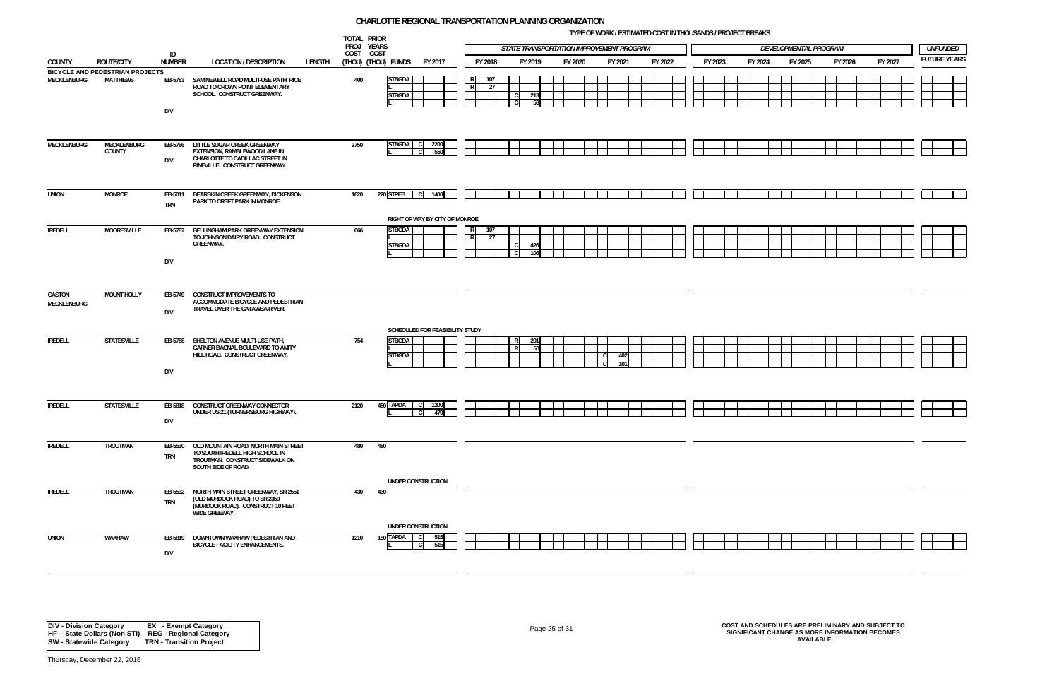**TYPE OF WORK / ESTIMATED COST IN THOUSANDS / PROJECT BREAKS**



|                       |                                 |                       |                                                                                                                                   |        | TOTAL PRIOR<br>PROJ YEARS |                                                       |                  | STATE TRANSPORTATION IMPROVEMENT PROGRAM |         |     |            |         |         |         | DEVELOPMENTAL PROGRAM |         |         |  | <b>UNFUNDED</b>    |
|-----------------------|---------------------------------|-----------------------|-----------------------------------------------------------------------------------------------------------------------------------|--------|---------------------------|-------------------------------------------------------|------------------|------------------------------------------|---------|-----|------------|---------|---------|---------|-----------------------|---------|---------|--|--------------------|
|                       | <b>ROUTE/CITY</b>               | ID                    |                                                                                                                                   |        | COST COST                 |                                                       |                  | FY 2019                                  |         |     | FY 2021    |         |         | FY 2024 |                       | FY 2026 | FY 2027 |  | <b>FUTURE YEAR</b> |
| COUNTY                | BICYCLE AND PEDESTRIAN PROJECTS | <b>NUMBER</b>         | <b>LOCATION / DESCRIPTION</b>                                                                                                     | LENGTH |                           | (THOU) (THOU) FUNDS<br>FY 2017                        | FY 2018          |                                          | FY 2020 |     |            | FY 2022 | FY 2023 |         | FY 2025               |         |         |  |                    |
| MECKLENBURG           | <b>MATTHEWS</b>                 | DIV                   | EB-5783 SAM NEWELL ROAD MULTI-USE PATH, RICE<br>ROAD TO CROWN POINT ELEMENTARY<br>SCHOOL. CONSTRUCT GREENWAY.                     |        | 400                       | <b>STBGDA</b><br><b>STBGDA</b>                        | 107<br>R<br>- 27 | 213<br>$\mathsf{C}$<br>53<br>C           |         |     |            |         |         |         |                       |         |         |  |                    |
| MECKLENBURG           | MECKLENBURG<br>COUNTY           | EB-5786<br><b>DIV</b> | LITTLE SUGAR CREEK GREENWAY<br>EXTENSION, RAMBLEWOOD LANE IN<br>CHARLOTTE TO CADILLAC STREET IN<br>PINEVILLE. CONSTRUCT GREENWAY. |        | 2750                      | <b>STBGDA</b><br>2200<br>550                          |                  |                                          |         |     |            |         |         |         |                       |         |         |  |                    |
| <b>UNION</b>          | <b>MONROE</b>                   | EB-5011<br><b>TRN</b> | BEARSKIN CREEK GREENWAY, DICKENSON<br>PARK TO CREFT PARK IN MONROE.                                                               |        | 1620                      | 220 STPEB C<br>1400<br>RIGHT OF WAY BY CITY OF MONROE |                  |                                          |         |     |            |         |         |         |                       |         |         |  |                    |
| <b>IREDELL</b>        | <b>MOORESVILLE</b>              | EB-5787<br>DIV        | BELLINGHAM PARK GREENWAY EXTENSION<br>TO JOHNSON DAIRY ROAD. CONSTRUCT<br><b>GREENWAY.</b>                                        |        | 666                       | <b>STBGDA</b><br><b>STBGDA</b>                        | 107<br>R<br>27   | 426<br>C.<br>106                         |         |     |            |         |         |         |                       |         |         |  |                    |
| GASTON<br>MECKLENBURG | <b>MOUNT HOLLY</b>              | EB-5749<br><b>DIV</b> | <b>CONSTRUCT IMPROVEMENTS TO</b><br>ACCOMMODATE BICYCLE AND PEDESTRIAN<br>TRAVEL OVER THE CATAWBA RIVER.                          |        |                           | SCHEDULED FOR FEASIBILITY STUDY                       |                  |                                          |         |     |            |         |         |         |                       |         |         |  |                    |
| IREDELL               | STATESVILLE                     | EB-5788<br>DIV        | SHELTON AVENUE MULTI-USE PATH,<br>GARNER BAGNAL BOULEVARD TO AMITY<br>HILL ROAD. CONSTRUCT GREENWAY.                              |        | 754                       | <b>STBGDA</b><br><b>STBGDA</b>                        |                  | 201<br>R<br>50                           |         | - C | 402<br>101 |         |         |         |                       |         |         |  |                    |
| IREDELL               | <b>STATESVILLE</b>              | DIV                   | EB-5818 CONSTRUCT GREENWAY CONNECTOR<br>UNDER US 21 (TURNERSBURG HIGHWAY).                                                        |        | 2120                      | 450 TAPDA<br>1200<br>470                              |                  |                                          |         |     |            |         |         |         |                       |         |         |  |                    |
| <b>IREDELL</b>        | TROUTMAN                        | EB-5530<br><b>TRN</b> | OLD MOUNTAIN ROAD, NORTH MAIN STREET<br>TO SOUTH IREDELL HIGH SCHOOL IN<br>TROUTMAN. CONSTRUCT SIDEWALK ON<br>SOUTH SIDE OF ROAD. |        | 480                       | 480                                                   |                  |                                          |         |     |            |         |         |         |                       |         |         |  |                    |
| <b>IREDELL</b>        | TROUTMAN                        | EB-5532<br><b>TRN</b> | NORTH MAIN STREET GREENWAY, SR 2551<br>(OLD MURDOCK ROAD) TO SR 2350<br>(MURDOCK ROAD). CONSTRUCT 10 FEET<br>WIDE GREEWAY.        |        | 430                       | UNDER CONSTRUCTION<br>430                             |                  |                                          |         |     |            |         |         |         |                       |         |         |  |                    |
| <b>UNION</b>          | WAXHAW                          | EB-5819<br>DIV        | DOWNTOWN WAXHAW PEDESTRIAN AND<br><b>BICYCLE FACILITY ENHANCEMENTS.</b>                                                           |        | 1210                      | UNDER CONSTRUCTION<br>180 TAPDA<br>515<br>515         |                  |                                          |         |     |            |         |         |         |                       |         |         |  |                    |

# Page 25 of 31 **COST AND SCHEDULES ARE PRELIMINARY AND SUBJECT TO SIGNIFICANT CHANGE AS MORE INFORMATION BECOMES AVAILABLE**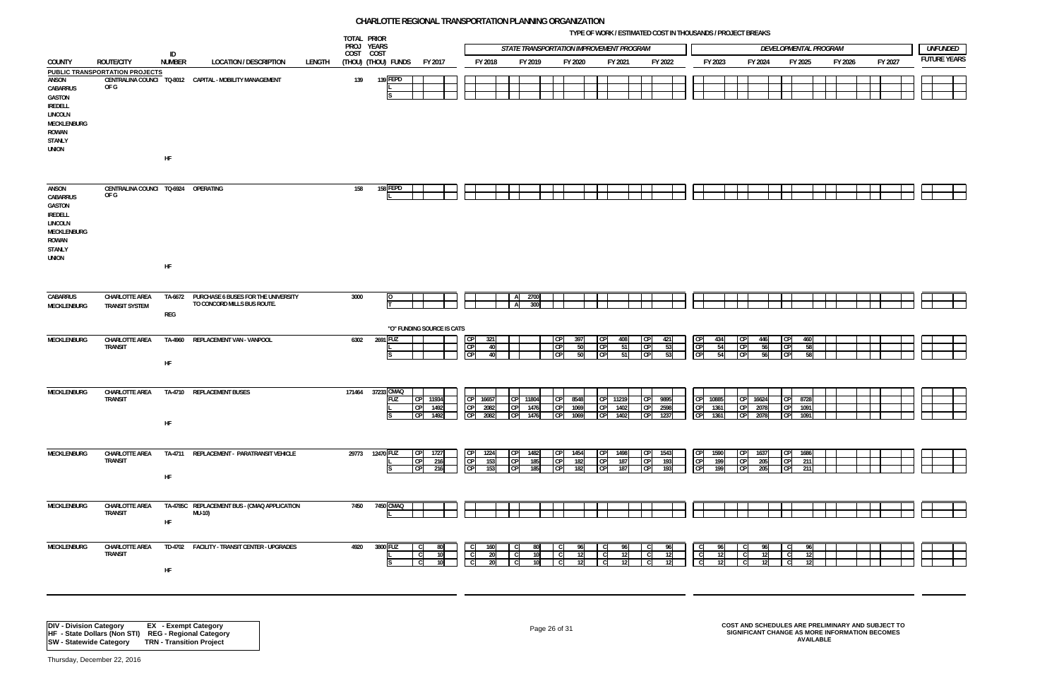**TYPE OF WORK / ESTIMATED COST IN THOUSANDS / PROJECT BREAKS**

![](_page_25_Figure_7.jpeg)

![](_page_25_Figure_8.jpeg)

![](_page_25_Figure_9.jpeg)

![](_page_25_Figure_10.jpeg)

![](_page_25_Figure_11.jpeg)

![](_page_25_Figure_12.jpeg)

![](_page_25_Figure_13.jpeg)

![](_page_25_Figure_14.jpeg)

![](_page_25_Figure_15.jpeg)

![](_page_25_Figure_16.jpeg)

![](_page_25_Figure_17.jpeg)

![](_page_25_Figure_18.jpeg)

|                                                                                                                          |                                             | ID            |                                                                            |        | TOTAL PRIOR<br>PROJ YEARS<br>COST COST |                     |                                                            |                                                |                                 |                          | STATE TRANSPORTATION IMPROVEMENT PROGRAM |                                                   |                                                 |                                 |                         |                                     |                          |                 |                       | DEVELOPMENTAL PROGRAM                     |                      |         |         |                    | <b>UNFUNDED</b> |
|--------------------------------------------------------------------------------------------------------------------------|---------------------------------------------|---------------|----------------------------------------------------------------------------|--------|----------------------------------------|---------------------|------------------------------------------------------------|------------------------------------------------|---------------------------------|--------------------------|------------------------------------------|---------------------------------------------------|-------------------------------------------------|---------------------------------|-------------------------|-------------------------------------|--------------------------|-----------------|-----------------------|-------------------------------------------|----------------------|---------|---------|--------------------|-----------------|
| <b>COUNTY</b>                                                                                                            | <b>ROUTE/CITY</b>                           | <b>NUMBER</b> | <b>LOCATION / DESCRIPTION</b>                                              | LENGTH |                                        | (Thou) (Thou) funds | FY 2017                                                    | FY 2018                                        |                                 | FY 2019                  | FY 2020                                  |                                                   | FY 2021                                         |                                 | FY 2022                 |                                     | FY 2023                  |                 | FY 2024               |                                           | FY 2025              | FY 2026 | FY 2027 | <b>FUTURE YEAR</b> |                 |
| ANSON<br>CABARRUS<br>GASTON<br><b>IREDELL</b><br><b>LINCOLN</b><br>MECKLENBURG<br>ROWAN<br><b>STANLY</b><br><b>UNION</b> | PUBLIC TRANSPORTATION PROJECTS<br>OF G      | HF            | CENTRALINA COUNCI TO-8012 CAPITAL - MOBILITY MANAGEMENT                    |        | 139                                    | 139 FEPD            |                                                            |                                                |                                 |                          |                                          |                                                   |                                                 |                                 |                         |                                     |                          |                 |                       |                                           |                      |         |         |                    |                 |
| ANSON<br>CABARRUS<br>GASTON<br><b>IREDELL</b><br><b>LINCOLN</b><br>MECKLENBURG<br>ROWAN<br><b>STANLY</b><br><b>UNION</b> | CENTRALINA COUNCI TQ-6924 OPERATING<br>OF G | HF            |                                                                            |        | 158                                    | 158 FEPD            |                                                            |                                                |                                 |                          |                                          |                                                   |                                                 |                                 |                         |                                     |                          |                 |                       |                                           |                      |         |         |                    |                 |
| CABARRUS<br><b>MECKLENBURG</b>                                                                                           | CHARLOTTE AREA<br><b>TRANSIT SYSTEM</b>     | REG           | TA-6672 PURCHASE 6 BUSES FOR THE UNIVERSITY<br>TO CONCORD MILLS BUS ROUTE. |        | 3000                                   |                     |                                                            |                                                | $\mathsf{A}$<br>$\overline{A}$  | 2700<br>300              |                                          |                                                   |                                                 |                                 |                         |                                     |                          |                 |                       |                                           |                      |         |         |                    |                 |
| MECKLENBURG                                                                                                              | CHARLOTTE AREA<br><b>TRANSIT</b>            | HF            | TA-4960 REPLACEMENT VAN - VANPOOL                                          |        | 6302                                   | 2691 FUZ            | "O" FUNDING SOURCE IS CATS                                 | <b>CP</b><br>CP<br>CP                          | 321<br>40<br>40                 |                          | <b>CP</b><br><b>CP</b><br><b>CP</b>      | 397<br><b>CP</b><br> CP <br>50<br>50<br><b>CP</b> | 408<br>51<br>51                                 | <b>CP</b><br> CP <br><b>CPI</b> | 421<br>53<br>53         | CP<br>CP<br>CP                      | 434<br>54<br>54          | CP              | 446<br>56<br>56       | СP<br>CP<br>CP                            | 460<br>58<br>-58     |         |         |                    |                 |
| MECKLENBURG                                                                                                              | CHARLOTTE AREA<br>TRANSIT                   | HF            | TA-4710 REPLACEMENT BUSES                                                  |        | 171464                                 | 37233 CMAQ<br>FUZ   | CP 11934<br><b>CP</b><br>1492<br>CP<br>1492                | CP<br>16657<br>CP<br>2082<br><b>CP</b><br>2082 | <b>CP</b><br>CP                 | CP 11804<br>1476<br>1476 | <b>CP</b><br><b>CP</b><br><b>CP</b>      | 8548<br> CP <br>1069<br>1069                      | 11219<br>1402<br><b>CP</b><br>1402<br><b>CP</b> | CP<br><b>CP</b>                 | CP 9895<br>2598<br>1237 | CP<br>CP                            | CP 10885<br>1361<br>1361 | CP <sub>1</sub> | 16624<br>2078<br>2078 | CP<br>СP                                  | 8728<br>1091<br>1091 |         |         |                    |                 |
| MECKLENBURG                                                                                                              | CHARLOTTE AREA<br><b>TRANSIT</b>            | HF            | TA-4711 REPLACEMENT - PARATRANSIT VEHICLE                                  |        |                                        | 29773 12470 FUZ     | 1727<br> CP <br>CP <sub>1</sub><br>216<br><b>CP</b><br>216 | <b>CP</b><br>1224<br>CP<br>CP                  | CP <br>1531<br>CP<br>153<br>CPI | 1482<br>185<br>185       | ICP<br>ICP<br><b>CP</b>                  | 1454<br> CP <br>182<br>182                        | <b>CPI</b><br>1498<br>187<br><b>CP</b><br>187   | CP <br><b>CP</b>                | CP 1543<br>193<br>193   | CP<br>CP<br>CP                      | 1590<br>199<br>199       |                 | 1637<br>205<br>205    | CP <sub>1</sub><br><b>CP</b><br><b>CP</b> | 1686<br>211<br>211   |         |         |                    |                 |
| MECKLENBURG                                                                                                              | <b>CHARLOTTE AREA</b><br>TRANSIT            | HF            | TA-4785C REPLACEMENT BUS - (CMAQ APPLICATION<br>MU-10)                     |        | 7450                                   | 7450 CMAQ           |                                                            |                                                |                                 |                          |                                          |                                                   |                                                 |                                 |                         |                                     |                          |                 |                       |                                           |                      |         |         |                    |                 |
| MECKLENBURG                                                                                                              | CHARLOTTE AREA<br><b>TRANSIT</b>            | HF            | TD-4702 FACILITY - TRANSIT CENTER - UPGRADES                               |        | 4920                                   | 3800 FUZ            | 80<br>10                                                   |                                                | 160<br>20<br>20                 | 80<br>10 <sup>1</sup>    |                                          | 96<br>12                                          | - 96<br>12                                      | C<br>- C                        | 96<br>12                | C<br>$\overline{c}$<br>$\mathbf{C}$ | 96<br>12<br>12           |                 | -96                   |                                           | 96<br>- 12 I         |         |         |                    |                 |
|                                                                                                                          |                                             |               |                                                                            |        |                                        |                     |                                                            |                                                |                                 |                          |                                          |                                                   |                                                 |                                 |                         |                                     |                          |                 |                       |                                           |                      |         |         |                    |                 |

Page 26 of 31 **COST AND SCHEDULES ARE PRELIMINARY AND SUBJECT TO SIGNIFICANT CHANGE AS MORE INFORMATION BECOMES AVAILABLE**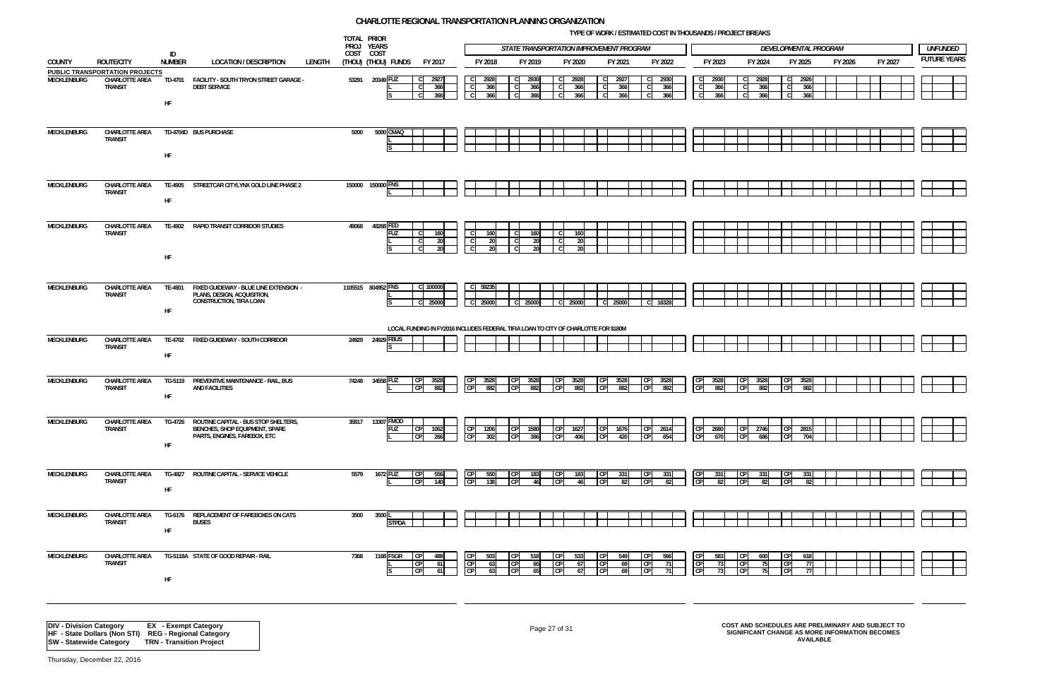**TYPE OF WORK / ESTIMATED COST IN THOUSANDS / PROJECT BREAKS**

![](_page_26_Figure_7.jpeg)

|             |                                                                    | ID            |                                                                                                                  |        |        | TOTAL PRIOR<br>PROJ YEARS<br>COST COST |                                                                    |                                   |                        |                    | STATE TRANSPORTATION IMPROVEMENT PROGRAM                                            |                                               |                                                    |                    |                                                            |                          |                    | DEVELOPMENTAL PROGRAM                    |         |         | <b>UNFUNDED</b>    |
|-------------|--------------------------------------------------------------------|---------------|------------------------------------------------------------------------------------------------------------------|--------|--------|----------------------------------------|--------------------------------------------------------------------|-----------------------------------|------------------------|--------------------|-------------------------------------------------------------------------------------|-----------------------------------------------|----------------------------------------------------|--------------------|------------------------------------------------------------|--------------------------|--------------------|------------------------------------------|---------|---------|--------------------|
| COUNTY      | <b>ROUTE/CITY</b>                                                  | NUMBER        | <b>LOCATION / DESCRIPTION</b>                                                                                    | LENGTH |        | (THOU) (THOU) FUNDS                    | FY 2017                                                            | FY 2018                           |                        | FY 2019            | FY 2020                                                                             | FY 2021                                       |                                                    | FY 2022            | FY 2023                                                    |                          | FY 2024            | FY 2025                                  | FY 2026 | FY 2027 | <b>FUTURE YEAR</b> |
| MECKLENBURG | PUBLIC TRANSPORTATION PROJECTS<br>CHARLOTTE AREA<br><b>TRANSIT</b> | HF            | TD-4701 FACILITY - SOUTH TRYON STREET GARAGE -<br><b>DEBT SERVICE</b>                                            |        |        | 53291 20349 FUZ                        | $\mathsf{C}$<br>2927<br>366<br><sub>c</sub><br>366<br><sub>c</sub> | 2928<br>$-c$<br>366<br> C <br>366 |                        | 2930<br>366<br>366 | 2928<br>-C.<br>366<br>C.<br>366<br><sub>c</sub>                                     | $\mathbf{C}$<br>2927<br>366<br>C.<br>366<br>C | $\overline{c}$<br>$\overline{c}$<br>$\overline{c}$ | 2930<br>366<br>366 | 2930<br>-C I<br>$\mathbf{C}$<br>366<br>$\mathbf{C}$<br>366 | $\mathsf{C}$<br>C.<br>C. | 2928<br>366<br>366 | 2926<br>$\mathsf{C}$<br>366<br>366       |         |         |                    |
| MECKLENBURG | CHARLOTTE AREA<br><b>TRANSIT</b>                                   | HF            | TD-4704D BUS PURCHASE                                                                                            |        | 5000   | 5000 CMAQ                              |                                                                    |                                   |                        |                    |                                                                                     |                                               |                                                    |                    |                                                            |                          |                    |                                          |         |         |                    |
| MECKLENBURG | CHARLOTTE AREA<br><b>TRANSIT</b>                                   | TE-4905<br>HF | STREETCAR CITYLYNX GOLD LINE PHASE 2                                                                             |        | 150000 | 150000 FNS                             |                                                                    |                                   |                        |                    |                                                                                     |                                               |                                                    |                    |                                                            |                          |                    |                                          |         |         |                    |
| MECKLENBURG | CHARLOTTE AREA<br><b>TRANSIT</b>                                   | HF            | TE-4902 RAPID TRANSIT CORRIDOR STUDIES                                                                           |        | 49068  | 48268 FED<br><b>FUZ</b>                | 160<br>C.<br><b>20</b><br><b>20</b>                                | 160                               | <b>20</b><br><b>20</b> | 160<br>20<br>20    | 160<br>20<br>20                                                                     |                                               |                                                    |                    |                                                            |                          |                    |                                          |         |         |                    |
| MECKLENBURG | CHARLOTTE AREA<br><b>TRANSIT</b>                                   | HF            | TE-4901 FIXED GUIDEWAY - BLUE LINE EXTENSION -<br>PLANS, DESIGN, ACQUISITION,<br><b>CONSTRUCTION, TIFIA LOAN</b> |        |        | 1105515 804952 FNS                     | C 100000<br>25000<br>$\mathsf{C}$                                  | 59235<br>$\mathsf{C}$<br>C 25000  |                        | 25000              | 25000<br>-C I                                                                       | 25000<br><sub>C</sub>                         | $\mathbf{C}$                                       | 16328              |                                                            |                          |                    |                                          |         |         |                    |
|             |                                                                    |               |                                                                                                                  |        |        |                                        |                                                                    |                                   |                        |                    | LOCAL FUNDING IN FY2016 INCLUDES FEDERAL TIFIA LOAN TO CITY OF CHARLOTTE FOR \$180M |                                               |                                                    |                    |                                                            |                          |                    |                                          |         |         |                    |
| MECKLENBURG | CHARLOTTE AREA<br><b>TRANSIT</b>                                   | HF            | TE-4702 FIXED GUIDEWAY - SOUTH CORRIDOR                                                                          |        |        | 24929 24929 FBUS                       |                                                                    |                                   |                        |                    |                                                                                     |                                               |                                                    |                    |                                                            |                          |                    |                                          |         |         |                    |
| MECKLENBURG | CHARLOTTE AREA<br><b>TRANSIT</b>                                   | HF            | TG-5119 PREVENTIVE MAINTENANCE - RAIL, BUS<br><b>AND FACILITIES</b>                                              |        |        | 74248 34558 FUZ                        | 3528<br>882                                                        | 352<br>P<br>88                    |                        | 3528<br>882        | CP<br>3528<br>CP<br>882                                                             | CP<br>352<br>C <sub>P</sub><br>882            | <b>CP</b><br>C.P                                   | 352<br>8ď          | 3528<br>CP<br>882                                          |                          | 3528<br>882        | 3528<br>882                              |         |         |                    |
| MECKLENBURG | CHARLOTTE AREA<br><b>TRANSIT</b>                                   | HF            | TG-4726 ROUTINE CAPITAL - BUS STOP SHELTERS.<br>BENCHES, SHOP EQUIPMENT, SPARE<br>PARTS, ENGINES, FAREBOX, ETC   |        |        | 35817 13307 FMOD<br>FUZ                | 1062<br><b>CPI</b><br>266                                          | 1206<br>302                       |                        | 1580<br>396        | 1627<br><b>CPI</b><br>CP<br>406                                                     | 1676<br>I CP<br><b>CP</b><br>420              | <b>CP</b><br><b>CP</b>                             | 2614<br>654        | 2680<br> CP <br>CP<br>670                                  | <b>CPI</b>               | 2746<br>686        | 2815<br>CP.<br><b>CP</b><br>704          |         |         |                    |
| MECKLENBURG | CHARLOTTE AREA<br><b>TRANSIT</b>                                   | HF            | TG-4827 ROUTINE CAPITAL - SERVICE VEHICLE                                                                        |        | 5579   | 1672 FUZ                               | 556<br>140<br>CP                                                   | 550<br>$rac{CP}{CP}$<br>138       |                        | 183                | <b>CP</b><br>183<br>CP<br>46                                                        | <b>CP</b><br>331<br>C <sub>P</sub><br>82      | CP<br>CP                                           | 331<br>82          | CP<br>331<br>CP<br>82                                      | CP                       | 331<br>82          | 331<br>C <sub>P</sub><br>82              |         |         |                    |
| MECKLENBURG | CHARLOTTE AREA<br><b>TRANSIT</b>                                   | HF            | TG-6176 REPLACEMENT OF FAREBOXES ON CATS<br><b>BUSES</b>                                                         |        | 3500   | 3500L<br><b>STPDA</b>                  |                                                                    |                                   |                        |                    |                                                                                     |                                               |                                                    |                    |                                                            |                          |                    |                                          |         |         |                    |
| MECKLENBURG | CHARLOTTE AREA<br><b>TRANSIT</b>                                   | HF            | TG-5118A STATE OF GOOD REPAIR - RAIL                                                                             |        | 7368   | <b>1168 FSGR</b>                       | 488<br>61<br>-61                                                   | 503<br>CP<br>CP                   | 63<br>63               | 518<br>65          | <b>CP</b><br>533<br><b>CP</b><br>67<br>CP<br>67                                     | CP<br>549<br>CP<br>-69<br><b>CP</b><br>69     | <b>CP</b><br>$\overline{CP}$<br><b>CP</b>          | 566                | <b>CP</b><br>583<br>CP<br>-73<br>CP                        | CP                       | 600                | <b>CP</b><br>618<br>CP<br>C <sub>P</sub> |         |         |                    |
|             |                                                                    |               |                                                                                                                  |        |        |                                        |                                                                    |                                   |                        |                    |                                                                                     |                                               |                                                    |                    |                                                            |                          |                    |                                          |         |         |                    |

Page 27 of 31 **COST AND SCHEDULES ARE PRELIMINARY AND SUBJECT TO SIGNIFICANT CHANGE AS MORE INFORMATION BECOMES AVAILABLE**

**DIV - Division Category EX - Exempt Category HF - State Dollars (Non STI) REG - Regional Category SW - Statewide Category TRN - Transition Project**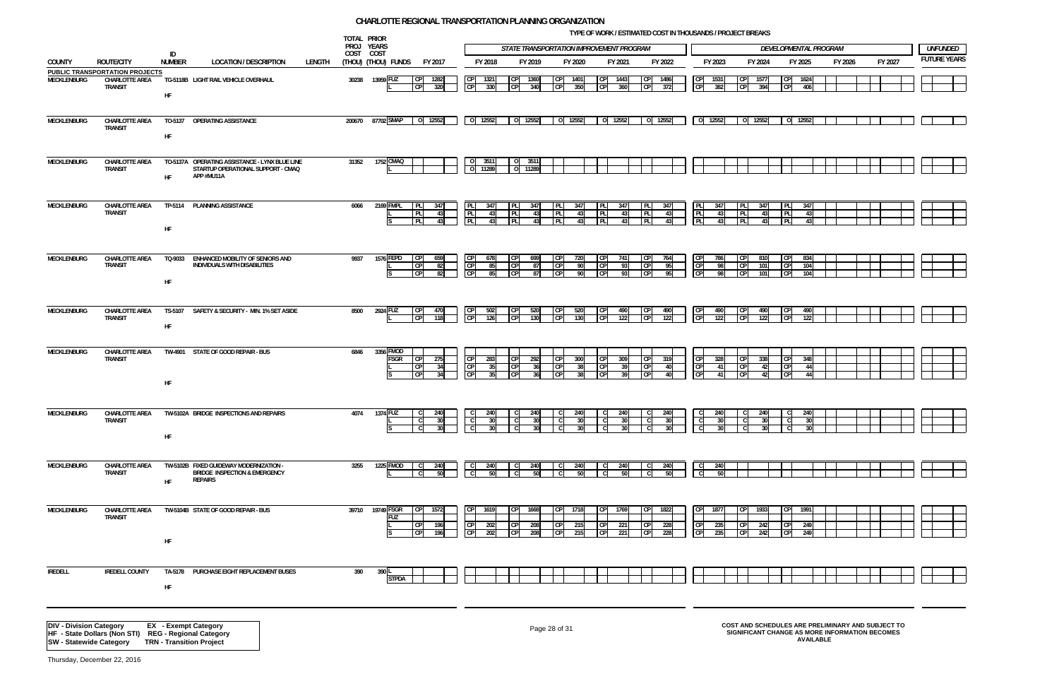|                     |                         | <b>ELOPMENTAL PROGRAM</b> |         | <b>UNFUNDED</b>     |
|---------------------|-------------------------|---------------------------|---------|---------------------|
|                     | FY 2025                 | FY 2026                   | FY 2027 | <b>FUTURE YEARS</b> |
|                     |                         |                           |         |                     |
| $\mathsf{CP}$<br>CP | 1624<br>406             |                           |         |                     |
|                     |                         |                           |         |                     |
|                     |                         |                           |         |                     |
| o                   | 12552                   |                           |         |                     |
|                     |                         |                           |         |                     |
|                     |                         |                           |         |                     |
|                     |                         |                           |         |                     |
|                     |                         |                           |         |                     |
|                     |                         |                           |         |                     |
|                     |                         |                           |         |                     |
|                     |                         |                           |         |                     |
| PL<br>PL            | 347<br>43               |                           |         |                     |
| PL                  | 43                      |                           |         |                     |
|                     |                         |                           |         |                     |
|                     |                         |                           |         |                     |
| CP                  | 834                     |                           |         |                     |
| CP                  | 104                     |                           |         |                     |
| CP                  | 104                     |                           |         |                     |
|                     |                         |                           |         |                     |
|                     |                         |                           |         |                     |
| СP<br>CP            | 490<br>$\overline{122}$ |                           |         |                     |
|                     |                         |                           |         |                     |
|                     |                         |                           |         |                     |
|                     |                         |                           |         |                     |
| CP                  | 348                     |                           |         |                     |
| CP<br>CP            | 44<br>44                |                           |         |                     |
|                     |                         |                           |         |                     |
|                     |                         |                           |         |                     |
|                     |                         |                           |         |                     |
| $\overline{c}$<br>С | 240<br>$\overline{30}$  |                           |         |                     |
| $\overline{c}$      | 30                      |                           |         |                     |
|                     |                         |                           |         |                     |
|                     |                         |                           |         |                     |
|                     |                         |                           |         |                     |
|                     |                         |                           |         |                     |
|                     |                         |                           |         |                     |
|                     |                         |                           |         |                     |
| $\mathsf{CP}$       | 1991                    |                           |         |                     |
| CP                  | 249                     |                           |         |                     |
| $\mathsf{CP}$       | 249                     |                           |         |                     |
|                     |                         |                           |         |                     |
|                     |                         |                           |         |                     |
|                     |                         |                           |         |                     |
|                     |                         |                           |         |                     |
|                     |                         |                           |         |                     |
|                     |                         |                           |         |                     |
|                     |                         |                           |         |                     |

**TYPE OF WORK / ESTIMATED COST IN THOUSANDS / PROJECT BREAKS**

|                                |                                                                                                                 |                             |                                                                                                    |        |        | TOTAL PRIOR<br>PROJ YEARS |                                          |                        |                                                     |                   |                    | STATE TRANSPORTATION IMPROVEMENT PROGRAM           |                                |                     |                                     |                        | <b>IFL OF WORK / ESTIMATED COST IN THOUSAINDS / FROJECT DREAKS</b> |                 |                                               |          | DEVELOPMENTAL PROGRAM                                    |                  |         |                                                                                                     |  | <b>UNFUNDED</b>    |
|--------------------------------|-----------------------------------------------------------------------------------------------------------------|-----------------------------|----------------------------------------------------------------------------------------------------|--------|--------|---------------------------|------------------------------------------|------------------------|-----------------------------------------------------|-------------------|--------------------|----------------------------------------------------|--------------------------------|---------------------|-------------------------------------|------------------------|--------------------------------------------------------------------|-----------------|-----------------------------------------------|----------|----------------------------------------------------------|------------------|---------|-----------------------------------------------------------------------------------------------------|--|--------------------|
|                                |                                                                                                                 | ID<br>NUMBER                |                                                                                                    |        |        | COST COST                 |                                          |                        | FY 2018                                             |                   |                    |                                                    |                                |                     |                                     |                        | FY 2023                                                            |                 | FY 2024                                       |          |                                                          |                  |         | FY 2027                                                                                             |  | <b>FUTURE YEAR</b> |
| COUNTY                         | <b>ROUTE/CITY</b><br><b>PUBLIC TRANSPORTATION PROJECTS</b>                                                      |                             | <b>LOCATION / DESCRIPTION</b>                                                                      | LENGTH |        | (Thou) (Thou) funds       | FY 2017                                  |                        |                                                     |                   | FY 2019            | FY 2020                                            |                                | FY 2021             | FY 2022                             |                        |                                                                    |                 |                                               |          | FY 2025                                                  |                  | FY 2026 |                                                                                                     |  |                    |
| MECKLENBURG                    | <b>CHARLOTTE AREA</b><br><b>TRANSIT</b>                                                                         | HF                          | TG-5118B LIGHT RAIL VEHICLE OVERHAUL                                                               |        |        | 30238 13959 FUZ           | 1282                                     | 320                    | 1321<br>CP<br>330                                   |                   | 1360<br>340        | <b>CP</b><br>1401<br><b>CP</b><br>350              | <b>CP</b><br><b>CP</b>         | 1443<br>360         | <b>CP</b><br><b>CP</b>              | 1486<br>372            | 1531<br><b>CP</b><br>382                                           |                 | 1577<br>394                                   |          | 1624<br>406<br><b>CP</b>                                 |                  |         |                                                                                                     |  |                    |
| <b>MECKLENBURG</b>             | <b>CHARLOTTE AREA</b><br><b>TRANSIT</b>                                                                         | TO-5137<br>HF               | OPERATING ASSISTANCE                                                                               |        | 200670 | 87702 SMAP                | 0 12552                                  |                        | 0 12552                                             |                   | 12552              | 0 12552                                            |                                | 0 12552             | 0 12552                             |                        | $0 \mid 12552$                                                     |                 | 0 12552                                       |          | 0 12552                                                  |                  |         |                                                                                                     |  |                    |
| MECKLENBURG                    | CHARLOTTE AREA<br><b>TRANSIT</b>                                                                                | <b>HF</b>                   | TO-5137A OPERATING ASSISTANCE - LYNX BLUE LINE<br>STARTUP OPERATIONAL SUPPORT - CMAQ<br>APP #MU11A |        | 31352  | 1752 CMAQ                 |                                          |                        | 0 3511<br>0 11289                                   |                   | 351'<br>11289      |                                                    |                                |                     |                                     |                        |                                                                    |                 |                                               |          |                                                          |                  |         |                                                                                                     |  |                    |
| MECKLENBURG                    | CHARLOTTE AREA<br><b>TRANSIT</b>                                                                                | HF                          | TP-5114 PLANNING ASSISTANCE                                                                        |        | 6066   | 2169 FMPL                 | <b>IPLI</b><br>PL<br>PL                  | 347<br>43<br>43        | PL<br>347<br>PL<br>-431<br>PL<br>43                 | PL.<br><b>PLI</b> | -347<br>43<br>43   | 347<br>PL.<br>PL<br>43<br>PL                       | I PL<br><b>PL</b><br>43        | 347<br>43<br>43     | PL<br>PL<br>PL                      | 347<br>43<br>43        | PLI<br>347<br>PL<br>PL                                             | 43<br>43        | 347<br><b>IPLI</b><br><b>IPLI</b><br>43<br>43 | PL<br>PL | 347<br>431<br><b>PL</b><br>431                           |                  |         |                                                                                                     |  |                    |
| MECKLENBURG                    | CHARLOTTE AREA<br><b>TRANSIT</b>                                                                                | HF.                         | TQ-9033 ENHANCED MOBILITY OF SENIORS AND<br>INDIVIDUALS WITH DISABILITIES                          |        | 9937   | 1576 FEPD                 | <b>CP</b><br>C <sub>P</sub><br><b>CP</b> | 659<br>82<br>82        | 678<br>CP<br>-85<br><b>CP</b><br>-851               | C <sub>P</sub>    | 699<br>87<br>87    | <b>CP</b><br>720<br><b>CP</b><br>- 90<br>CP<br>90  | <b>CP</b><br> CP <br><b>CP</b> | 741<br>-931<br>-931 | CP<br><b>CP</b><br><b>CP</b>        | 764<br>95<br>95        | CP<br>786<br>CP<br>CP                                              | -98<br>98       | 810<br>CP<br>101<br>101                       |          | 834<br>CP<br><b>CP</b><br>104<br>CP<br>104               |                  |         |                                                                                                     |  |                    |
| MECKLENBURG                    | CHARLOTTE AREA<br><b>TRANSIT</b>                                                                                | HF                          | TS-5107 SAFETY & SECURITY - MIN. 1% SET ASIDE                                                      |        | 8500   | 2924 FUZ                  |                                          | 470<br>118             | 502<br>C <sub>P</sub><br>126                        | C <sub>P</sub>    | 520<br>130         | <b>CP</b><br>520<br>CP<br>130                      | <b>CP</b><br>CP                | 490<br>122          | ICP<br>$\overline{CP}$              | 490<br>122             | CP<br>490<br>CP<br>122                                             |                 | 490<br>122                                    |          | 490<br><b>CP</b><br>122                                  |                  |         |                                                                                                     |  |                    |
| MECKLENBURG                    | CHARLOTTE AREA<br><b>TRANSIT</b>                                                                                | HF                          | TW-4901 STATE OF GOOD REPAIR - BUS                                                                 |        | 6846   | 3356 FMOD<br>FSGR         | CPI                                      | 275<br>34<br>- 34      | CP<br>283<br>CP<br>- 351<br>$\overline{CP}$<br>-351 | CP<br><b>CP</b>   | 292<br>- 36        | <b>CPI</b><br>300<br><b>CP</b><br>38<br>CP<br>-38  | CP <br> CP <br>C.P             | 309<br>- 391<br>-30 | <b>CP</b><br><b>CP</b><br><b>CP</b> | 319<br>40<br>40.       | <b>CPI</b><br>328<br>CP<br>-41<br>CP<br>-41                        |                 | <b>CPI</b><br>338<br>CP<br>42<br>42           |          | CP<br>348<br><b>CP</b><br>-441<br>C <sub>P</sub><br>44 I |                  |         |                                                                                                     |  |                    |
| MECKLENBURG                    | <b>CHARLOTTE AREA</b><br><b>TRANSIT</b>                                                                         | HF                          | TW-5102A BRIDGE INSPECTIONS AND REPAIRS                                                            |        | 4074   | 1374 FUZ                  | $\mathsf{C}$                             | 240<br>30 <sup>1</sup> | 240<br>$\overline{\mathsf{c}}$<br>30 <sup>1</sup>   |                   |                    | 240                                                |                                | 240                 | - C<br>l Cl                         | 240<br>30 <sup>1</sup> | C<br>240<br>$\overline{c}$                                         | 30 <sup>1</sup> | 240<br>$\mathsf{T}$<br>30 <sup>1</sup>        |          | 240<br>- C I<br>30                                       |                  |         |                                                                                                     |  |                    |
| MECKLENBURG                    | CHARLOTTE AREA<br><b>TRANSIT</b>                                                                                | <b>HF</b>                   | TW-5102B FIXED GUIDEWAY MODERNIZATION -<br><b>BRIDGE INSPECTION &amp; EMERGENCY</b><br>REPAIRS     |        | 3255   | 1225 FMOD                 |                                          | 240                    |                                                     |                   |                    | 240                                                |                                | 240                 |                                     | 240                    | 240<br>$\mathsf{C}$                                                |                 |                                               |          |                                                          |                  |         |                                                                                                     |  |                    |
| MECKLENBURG                    | CHARLOTTE AREA<br><b>TRANSIT</b>                                                                                | HF                          | TW-5104B STATE OF GOOD REPAIR - BUS                                                                |        | 39710  | 19749 FSGR<br><b>FUZ</b>  |                                          | 1572<br>196<br>196     | 1619<br>CP.<br>202<br>202                           |                   | 1668<br>208<br>208 | <b>CP</b><br>1718<br><b>CP</b><br>215<br>CP<br>215 | <b>CP</b><br><b>CP</b><br>C.P  | 1769<br>221<br>221  | <b>CP</b><br><b>CP</b><br><b>CP</b> | 1822<br>228<br>228     | 1877<br><b>CPI</b><br>235<br><b>CP</b><br>235                      |                 | 1933<br>242<br>242                            |          | 1991<br>СP<br>CP<br>249<br>C <sub>P</sub><br>249         |                  |         |                                                                                                     |  |                    |
| <b>IREDELL</b>                 | <b>IREDELL COUNTY</b>                                                                                           | TA-5178<br>HF               | PURCHASE EIGHT REPLACEMENT BUSES                                                                   |        | 390    | 390<br><b>STPDA</b>       |                                          |                        |                                                     |                   |                    |                                                    |                                |                     |                                     |                        |                                                                    |                 |                                               |          |                                                          |                  |         |                                                                                                     |  |                    |
| <b>DIV - Division Category</b> | HF - State Dollars (Non STI) REG - Regional Category<br><b>SW</b> - Statewide Category TRN - Transition Project | <b>EX</b> - Exempt Category |                                                                                                    |        |        |                           |                                          |                        |                                                     |                   |                    | Page 28 of 31                                      |                                |                     |                                     |                        |                                                                    |                 |                                               |          |                                                          | <b>AVAILABLE</b> |         | COST AND SCHEDULES ARE PRELIMINARY AND SUBJECT TO<br>SIGNIFICANT CHANGE AS MORE INFORMATION BECOMES |  |                    |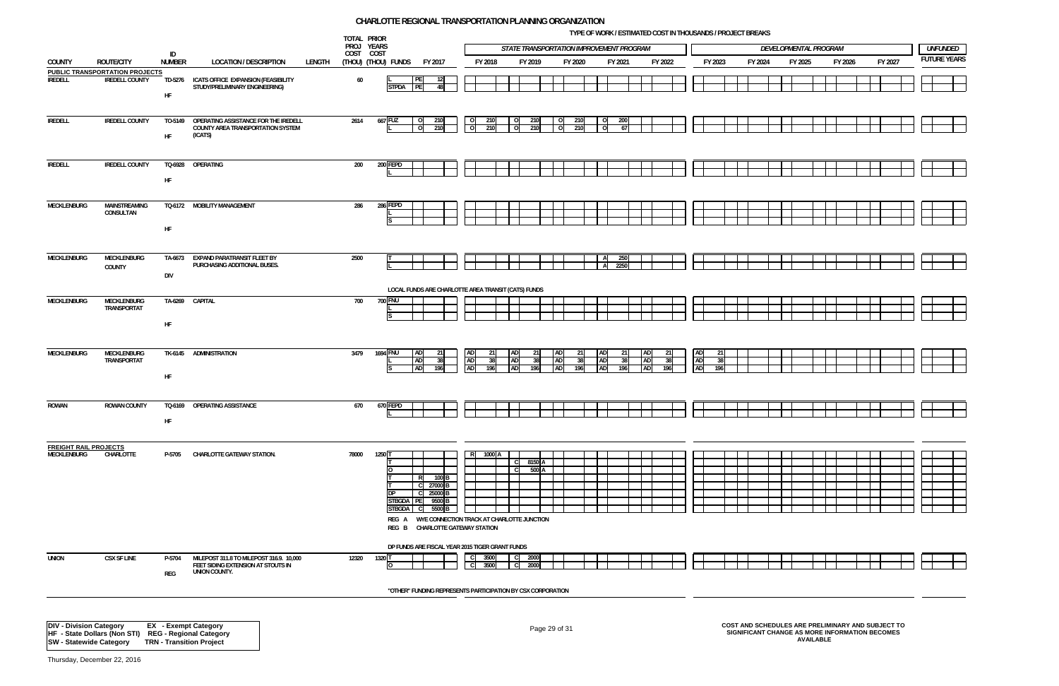**TYPE OF WORK / ESTIMATED COST IN THOUSANDS / PROJECT BREAKS**

![](_page_28_Figure_6.jpeg)

| PROJ YEARS<br>STATE TRANSPORTATION IMPROVEMENT PROGRAM<br>DEVELOPMENTAL PROGRAM<br>ID<br>COST COST<br><b>FUTURE YEAR</b><br><b>NUMBER</b><br>FY 2020<br>FY 2027<br>COUNTY<br><b>ROUTE/CITY</b><br><b>LOCATION / DESCRIPTION</b><br>LENGTH<br>(THOU) (THOU) FUNDS<br>FY 2017<br>FY 2018<br>FY 2019<br>FY 2021<br>FY 2022<br>FY 2023<br>FY 2024<br>FY 2025<br>FY 2026<br><b>PUBLIC TRANSPORTATION PROJECTS</b><br>PE<br><b>IREDELL COUNTY</b><br>60<br><b>IREDELL</b><br>TD-5276 ICATS OFFICE EXPANSION (FEASIBILITY<br>STUDY/PRELIMINARY ENGINEERING)<br> PE <br><b>STPDA</b><br>48<br>HF<br>667 FUZ<br><b>IREDELL</b><br><b>IREDELL COUNTY</b><br>OPERATING ASSISTANCE FOR THE IREDELL<br>2614<br>210<br>210<br>200<br>TO-5149<br>210<br>210<br>$\overline{O}$<br>  O<br>$\Omega$<br>- 0<br>$\overline{\phantom{0}}$<br>COUNTY AREA TRANSPORTATION SYSTEM<br>$\circ$<br>210<br>210<br>210<br>210<br>$\Omega$<br>$\Omega$<br>$\Omega$<br>-67<br>(ICATS)<br>HF<br><b>IREDELL COUNTY</b><br>200 FEPD<br><b>IREDELL</b><br>TQ-6928<br>OPERATING<br>200<br>HF<br>286 FEPD<br>MECKLENBURG<br>MAINSTREAMING<br>TQ-6172 MOBILITY MANAGEMENT<br>286<br>CONSULTAN<br>HF<br>250<br>MECKLENBURG<br>MECKLENBURG<br>TA-6673 EXPAND PARATRANSIT FLEET BY<br>2500<br>A<br>PURCHASING ADDITIONAL BUSES.<br>2250<br>A<br>COUNTY<br><b>DIV</b><br>LOCAL FUNDS ARE CHARLOTTE AREA TRANSIT (CATS) FUNDS<br>MECKLENBURG<br>MECKLENBURG<br>TA-6269 CAPITAL<br>700<br>700 FNU<br>TRANSPORTAT<br>HF<br>1694 FNU<br>AD<br><b>AD</b><br><b>AD</b><br>MECKLENBURG<br>MECKLENBURG<br>TK-6145 ADMINISTRATION<br>3479<br><b>AD</b><br>AD<br>21<br>-21<br>-21<br>21<br><b>AD</b><br>TRANSPORTAT<br><b>AD</b><br>AD<br><b>AD</b><br><b>AD</b><br>38<br>38<br><b>AD</b><br>38<br>38<br>-381<br>ADI<br>38<br><b>AD</b><br>AD<br><b>AD</b><br><b>AD</b><br>196<br>196<br>196<br><b>AD</b><br>196<br>196<br>196<br>196<br>HF<br>TQ-6169 OPERATING ASSISTANCE<br>670 FEPD<br>ROWAN<br><b>ROWAN COUNTY</b><br>670<br>HF<br><b>FREIGHT RAIL PROJECTS</b><br>1000 A<br>R<br>MECKLENBURG<br>CHARLOTTE<br>P-5705 CHARLOTTE GATEWAY STATION.<br>78000<br>1250<br>8150 A<br>500 A<br>$100$ B<br>27000 B<br>C.<br>25000 <sub>B</sub><br>-C I<br>STBGDA PE<br>9500 B<br>STBGDA C<br>5500 B<br>REG A WYE CONNECTION TRACK AT CHARLOTTE JUNCTION<br>REG B CHARLOTTE GATEWAY STATION<br>DP FUNDS ARE FISCAL YEAR 2015 TIGER GRANT FUNDS<br><b>UNION</b><br><b>CSX SF LINE</b><br>1320<br>2000<br>P-5704<br>MILEPOST 311.8 TO MILEPOST 316.9. 10,000<br>12320<br>3500<br>C.L<br>FEET SIDING EXTENSION AT STOUTS IN<br>3500<br>2000<br>UNION COUNTY.<br>REG |  |  | TOTAL PRIOR |  |  |  |  | <b>ITE OF WORK / ESTIMATED COST IN THOUSANDS / PROJECT DREAKS</b> |  |  |  |  |  |                 |
|---------------------------------------------------------------------------------------------------------------------------------------------------------------------------------------------------------------------------------------------------------------------------------------------------------------------------------------------------------------------------------------------------------------------------------------------------------------------------------------------------------------------------------------------------------------------------------------------------------------------------------------------------------------------------------------------------------------------------------------------------------------------------------------------------------------------------------------------------------------------------------------------------------------------------------------------------------------------------------------------------------------------------------------------------------------------------------------------------------------------------------------------------------------------------------------------------------------------------------------------------------------------------------------------------------------------------------------------------------------------------------------------------------------------------------------------------------------------------------------------------------------------------------------------------------------------------------------------------------------------------------------------------------------------------------------------------------------------------------------------------------------------------------------------------------------------------------------------------------------------------------------------------------------------------------------------------------------------------------------------------------------------------------------------------------------------------------------------------------------------------------------------------------------------------------------------------------------------------------------------------------------------------------------------------------------------------------------------------------------------------------------------------------------------------------------------------------------------------------------------------------------------------------------------------------------------------------------------------------|--|--|-------------|--|--|--|--|-------------------------------------------------------------------|--|--|--|--|--|-----------------|
|                                                                                                                                                                                                                                                                                                                                                                                                                                                                                                                                                                                                                                                                                                                                                                                                                                                                                                                                                                                                                                                                                                                                                                                                                                                                                                                                                                                                                                                                                                                                                                                                                                                                                                                                                                                                                                                                                                                                                                                                                                                                                                                                                                                                                                                                                                                                                                                                                                                                                                                                                                                                         |  |  |             |  |  |  |  |                                                                   |  |  |  |  |  | <b>UNFUNDED</b> |
|                                                                                                                                                                                                                                                                                                                                                                                                                                                                                                                                                                                                                                                                                                                                                                                                                                                                                                                                                                                                                                                                                                                                                                                                                                                                                                                                                                                                                                                                                                                                                                                                                                                                                                                                                                                                                                                                                                                                                                                                                                                                                                                                                                                                                                                                                                                                                                                                                                                                                                                                                                                                         |  |  |             |  |  |  |  |                                                                   |  |  |  |  |  |                 |
|                                                                                                                                                                                                                                                                                                                                                                                                                                                                                                                                                                                                                                                                                                                                                                                                                                                                                                                                                                                                                                                                                                                                                                                                                                                                                                                                                                                                                                                                                                                                                                                                                                                                                                                                                                                                                                                                                                                                                                                                                                                                                                                                                                                                                                                                                                                                                                                                                                                                                                                                                                                                         |  |  |             |  |  |  |  |                                                                   |  |  |  |  |  |                 |
|                                                                                                                                                                                                                                                                                                                                                                                                                                                                                                                                                                                                                                                                                                                                                                                                                                                                                                                                                                                                                                                                                                                                                                                                                                                                                                                                                                                                                                                                                                                                                                                                                                                                                                                                                                                                                                                                                                                                                                                                                                                                                                                                                                                                                                                                                                                                                                                                                                                                                                                                                                                                         |  |  |             |  |  |  |  |                                                                   |  |  |  |  |  |                 |
|                                                                                                                                                                                                                                                                                                                                                                                                                                                                                                                                                                                                                                                                                                                                                                                                                                                                                                                                                                                                                                                                                                                                                                                                                                                                                                                                                                                                                                                                                                                                                                                                                                                                                                                                                                                                                                                                                                                                                                                                                                                                                                                                                                                                                                                                                                                                                                                                                                                                                                                                                                                                         |  |  |             |  |  |  |  |                                                                   |  |  |  |  |  |                 |
|                                                                                                                                                                                                                                                                                                                                                                                                                                                                                                                                                                                                                                                                                                                                                                                                                                                                                                                                                                                                                                                                                                                                                                                                                                                                                                                                                                                                                                                                                                                                                                                                                                                                                                                                                                                                                                                                                                                                                                                                                                                                                                                                                                                                                                                                                                                                                                                                                                                                                                                                                                                                         |  |  |             |  |  |  |  |                                                                   |  |  |  |  |  |                 |
|                                                                                                                                                                                                                                                                                                                                                                                                                                                                                                                                                                                                                                                                                                                                                                                                                                                                                                                                                                                                                                                                                                                                                                                                                                                                                                                                                                                                                                                                                                                                                                                                                                                                                                                                                                                                                                                                                                                                                                                                                                                                                                                                                                                                                                                                                                                                                                                                                                                                                                                                                                                                         |  |  |             |  |  |  |  |                                                                   |  |  |  |  |  |                 |
|                                                                                                                                                                                                                                                                                                                                                                                                                                                                                                                                                                                                                                                                                                                                                                                                                                                                                                                                                                                                                                                                                                                                                                                                                                                                                                                                                                                                                                                                                                                                                                                                                                                                                                                                                                                                                                                                                                                                                                                                                                                                                                                                                                                                                                                                                                                                                                                                                                                                                                                                                                                                         |  |  |             |  |  |  |  |                                                                   |  |  |  |  |  |                 |
|                                                                                                                                                                                                                                                                                                                                                                                                                                                                                                                                                                                                                                                                                                                                                                                                                                                                                                                                                                                                                                                                                                                                                                                                                                                                                                                                                                                                                                                                                                                                                                                                                                                                                                                                                                                                                                                                                                                                                                                                                                                                                                                                                                                                                                                                                                                                                                                                                                                                                                                                                                                                         |  |  |             |  |  |  |  |                                                                   |  |  |  |  |  |                 |
|                                                                                                                                                                                                                                                                                                                                                                                                                                                                                                                                                                                                                                                                                                                                                                                                                                                                                                                                                                                                                                                                                                                                                                                                                                                                                                                                                                                                                                                                                                                                                                                                                                                                                                                                                                                                                                                                                                                                                                                                                                                                                                                                                                                                                                                                                                                                                                                                                                                                                                                                                                                                         |  |  |             |  |  |  |  |                                                                   |  |  |  |  |  |                 |
|                                                                                                                                                                                                                                                                                                                                                                                                                                                                                                                                                                                                                                                                                                                                                                                                                                                                                                                                                                                                                                                                                                                                                                                                                                                                                                                                                                                                                                                                                                                                                                                                                                                                                                                                                                                                                                                                                                                                                                                                                                                                                                                                                                                                                                                                                                                                                                                                                                                                                                                                                                                                         |  |  |             |  |  |  |  |                                                                   |  |  |  |  |  |                 |
| "OTHER" FUNDING REPRESENTS PARTICIPATION BY CSX CORPORATION                                                                                                                                                                                                                                                                                                                                                                                                                                                                                                                                                                                                                                                                                                                                                                                                                                                                                                                                                                                                                                                                                                                                                                                                                                                                                                                                                                                                                                                                                                                                                                                                                                                                                                                                                                                                                                                                                                                                                                                                                                                                                                                                                                                                                                                                                                                                                                                                                                                                                                                                             |  |  |             |  |  |  |  |                                                                   |  |  |  |  |  |                 |

# Page 29 of 31 **COST AND SCHEDULES ARE PRELIMINARY AND SUBJECT TO SIGNIFICANT CHANGE AS MORE INFORMATION BECOMES AVAILABLE**

Thursday, December 22, 2016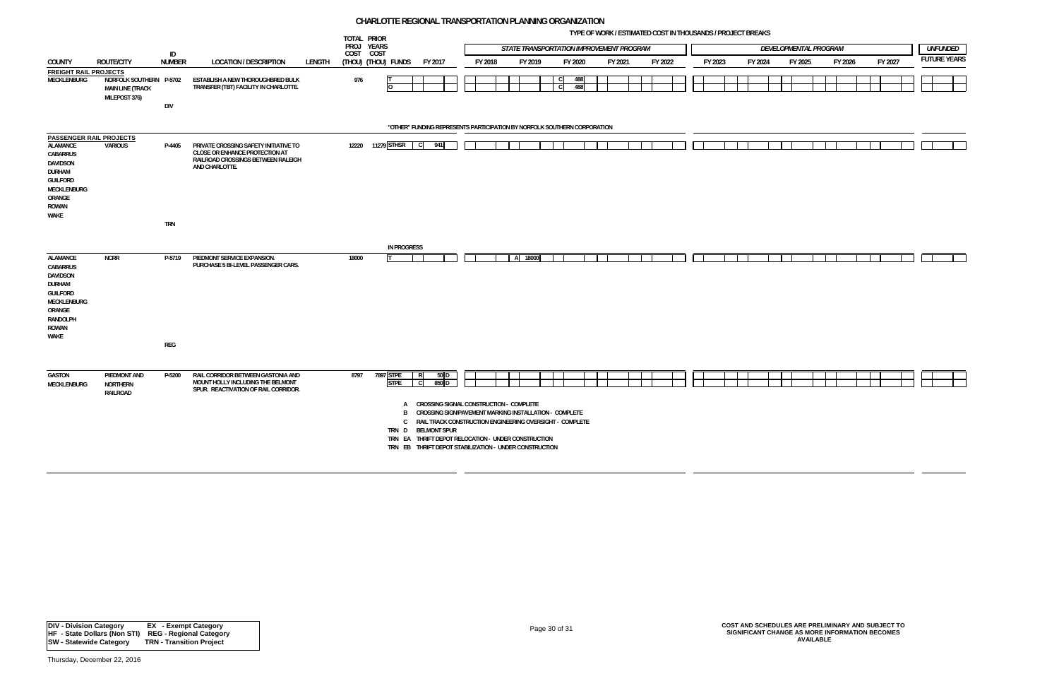**TYPE OF WORK / ESTIMATED COST IN THOUSANDS / PROJECT BREAKS**

![](_page_29_Figure_7.jpeg)

|                                                                                                                           |                                                                     |               |                                                                                                                 |        | TOTAL PRIOR<br>PROJ YEARS |                                 |                                                                                                                                                                                                                                                                                                       |         | STATE TRANSPORTATION IMPROVEMENT PROGRAM |                   |            |         |         |         |         | DEVELOPMENTAL PROGRAM |         |         | <b>UNFUNDED</b>    |  |
|---------------------------------------------------------------------------------------------------------------------------|---------------------------------------------------------------------|---------------|-----------------------------------------------------------------------------------------------------------------|--------|---------------------------|---------------------------------|-------------------------------------------------------------------------------------------------------------------------------------------------------------------------------------------------------------------------------------------------------------------------------------------------------|---------|------------------------------------------|-------------------|------------|---------|---------|---------|---------|-----------------------|---------|---------|--------------------|--|
|                                                                                                                           |                                                                     | ID            |                                                                                                                 |        | COST COST                 |                                 |                                                                                                                                                                                                                                                                                                       |         |                                          |                   |            |         |         |         |         |                       |         |         | <b>FUTURE YEAR</b> |  |
| <b>COUNTY</b>                                                                                                             | ROUTE/CITY                                                          | <b>NUMBER</b> | <b>LOCATION / DESCRIPTION</b>                                                                                   | LENGTH |                           | (THOU) (THOU) FUNDS             | FY 2017                                                                                                                                                                                                                                                                                               | FY 2018 | FY 2019                                  |                   | FY 2020    | FY 2021 | FY 2022 | FY 2023 | FY 2024 | FY 2025               | FY 2026 | FY 2027 |                    |  |
| <b>FREIGHT RAIL PROJECTS</b><br>MECKLENBURG                                                                               | NORFOLK SOUTHERN P-5702<br><b>MAIN LINE (TRACK</b><br>MILEPOST 376) |               | ESTABLISH A NEW THOROUGHBRED BULK<br>TRANSFER (TBT) FACILITY IN CHARLOTTE.                                      |        | 976                       |                                 |                                                                                                                                                                                                                                                                                                       |         |                                          | C<br><sub>c</sub> | 488<br>488 |         |         |         |         |                       |         |         |                    |  |
|                                                                                                                           |                                                                     | <b>DIV</b>    |                                                                                                                 |        |                           |                                 |                                                                                                                                                                                                                                                                                                       |         |                                          |                   |            |         |         |         |         |                       |         |         |                    |  |
|                                                                                                                           |                                                                     |               |                                                                                                                 |        |                           |                                 | "OTHER" FUNDING REPRESENTS PARTICIPATION BY NORFOLK SOUTHERN CORPORATION                                                                                                                                                                                                                              |         |                                          |                   |            |         |         |         |         |                       |         |         |                    |  |
| <b>PASSENGER RAIL PROJECTS</b>                                                                                            | <b>VARIOUS</b>                                                      |               | PRIVATE CROSSING SAFETY INITIATIVE TO                                                                           |        | 12220                     | 11279 STHSR                     | 941<br>$\mathbf{C}$                                                                                                                                                                                                                                                                                   |         |                                          |                   |            |         |         |         |         |                       |         |         |                    |  |
| ALAMANCE<br>CABARRUS<br>DAVIDSON<br><b>DURHAM</b><br><b>GUILFORD</b><br>MECKLENBURG<br>ORANGE<br>ROWAN<br>WAKE            |                                                                     | P-4405        | CLOSE OR ENHANCE PROTECTION AT<br>RAILROAD CROSSINGS BETWEEN RALEIGH<br>AND CHARLOTTE.                          |        |                           |                                 |                                                                                                                                                                                                                                                                                                       |         |                                          |                   |            |         |         |         |         |                       |         |         |                    |  |
|                                                                                                                           |                                                                     | <b>TRN</b>    |                                                                                                                 |        |                           |                                 |                                                                                                                                                                                                                                                                                                       |         |                                          |                   |            |         |         |         |         |                       |         |         |                    |  |
|                                                                                                                           |                                                                     |               |                                                                                                                 |        |                           | <b>IN PROGRESS</b>              |                                                                                                                                                                                                                                                                                                       |         |                                          |                   |            |         |         |         |         |                       |         |         |                    |  |
| <b>ALAMANCE</b><br>CABARRUS<br><b>DAVIDSON</b><br><b>DURHAM</b><br>GUILFORD<br>MECKLENBURG<br>ORANGE<br>RANDOLPH<br>ROWAN | <b>NCRR</b>                                                         | P-5719        | PIEDMONT SERVICE EXPANSION.<br>PURCHASE 5 BI-LEVEL PASSENGER CARS.                                              |        | 18000                     |                                 |                                                                                                                                                                                                                                                                                                       |         | A 18000                                  |                   |            |         |         |         |         |                       |         |         |                    |  |
| WAKE                                                                                                                      |                                                                     | REG           |                                                                                                                 |        |                           |                                 |                                                                                                                                                                                                                                                                                                       |         |                                          |                   |            |         |         |         |         |                       |         |         |                    |  |
|                                                                                                                           |                                                                     |               |                                                                                                                 |        |                           |                                 |                                                                                                                                                                                                                                                                                                       |         |                                          |                   |            |         |         |         |         |                       |         |         |                    |  |
| <b>GASTON</b><br><b>MECKLENBURG</b>                                                                                       | PIEDMONT AND<br>NORTHERN<br>RAILROAD                                | P-5200        | RAIL CORRIDOR BETWEEN GASTONIA AND<br>MOUNT HOLLY INCLUDING THE BELMONT<br>SPUR. REACTIVATION OF RAIL CORRIDOR. |        | 8797                      | 7897 STPE<br><b>STPE</b>        | 50 D<br>R<br>850 D<br>C.                                                                                                                                                                                                                                                                              |         |                                          |                   |            |         |         |         |         |                       |         |         |                    |  |
|                                                                                                                           |                                                                     |               |                                                                                                                 |        |                           | A<br>B<br>$\mathsf{C}$<br>TRN D | CROSSING SIGNAL CONSTRUCTION - COMPLETE<br>CROSSING SIGN/PAVEMENT MARKING INSTALLATION - COMPLETE<br>RAIL TRACK CONSTRUCTION ENGINEERING OVERSIGHT - COMPLETE<br><b>BELMONT SPUR</b><br>TRN EA THRIFT DEPOT RELOCATION - UNDER CONSTRUCTION<br>TRN EB THRIFT DEPOT STABILIZATION - UNDER CONSTRUCTION |         |                                          |                   |            |         |         |         |         |                       |         |         |                    |  |

Page 30 of 31 **COST AND SCHEDULES ARE PRELIMINARY AND SUBJECT TO SIGNIFICANT CHANGE AS MORE INFORMATION BECOMES AVAILABLE**